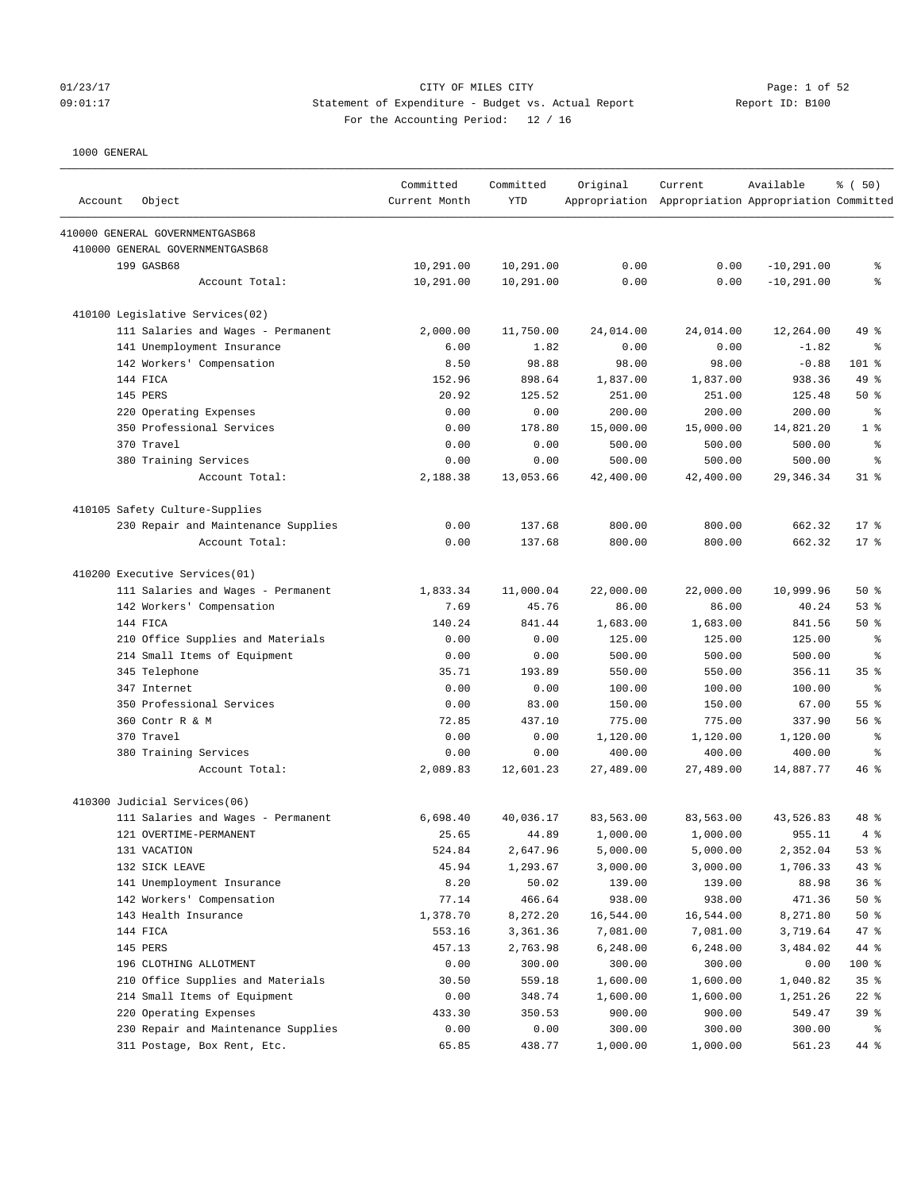# 01/23/17 Page: 1 of 52 09:01:17 Statement of Expenditure - Budget vs. Actual Report Report ID: B100 For the Accounting Period: 12 / 16

| Account | Object                              | Committed<br>Current Month | Committed<br><b>YTD</b> | Original  | Current<br>Appropriation Appropriation Appropriation Committed | Available     | % (50)          |
|---------|-------------------------------------|----------------------------|-------------------------|-----------|----------------------------------------------------------------|---------------|-----------------|
|         | 410000 GENERAL GOVERNMENTGASB68     |                            |                         |           |                                                                |               |                 |
|         | 410000 GENERAL GOVERNMENTGASB68     |                            |                         |           |                                                                |               |                 |
|         | 199 GASB68                          | 10,291.00                  | 10,291.00               | 0.00      | 0.00                                                           | $-10, 291.00$ | နွ              |
|         | Account Total:                      | 10,291.00                  | 10,291.00               | 0.00      | 0.00                                                           | $-10, 291.00$ | ి               |
|         | 410100 Legislative Services(02)     |                            |                         |           |                                                                |               |                 |
|         | 111 Salaries and Wages - Permanent  | 2,000.00                   | 11,750.00               | 24,014.00 | 24,014.00                                                      | 12,264.00     | 49 %            |
|         | 141 Unemployment Insurance          | 6.00                       | 1.82                    | 0.00      | 0.00                                                           | $-1.82$       | နွ              |
|         | 142 Workers' Compensation           | 8.50                       | 98.88                   | 98.00     | 98.00                                                          | $-0.88$       | 101 %           |
|         | 144 FICA                            | 152.96                     | 898.64                  | 1,837.00  | 1,837.00                                                       | 938.36        | 49 %            |
|         | 145 PERS                            | 20.92                      | 125.52                  | 251.00    | 251.00                                                         | 125.48        | 50%             |
|         | 220 Operating Expenses              | 0.00                       | 0.00                    | 200.00    | 200.00                                                         | 200.00        | နွ              |
|         | 350 Professional Services           | 0.00                       | 178.80                  | 15,000.00 | 15,000.00                                                      | 14,821.20     | 1 <sup>8</sup>  |
|         | 370 Travel                          | 0.00                       | 0.00                    | 500.00    | 500.00                                                         | 500.00        | る               |
|         | 380 Training Services               | 0.00                       | 0.00                    | 500.00    | 500.00                                                         | 500.00        | る               |
|         | Account Total:                      | 2,188.38                   | 13,053.66               | 42,400.00 | 42,400.00                                                      | 29, 346.34    | $31$ %          |
|         | 410105 Safety Culture-Supplies      |                            |                         |           |                                                                |               |                 |
|         | 230 Repair and Maintenance Supplies | 0.00                       | 137.68                  | 800.00    | 800.00                                                         | 662.32        | $17*$           |
|         | Account Total:                      | 0.00                       | 137.68                  | 800.00    | 800.00                                                         | 662.32        | $17*$           |
|         | 410200 Executive Services(01)       |                            |                         |           |                                                                |               |                 |
|         | 111 Salaries and Wages - Permanent  | 1,833.34                   | 11,000.04               | 22,000.00 | 22,000.00                                                      | 10,999.96     | 50%             |
|         | 142 Workers' Compensation           | 7.69                       | 45.76                   | 86.00     | 86.00                                                          | 40.24         | 53%             |
|         | 144 FICA                            | 140.24                     | 841.44                  | 1,683.00  | 1,683.00                                                       | 841.56        | 50%             |
|         | 210 Office Supplies and Materials   | 0.00                       | 0.00                    | 125.00    | 125.00                                                         | 125.00        | る               |
|         | 214 Small Items of Equipment        | 0.00                       | 0.00                    | 500.00    | 500.00                                                         | 500.00        | နွ              |
|         | 345 Telephone                       | 35.71                      | 193.89                  | 550.00    | 550.00                                                         | 356.11        | 35 <sup>8</sup> |
|         | 347 Internet                        | 0.00                       | 0.00                    | 100.00    | 100.00                                                         | 100.00        | る               |
|         | 350 Professional Services           | 0.00                       | 83.00                   | 150.00    | 150.00                                                         | 67.00         | 55%             |
|         | 360 Contr R & M                     | 72.85                      | 437.10                  | 775.00    | 775.00                                                         | 337.90        | 56 %            |
|         | 370 Travel                          | 0.00                       | 0.00                    | 1,120.00  | 1,120.00                                                       | 1,120.00      | る               |
|         | 380 Training Services               | 0.00                       | 0.00                    | 400.00    | 400.00                                                         | 400.00        | る               |
|         | Account Total:                      | 2,089.83                   | 12,601.23               | 27,489.00 | 27,489.00                                                      | 14,887.77     | 46 %            |
|         | 410300 Judicial Services(06)        |                            |                         |           |                                                                |               |                 |
|         | 111 Salaries and Wages - Permanent  | 6,698.40                   | 40,036.17               | 83,563.00 | 83,563.00                                                      | 43,526.83     | 48 %            |
|         | 121 OVERTIME-PERMANENT              | 25.65                      | 44.89                   | 1,000.00  | 1,000.00                                                       | 955.11        | 4%              |
|         | 131 VACATION                        | 524.84                     | 2,647.96                | 5,000.00  | 5,000.00                                                       | 2,352.04      | 53%             |
|         | 132 SICK LEAVE                      | 45.94                      | 1,293.67                | 3,000.00  | 3,000.00                                                       | 1,706.33      | 43 %            |
|         | 141 Unemployment Insurance          | 8.20                       | 50.02                   | 139.00    | 139.00                                                         | 88.98         | 36%             |
|         | 142 Workers' Compensation           | 77.14                      | 466.64                  | 938.00    | 938.00                                                         | 471.36        | $50*$           |
|         | 143 Health Insurance                | 1,378.70                   | 8,272.20                | 16,544.00 | 16,544.00                                                      | 8,271.80      | 50%             |
|         | 144 FICA                            | 553.16                     | 3,361.36                | 7,081.00  | 7,081.00                                                       | 3,719.64      | 47 %            |
|         | 145 PERS                            | 457.13                     | 2,763.98                | 6,248.00  | 6,248.00                                                       | 3,484.02      | 44 %            |
|         | 196 CLOTHING ALLOTMENT              | 0.00                       | 300.00                  | 300.00    | 300.00                                                         | 0.00          | 100 %           |
|         | 210 Office Supplies and Materials   | 30.50                      | 559.18                  | 1,600.00  | 1,600.00                                                       | 1,040.82      | 35%             |
|         | 214 Small Items of Equipment        | 0.00                       | 348.74                  | 1,600.00  | 1,600.00                                                       | 1,251.26      | $22$ %          |
|         | 220 Operating Expenses              | 433.30                     | 350.53                  | 900.00    | 900.00                                                         | 549.47        | 39 %            |
|         | 230 Repair and Maintenance Supplies | 0.00                       | 0.00                    | 300.00    | 300.00                                                         | 300.00        | ್ಠಿ             |
|         | 311 Postage, Box Rent, Etc.         | 65.85                      | 438.77                  | 1,000.00  | 1,000.00                                                       | 561.23        | 44 %            |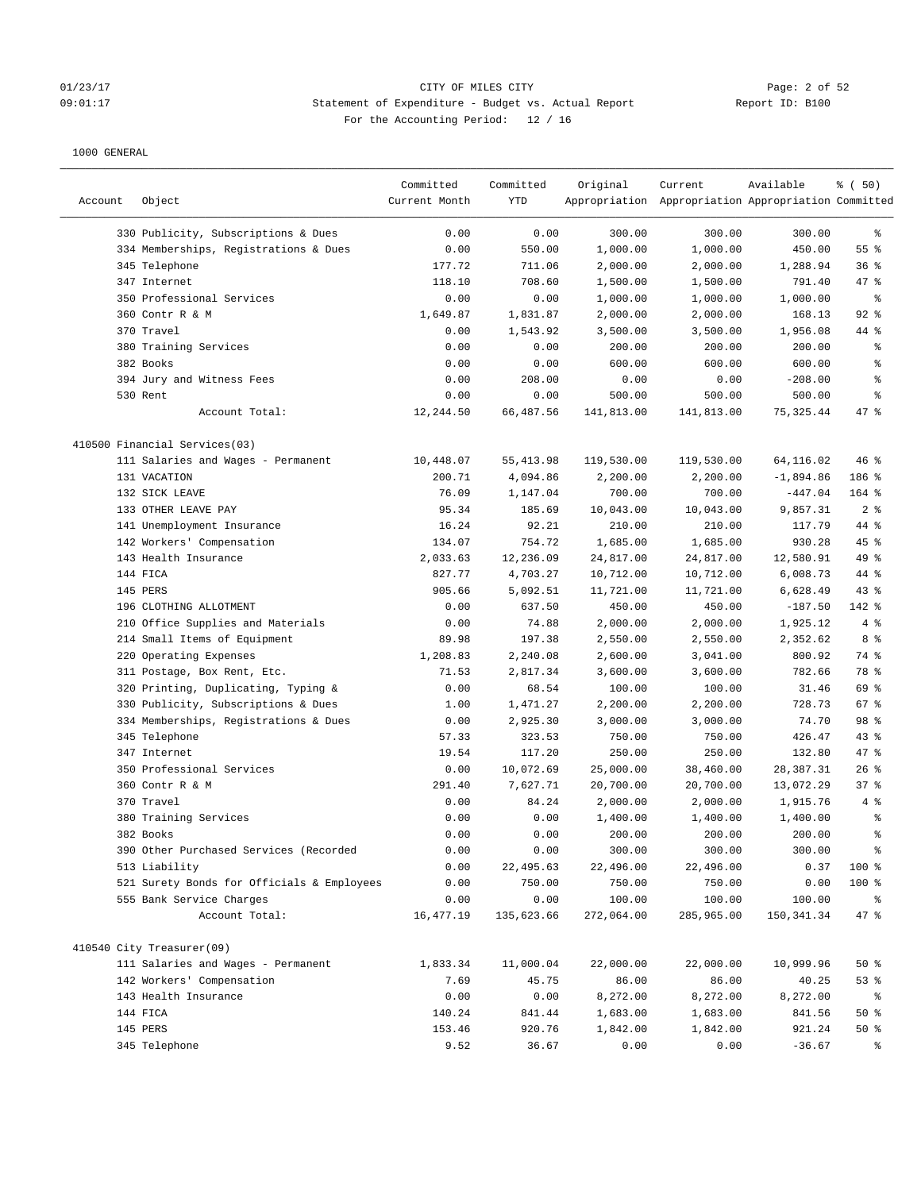# Ol/23/17 Page: 2 of 52<br>
O9:01:17 Page: 2 of 52<br>
O9:01:17 CITY OF MILES CITY CHEREN CITY CHEREN PAGE OF Expenditure - Budget vs. Actual Report 09:01:17 Statement of Expenditure - Budget vs. Actual Report Report ID: B100 For the Accounting Period: 12 / 16

| Account | Object                                     | Committed<br>Current Month | Committed<br><b>YTD</b> | Original   | Current<br>Appropriation Appropriation Appropriation Committed | Available   | % (50)         |
|---------|--------------------------------------------|----------------------------|-------------------------|------------|----------------------------------------------------------------|-------------|----------------|
|         | 330 Publicity, Subscriptions & Dues        | 0.00                       | 0.00                    | 300.00     | 300.00                                                         | 300.00      | ್ಠಿ            |
|         | 334 Memberships, Registrations & Dues      | 0.00                       | 550.00                  | 1,000.00   | 1,000.00                                                       | 450.00      | 55 %           |
|         | 345 Telephone                              | 177.72                     | 711.06                  | 2,000.00   | 2,000.00                                                       | 1,288.94    | 36%            |
|         | 347 Internet                               | 118.10                     | 708.60                  | 1,500.00   | 1,500.00                                                       | 791.40      | 47 %           |
|         | 350 Professional Services                  | 0.00                       | 0.00                    | 1,000.00   | 1,000.00                                                       | 1,000.00    | $\epsilon$     |
|         | 360 Contr R & M                            | 1,649.87                   | 1,831.87                | 2,000.00   | 2,000.00                                                       | 168.13      | $92$ %         |
|         | 370 Travel                                 | 0.00                       | 1,543.92                | 3,500.00   | 3,500.00                                                       | 1,956.08    | 44 %           |
|         | 380 Training Services                      | 0.00                       | 0.00                    | 200.00     | 200.00                                                         | 200.00      | g,             |
|         | 382 Books                                  | 0.00                       | 0.00                    | 600.00     | 600.00                                                         | 600.00      | $\epsilon$     |
|         | 394 Jury and Witness Fees                  | 0.00                       | 208.00                  | 0.00       | 0.00                                                           | $-208.00$   | $\epsilon$     |
|         | 530 Rent                                   | 0.00                       | 0.00                    | 500.00     | 500.00                                                         | 500.00      | နွ             |
|         | Account Total:                             | 12,244.50                  | 66,487.56               | 141,813.00 | 141,813.00                                                     | 75, 325.44  | 47 %           |
|         | 410500 Financial Services(03)              |                            |                         |            |                                                                |             |                |
|         | 111 Salaries and Wages - Permanent         | 10,448.07                  | 55, 413.98              | 119,530.00 | 119,530.00                                                     | 64,116.02   | $46$ %         |
|         | 131 VACATION                               | 200.71                     | 4,094.86                | 2,200.00   | 2,200.00                                                       | $-1,894.86$ | 186 %          |
|         | 132 SICK LEAVE                             | 76.09                      | 1,147.04                | 700.00     | 700.00                                                         | $-447.04$   | 164 %          |
|         | 133 OTHER LEAVE PAY                        | 95.34                      | 185.69                  | 10,043.00  | 10,043.00                                                      | 9,857.31    | 2 <sup>8</sup> |
|         | 141 Unemployment Insurance                 | 16.24                      | 92.21                   | 210.00     | 210.00                                                         | 117.79      | 44 %           |
|         | 142 Workers' Compensation                  | 134.07                     | 754.72                  | 1,685.00   | 1,685.00                                                       | 930.28      | $45$ %         |
|         | 143 Health Insurance                       | 2,033.63                   | 12,236.09               | 24,817.00  | 24,817.00                                                      | 12,580.91   | 49 %           |
|         | 144 FICA                                   | 827.77                     | 4,703.27                | 10,712.00  | 10,712.00                                                      | 6,008.73    | 44 %           |
|         | 145 PERS                                   | 905.66                     | 5,092.51                | 11,721.00  | 11,721.00                                                      | 6,628.49    | 43%            |
|         | 196 CLOTHING ALLOTMENT                     | 0.00                       | 637.50                  | 450.00     | 450.00                                                         | $-187.50$   | 142 %          |
|         | 210 Office Supplies and Materials          | 0.00                       | 74.88                   | 2,000.00   | 2,000.00                                                       | 1,925.12    | 4%             |
|         | 214 Small Items of Equipment               | 89.98                      | 197.38                  | 2,550.00   | 2,550.00                                                       | 2,352.62    | 8 %            |
|         | 220 Operating Expenses                     | 1,208.83                   | 2,240.08                | 2,600.00   | 3,041.00                                                       | 800.92      | 74 %           |
|         | 311 Postage, Box Rent, Etc.                | 71.53                      | 2,817.34                | 3,600.00   | 3,600.00                                                       | 782.66      | 78 %           |
|         | 320 Printing, Duplicating, Typing &        | 0.00                       | 68.54                   | 100.00     | 100.00                                                         | 31.46       | 69 %           |
|         | 330 Publicity, Subscriptions & Dues        | 1.00                       | 1,471.27                | 2,200.00   | 2,200.00                                                       | 728.73      | 67 %           |
|         | 334 Memberships, Registrations & Dues      | 0.00                       | 2,925.30                | 3,000.00   | 3,000.00                                                       | 74.70       | 98 %           |
|         | 345 Telephone                              | 57.33                      | 323.53                  | 750.00     | 750.00                                                         | 426.47      | $43$ %         |
|         | 347 Internet                               | 19.54                      | 117.20                  | 250.00     | 250.00                                                         | 132.80      | $47$ %         |
|         | 350 Professional Services                  | 0.00                       | 10,072.69               | 25,000.00  | 38,460.00                                                      | 28,387.31   | 26%            |
|         | 360 Contr R & M                            | 291.40                     | 7,627.71                | 20,700.00  | 20,700.00                                                      | 13,072.29   | 37%            |
|         | 370 Travel                                 | 0.00                       | 84.24                   | 2,000.00   | 2,000.00                                                       | 1,915.76    | 4%             |
|         | 380 Training Services                      | 0.00                       | 0.00                    | 1,400.00   | 1,400.00                                                       | 1,400.00    | $\epsilon$     |
|         | 382 Books                                  | 0.00                       | 0.00                    | 200.00     | 200.00                                                         | 200.00      | နွ             |
|         | 390 Other Purchased Services (Recorded     | 0.00                       | 0.00                    | 300.00     | 300.00                                                         | 300.00      | ್ಠಿ            |
|         | 513 Liability                              | 0.00                       | 22,495.63               | 22,496.00  | 22,496.00                                                      | 0.37        | 100 %          |
|         | 521 Surety Bonds for Officials & Employees | 0.00                       | 750.00                  | 750.00     | 750.00                                                         | 0.00        | 100 %          |
|         | 555 Bank Service Charges                   | 0.00                       | 0.00                    | 100.00     | 100.00                                                         | 100.00      | နွ             |
|         | Account Total:                             | 16,477.19                  | 135,623.66              | 272,064.00 | 285,965.00                                                     | 150, 341.34 | 47 %           |
|         | 410540 City Treasurer(09)                  |                            |                         |            |                                                                |             |                |
|         | 111 Salaries and Wages - Permanent         | 1,833.34                   | 11,000.04               | 22,000.00  | 22,000.00                                                      | 10,999.96   | 50%            |
|         | 142 Workers' Compensation                  | 7.69                       | 45.75                   | 86.00      | 86.00                                                          | 40.25       | 53%            |
|         | 143 Health Insurance                       | 0.00                       | 0.00                    | 8,272.00   | 8,272.00                                                       | 8,272.00    | နွ             |
|         | 144 FICA                                   | 140.24                     | 841.44                  | 1,683.00   | 1,683.00                                                       | 841.56      | $50*$          |
|         | 145 PERS                                   | 153.46                     | 920.76                  | 1,842.00   | 1,842.00                                                       | 921.24      | $50*$          |
|         | 345 Telephone                              | 9.52                       | 36.67                   | 0.00       | 0.00                                                           | $-36.67$    | ್ಠಿ            |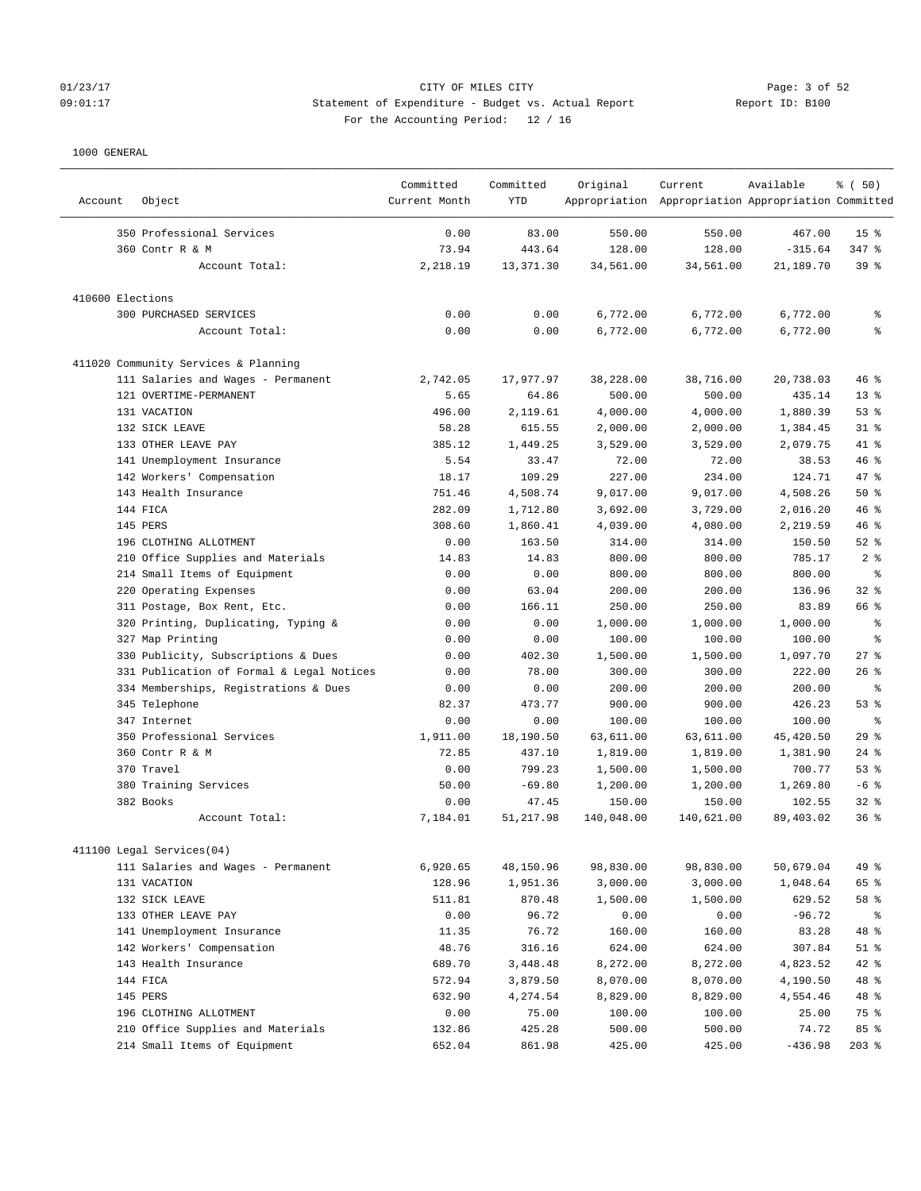# 01/23/17 CITY OF MILES CITY Page: 3 of 52 09:01:17 Statement of Expenditure - Budget vs. Actual Report Report ID: B100 For the Accounting Period: 12 / 16

| Account          | Object                                    | Committed<br>Current Month | Committed<br><b>YTD</b> | Original   | Current<br>Appropriation Appropriation Appropriation Committed | Available | % (50)                   |
|------------------|-------------------------------------------|----------------------------|-------------------------|------------|----------------------------------------------------------------|-----------|--------------------------|
|                  | 350 Professional Services                 | 0.00                       | 83.00                   | 550.00     | 550.00                                                         | 467.00    | 15 <sup>8</sup>          |
|                  | 360 Contr R & M                           | 73.94                      | 443.64                  | 128.00     | 128.00                                                         | $-315.64$ | $347$ $%$                |
|                  | Account Total:                            | 2,218.19                   | 13,371.30               | 34,561.00  | 34,561.00                                                      | 21,189.70 | 39%                      |
| 410600 Elections |                                           |                            |                         |            |                                                                |           |                          |
|                  | 300 PURCHASED SERVICES                    | 0.00                       | 0.00                    | 6,772.00   | 6,772.00                                                       | 6,772.00  | နွ                       |
|                  | Account Total:                            | 0.00                       | 0.00                    | 6,772.00   | 6,772.00                                                       | 6,772.00  | န္                       |
|                  | 411020 Community Services & Planning      |                            |                         |            |                                                                |           |                          |
|                  | 111 Salaries and Wages - Permanent        | 2,742.05                   | 17,977.97               | 38,228.00  | 38,716.00                                                      | 20,738.03 | 46%                      |
|                  | 121 OVERTIME-PERMANENT                    | 5.65                       | 64.86                   | 500.00     | 500.00                                                         | 435.14    | $13*$                    |
|                  | 131 VACATION                              | 496.00                     | 2,119.61                | 4,000.00   | 4,000.00                                                       | 1,880.39  | 53%                      |
|                  | 132 SICK LEAVE                            | 58.28                      | 615.55                  | 2,000.00   | 2,000.00                                                       | 1,384.45  | $31$ $%$                 |
|                  | 133 OTHER LEAVE PAY                       | 385.12                     | 1,449.25                | 3,529.00   | 3,529.00                                                       | 2,079.75  | 41 %                     |
|                  | 141 Unemployment Insurance                | 5.54                       | 33.47                   | 72.00      | 72.00                                                          | 38.53     | 46%                      |
|                  | 142 Workers' Compensation                 | 18.17                      | 109.29                  | 227.00     | 234.00                                                         | 124.71    | 47 %                     |
|                  | 143 Health Insurance                      | 751.46                     | 4,508.74                | 9,017.00   | 9,017.00                                                       | 4,508.26  | 50%                      |
|                  | 144 FICA                                  | 282.09                     | 1,712.80                | 3,692.00   | 3,729.00                                                       | 2,016.20  | 46%                      |
|                  | 145 PERS                                  | 308.60                     | 1,860.41                | 4,039.00   | 4,080.00                                                       | 2,219.59  | 46 %                     |
|                  | 196 CLOTHING ALLOTMENT                    | 0.00                       | 163.50                  | 314.00     | 314.00                                                         | 150.50    | $52$ $%$                 |
|                  | 210 Office Supplies and Materials         | 14.83                      | 14.83                   | 800.00     | 800.00                                                         | 785.17    | 2 <sup>8</sup>           |
|                  | 214 Small Items of Equipment              | 0.00                       | 0.00                    | 800.00     | 800.00                                                         | 800.00    | ి                        |
|                  | 220 Operating Expenses                    | 0.00                       | 63.04                   | 200.00     | 200.00                                                         | 136.96    | $32$ $%$                 |
|                  | 311 Postage, Box Rent, Etc.               | 0.00                       | 166.11                  | 250.00     | 250.00                                                         | 83.89     | 66 %                     |
|                  | 320 Printing, Duplicating, Typing &       | 0.00                       | 0.00                    | 1,000.00   | 1,000.00                                                       | 1,000.00  | န့                       |
|                  | 327 Map Printing                          | 0.00                       | 0.00                    | 100.00     | 100.00                                                         | 100.00    | န္                       |
|                  | 330 Publicity, Subscriptions & Dues       | 0.00                       | 402.30                  | 1,500.00   | 1,500.00                                                       | 1,097.70  | 27%                      |
|                  | 331 Publication of Formal & Legal Notices | 0.00                       | 78.00                   | 300.00     | 300.00                                                         | 222.00    | $26$ %                   |
|                  | 334 Memberships, Registrations & Dues     | 0.00                       | 0.00                    | 200.00     | 200.00                                                         | 200.00    | $\,{}^{\circ}\!\!\delta$ |
|                  | 345 Telephone                             | 82.37                      | 473.77                  | 900.00     | 900.00                                                         | 426.23    | 53%                      |
|                  | 347 Internet                              | 0.00                       | 0.00                    | 100.00     | 100.00                                                         | 100.00    | ి                        |
|                  | 350 Professional Services                 | 1,911.00                   | 18,190.50               | 63,611.00  | 63,611.00                                                      | 45,420.50 | 29%                      |
|                  | 360 Contr R & M                           | 72.85                      | 437.10                  | 1,819.00   | 1,819.00                                                       | 1,381.90  | $24$ %                   |
|                  | 370 Travel                                | 0.00                       | 799.23                  | 1,500.00   | 1,500.00                                                       | 700.77    | 53%                      |
|                  | 380 Training Services                     | 50.00                      | $-69.80$                | 1,200.00   | 1,200.00                                                       | 1,269.80  | $-6$ %                   |
|                  | 382 Books                                 | 0.00                       | 47.45                   | 150.00     | 150.00                                                         | 102.55    | $32$ $%$                 |
|                  | Account Total:                            | 7,184.01                   | 51, 217.98              | 140,048.00 | 140,621.00                                                     | 89,403.02 | 36%                      |
|                  | 411100 Legal Services(04)                 |                            |                         |            |                                                                |           |                          |
|                  | 111 Salaries and Wages - Permanent        | 6,920.65                   | 48,150.96               | 98,830.00  | 98,830.00                                                      | 50,679.04 | 49 %                     |
|                  | 131 VACATION                              | 128.96                     | 1,951.36                | 3,000.00   | 3,000.00                                                       | 1,048.64  | 65 %                     |
|                  | 132 SICK LEAVE                            | 511.81                     | 870.48                  | 1,500.00   | 1,500.00                                                       | 629.52    | 58 %                     |
|                  | 133 OTHER LEAVE PAY                       | 0.00                       | 96.72                   | 0.00       | 0.00                                                           | $-96.72$  | ိစ                       |
|                  | 141 Unemployment Insurance                | 11.35                      | 76.72                   | 160.00     | 160.00                                                         | 83.28     | 48 %                     |
|                  | 142 Workers' Compensation                 | 48.76                      | 316.16                  | 624.00     | 624.00                                                         | 307.84    | $51$ %                   |
|                  | 143 Health Insurance                      | 689.70                     | 3,448.48                | 8,272.00   | 8,272.00                                                       | 4,823.52  | $42$ %                   |
|                  | 144 FICA                                  | 572.94                     | 3,879.50                | 8,070.00   | 8,070.00                                                       | 4,190.50  | 48 %                     |
|                  | 145 PERS                                  | 632.90                     | 4,274.54                | 8,829.00   | 8,829.00                                                       | 4,554.46  | 48 %                     |
|                  | 196 CLOTHING ALLOTMENT                    | 0.00                       | 75.00                   | 100.00     | 100.00                                                         | 25.00     | 75 %                     |
|                  | 210 Office Supplies and Materials         | 132.86                     | 425.28                  | 500.00     | 500.00                                                         | 74.72     | 85 %                     |
|                  | 214 Small Items of Equipment              | 652.04                     | 861.98                  | 425.00     | 425.00                                                         | $-436.98$ | $203$ %                  |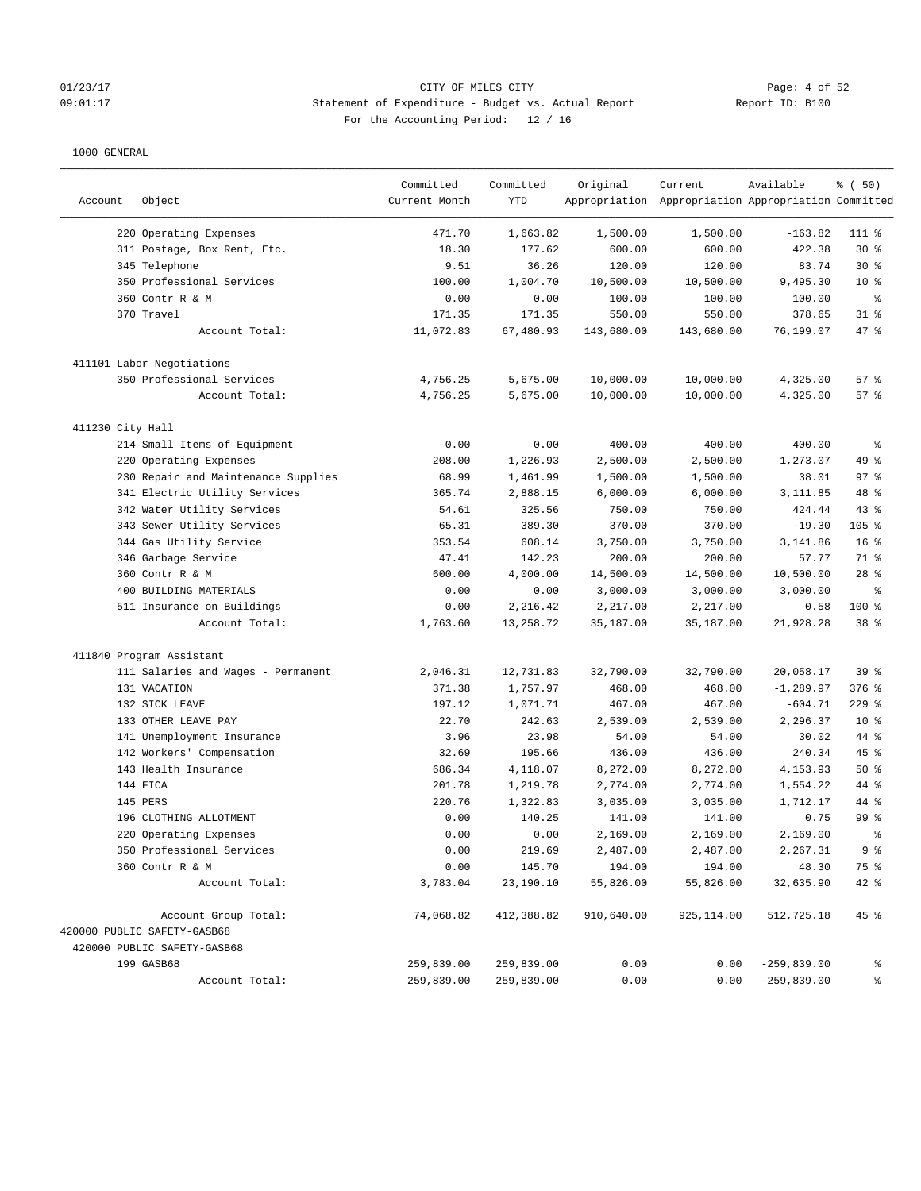# 01/23/17 CITY OF MILES CITY<br>
09:01:17 Page: 4 of 52<br>
09:01:17 Statement of Expenditure - Budget vs. Actual Report 19 (101) Report ID: B100 09:01:17 Statement of Expenditure - Budget vs. Actual Report Report ID: B100 For the Accounting Period: 12 / 16

| Account          | Object                              | Committed<br>Current Month | Committed<br>YTD | Original   | Current<br>Appropriation Appropriation Appropriation Committed | Available     | % (50)          |
|------------------|-------------------------------------|----------------------------|------------------|------------|----------------------------------------------------------------|---------------|-----------------|
|                  | 220 Operating Expenses              | 471.70                     | 1,663.82         | 1,500.00   | 1,500.00                                                       | $-163.82$     | 111 %           |
|                  | 311 Postage, Box Rent, Etc.         | 18.30                      | 177.62           | 600.00     | 600.00                                                         | 422.38        | $30*$           |
|                  | 345 Telephone                       | 9.51                       | 36.26            | 120.00     | 120.00                                                         | 83.74         | $30*$           |
|                  | 350 Professional Services           | 100.00                     | 1,004.70         | 10,500.00  | 10,500.00                                                      | 9,495.30      | $10*$           |
|                  | 360 Contr R & M                     | 0.00                       | 0.00             | 100.00     | 100.00                                                         | 100.00        | $\epsilon$      |
|                  | 370 Travel                          | 171.35                     | 171.35           | 550.00     | 550.00                                                         | 378.65        | $31$ %          |
|                  | Account Total:                      | 11,072.83                  | 67,480.93        | 143,680.00 | 143,680.00                                                     | 76,199.07     | 47 %            |
|                  | 411101 Labor Negotiations           |                            |                  |            |                                                                |               |                 |
|                  | 350 Professional Services           | 4,756.25                   | 5,675.00         | 10,000.00  | 10,000.00                                                      | 4,325.00      | 57%             |
|                  | Account Total:                      | 4,756.25                   | 5,675.00         | 10,000.00  | 10,000.00                                                      | 4,325.00      | 57%             |
| 411230 City Hall |                                     |                            |                  |            |                                                                |               |                 |
|                  | 214 Small Items of Equipment        | 0.00                       | 0.00             | 400.00     | 400.00                                                         | 400.00        | $\epsilon$      |
|                  | 220 Operating Expenses              | 208.00                     | 1,226.93         | 2,500.00   | 2,500.00                                                       | 1,273.07      | 49 %            |
|                  | 230 Repair and Maintenance Supplies | 68.99                      | 1,461.99         | 1,500.00   | 1,500.00                                                       | 38.01         | 97%             |
|                  | 341 Electric Utility Services       | 365.74                     | 2,888.15         | 6,000.00   | 6,000.00                                                       | 3,111.85      | 48 %            |
|                  | 342 Water Utility Services          | 54.61                      | 325.56           | 750.00     | 750.00                                                         | 424.44        | 43%             |
|                  | 343 Sewer Utility Services          | 65.31                      | 389.30           | 370.00     | 370.00                                                         | $-19.30$      | 105 %           |
|                  | 344 Gas Utility Service             | 353.54                     | 608.14           | 3,750.00   | 3,750.00                                                       | 3,141.86      | 16 <sup>8</sup> |
|                  | 346 Garbage Service                 | 47.41                      | 142.23           | 200.00     | 200.00                                                         | 57.77         | 71 %            |
|                  | 360 Contr R & M                     | 600.00                     | 4,000.00         | 14,500.00  | 14,500.00                                                      | 10,500.00     | $28$ %          |
|                  | 400 BUILDING MATERIALS              | 0.00                       | 0.00             | 3,000.00   | 3,000.00                                                       | 3,000.00      | နွ              |
|                  | 511 Insurance on Buildings          | 0.00                       | 2,216.42         | 2,217.00   | 2,217.00                                                       | 0.58          | 100 %           |
|                  | Account Total:                      | 1,763.60                   | 13,258.72        | 35,187.00  | 35,187.00                                                      | 21,928.28     | 38 <sup>8</sup> |
|                  | 411840 Program Assistant            |                            |                  |            |                                                                |               |                 |
|                  | 111 Salaries and Wages - Permanent  | 2,046.31                   | 12,731.83        | 32,790.00  | 32,790.00                                                      | 20,058.17     | 39%             |
|                  | 131 VACATION                        | 371.38                     | 1,757.97         | 468.00     | 468.00                                                         | $-1, 289.97$  | 376 %           |
|                  | 132 SICK LEAVE                      | 197.12                     | 1,071.71         | 467.00     | 467.00                                                         | $-604.71$     | $229$ $%$       |
|                  | 133 OTHER LEAVE PAY                 | 22.70                      | 242.63           | 2,539.00   | 2,539.00                                                       | 2,296.37      | $10*$           |
|                  | 141 Unemployment Insurance          | 3.96                       | 23.98            | 54.00      | 54.00                                                          | 30.02         | 44 %            |
|                  | 142 Workers' Compensation           | 32.69                      | 195.66           | 436.00     | 436.00                                                         | 240.34        | 45 %            |
|                  | 143 Health Insurance                | 686.34                     | 4,118.07         | 8,272.00   | 8,272.00                                                       | 4,153.93      | 50%             |
|                  | 144 FICA                            | 201.78                     | 1,219.78         | 2,774.00   | 2,774.00                                                       | 1,554.22      | 44 %            |
|                  | 145 PERS                            | 220.76                     | 1,322.83         | 3,035.00   | 3,035.00                                                       | 1,712.17      | 44 %            |
|                  | 196 CLOTHING ALLOTMENT              | 0.00                       | 140.25           | 141.00     | 141.00                                                         | 0.75          | 99 <sup>8</sup> |
|                  | 220 Operating Expenses              | 0.00                       | 0.00             | 2,169.00   | 2,169.00                                                       | 2,169.00      | ま               |
|                  | 350 Professional Services           | 0.00                       | 219.69           | 2,487.00   | 2,487.00                                                       | 2,267.31      | 9%              |
|                  | 360 Contr R & M                     | 0.00                       | 145.70           | 194.00     | 194.00                                                         | 48.30         | 75 %            |
|                  | Account Total:                      | 3,783.04                   | 23,190.10        | 55,826.00  | 55,826.00                                                      | 32,635.90     | 42 %            |
|                  | Account Group Total:                | 74,068.82                  | 412,388.82       | 910,640.00 | 925,114.00                                                     | 512,725.18    | 45 %            |
|                  | 420000 PUBLIC SAFETY-GASB68         |                            |                  |            |                                                                |               |                 |
|                  | 420000 PUBLIC SAFETY-GASB68         |                            |                  |            |                                                                |               |                 |
|                  | 199 GASB68                          | 259,839.00                 | 259,839.00       | 0.00       | 0.00                                                           | $-259,839.00$ | ႜ               |
|                  | Account Total:                      | 259,839.00                 | 259,839.00       | 0.00       | 0.00                                                           | $-259,839.00$ | နွ              |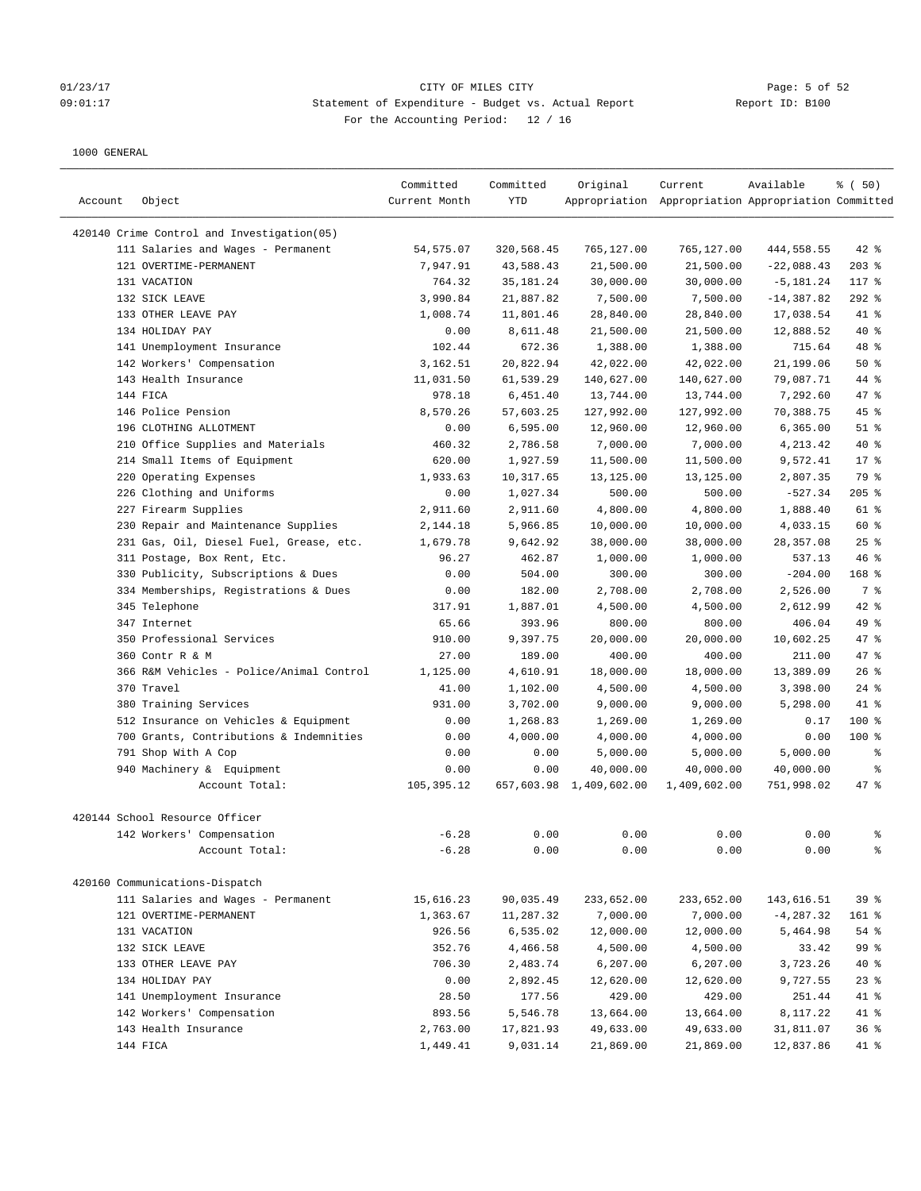### 01/23/17 Page: 5 of 52 09:01:17 Statement of Expenditure - Budget vs. Actual Report Report ID: B100 For the Accounting Period: 12 / 16

| Account | Object                                      | Committed<br>Current Month | Committed<br>YTD | Original                             | Current<br>Appropriation Appropriation Appropriation Committed | Available               | % (50)    |
|---------|---------------------------------------------|----------------------------|------------------|--------------------------------------|----------------------------------------------------------------|-------------------------|-----------|
|         | 420140 Crime Control and Investigation(05)  |                            |                  |                                      |                                                                |                         |           |
|         | 111 Salaries and Wages - Permanent          | 54, 575.07                 | 320,568.45       | 765,127.00                           | 765,127.00                                                     | 444,558.55              | $42$ %    |
|         | 121 OVERTIME-PERMANENT                      | 7,947.91                   | 43,588.43        | 21,500.00                            | 21,500.00                                                      | $-22,088.43$            | $203$ %   |
|         | 131 VACATION                                | 764.32                     | 35, 181. 24      | 30,000.00                            | 30,000.00                                                      | $-5, 181.24$            | 117 %     |
|         | 132 SICK LEAVE                              | 3,990.84                   | 21,887.82        | 7,500.00                             | 7,500.00                                                       | $-14, 387.82$           | $292$ %   |
|         | 133 OTHER LEAVE PAY                         | 1,008.74                   | 11,801.46        | 28,840.00                            | 28,840.00                                                      | 17,038.54               | 41 %      |
|         | 134 HOLIDAY PAY                             | 0.00                       | 8,611.48         | 21,500.00                            | 21,500.00                                                      | 12,888.52               | 40 %      |
|         | 141 Unemployment Insurance                  | 102.44                     | 672.36           | 1,388.00                             | 1,388.00                                                       | 715.64                  | 48 %      |
|         | 142 Workers' Compensation                   | 3,162.51                   | 20,822.94        | 42,022.00                            | 42,022.00                                                      | 21,199.06               | 50%       |
|         | 143 Health Insurance                        | 11,031.50                  | 61,539.29        | 140,627.00                           | 140,627.00                                                     | 79,087.71               | 44 %      |
|         | 144 FICA                                    | 978.18                     | 6,451.40         | 13,744.00                            | 13,744.00                                                      | 7,292.60                | 47.8      |
|         | 146 Police Pension                          | 8,570.26                   | 57,603.25        | 127,992.00                           | 127,992.00                                                     | 70,388.75               | $45$ %    |
|         | 196 CLOTHING ALLOTMENT                      | 0.00                       | 6,595.00         | 12,960.00                            | 12,960.00                                                      | 6, 365.00               | $51$ %    |
|         | 210 Office Supplies and Materials           | 460.32                     | 2,786.58         | 7,000.00                             | 7,000.00                                                       | 4,213.42                | 40 %      |
|         | 214 Small Items of Equipment                | 620.00                     | 1,927.59         | 11,500.00                            | 11,500.00                                                      | 9,572.41                | $17*$     |
|         | 220 Operating Expenses                      | 1,933.63                   | 10,317.65        | 13,125.00                            | 13,125.00                                                      | 2,807.35                | 79 %      |
|         | 226 Clothing and Uniforms                   | 0.00                       | 1,027.34         | 500.00                               | 500.00                                                         | $-527.34$               | $205$ %   |
|         | 227 Firearm Supplies                        | 2,911.60                   | 2,911.60         | 4,800.00                             | 4,800.00                                                       | 1,888.40                | 61 %      |
|         | 230 Repair and Maintenance Supplies         | 2,144.18                   | 5,966.85         | 10,000.00                            | 10,000.00                                                      | 4,033.15                | 60 %      |
|         | 231 Gas, Oil, Diesel Fuel, Grease, etc.     | 1,679.78                   | 9,642.92         | 38,000.00                            | 38,000.00                                                      | 28,357.08               | 25%       |
|         | 311 Postage, Box Rent, Etc.                 | 96.27                      | 462.87           | 1,000.00                             | 1,000.00                                                       | 537.13                  | 46%       |
|         | 330 Publicity, Subscriptions & Dues         | 0.00                       | 504.00           | 300.00                               | 300.00                                                         | $-204.00$               | 168 %     |
|         | 334 Memberships, Registrations & Dues       | 0.00                       | 182.00           | 2,708.00                             | 2,708.00                                                       | 2,526.00                | 7 %       |
|         | 345 Telephone                               | 317.91                     | 1,887.01         | 4,500.00                             | 4,500.00                                                       | 2,612.99                | 42 %      |
|         | 347 Internet                                | 65.66                      | 393.96           | 800.00                               | 800.00                                                         | 406.04                  | 49 %      |
|         | 350 Professional Services                   | 910.00                     | 9,397.75         | 20,000.00                            | 20,000.00                                                      | 10,602.25               | 47 %      |
|         | 360 Contr R & M                             | 27.00                      | 189.00           | 400.00                               | 400.00                                                         | 211.00                  | 47 %      |
|         | 366 R&M Vehicles - Police/Animal Control    | 1,125.00                   | 4,610.91         | 18,000.00                            | 18,000.00                                                      | 13,389.09               | 26%       |
|         | 370 Travel                                  | 41.00                      | 1,102.00         | 4,500.00                             | 4,500.00                                                       | 3,398.00                | $24$ %    |
|         | 380 Training Services                       | 931.00                     | 3,702.00         | 9,000.00                             | 9,000.00                                                       | 5,298.00                | 41 %      |
|         | 512 Insurance on Vehicles & Equipment       | 0.00                       | 1,268.83         | 1,269.00                             |                                                                | 0.17                    | $100$ %   |
|         |                                             |                            |                  |                                      | 1,269.00                                                       |                         | $100$ %   |
|         | 700 Grants, Contributions & Indemnities     | 0.00                       | 4,000.00         | 4,000.00                             | 4,000.00                                                       | 0.00                    |           |
|         | 791 Shop With A Cop                         | 0.00                       | 0.00             | 5,000.00                             | 5,000.00                                                       | 5,000.00                | နွ        |
|         | 940 Machinery & Equipment<br>Account Total: | 0.00<br>105,395.12         | 0.00             | 40,000.00<br>657,603.98 1,409,602.00 | 40,000.00<br>1,409,602.00                                      | 40,000.00<br>751,998.02 | る<br>47 % |
|         |                                             |                            |                  |                                      |                                                                |                         |           |
|         | 420144 School Resource Officer              |                            |                  |                                      |                                                                |                         |           |
|         | 142 Workers' Compensation                   | $-6.28$                    | 0.00             | 0.00                                 | 0.00                                                           | 0.00                    | ್ಠಿ       |
|         | Account Total:                              | $-6.28$                    | 0.00             | 0.00                                 | 0.00                                                           | 0.00                    | ್ಠಿ       |
|         | 420160 Communications-Dispatch              |                            |                  |                                      |                                                                |                         |           |
|         | 111 Salaries and Wages - Permanent          | 15,616.23                  | 90,035.49        | 233,652.00                           | 233,652.00                                                     | 143,616.51              | 39%       |
|         | 121 OVERTIME-PERMANENT                      | 1,363.67                   | 11,287.32        | 7,000.00                             | 7,000.00                                                       | $-4, 287.32$            | 161 %     |
|         | 131 VACATION                                | 926.56                     | 6,535.02         | 12,000.00                            | 12,000.00                                                      | 5,464.98                | 54 %      |
|         | 132 SICK LEAVE                              | 352.76                     | 4,466.58         | 4,500.00                             | 4,500.00                                                       | 33.42                   | 99 %      |
|         | 133 OTHER LEAVE PAY                         | 706.30                     | 2,483.74         | 6,207.00                             | 6,207.00                                                       | 3,723.26                | 40 %      |
|         | 134 HOLIDAY PAY                             | 0.00                       | 2,892.45         | 12,620.00                            | 12,620.00                                                      | 9,727.55                | $23$ $%$  |
|         | 141 Unemployment Insurance                  | 28.50                      | 177.56           | 429.00                               | 429.00                                                         | 251.44                  | 41 %      |
|         | 142 Workers' Compensation                   | 893.56                     | 5,546.78         | 13,664.00                            | 13,664.00                                                      | 8,117.22                | 41 %      |
|         | 143 Health Insurance                        | 2,763.00                   | 17,821.93        | 49,633.00                            | 49,633.00                                                      | 31,811.07               | 36%       |
|         | 144 FICA                                    | 1,449.41                   | 9,031.14         | 21,869.00                            | 21,869.00                                                      | 12,837.86               | 41 %      |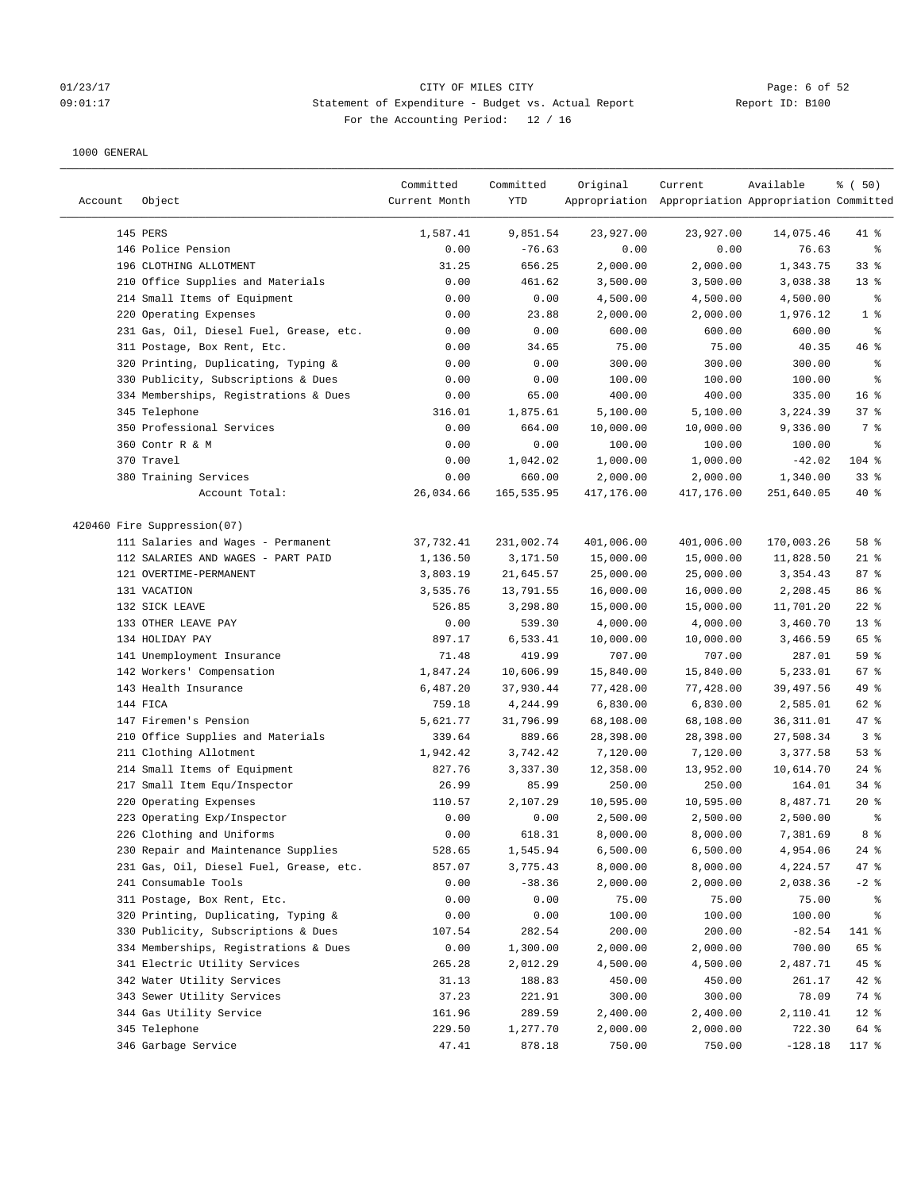# O1/23/17 Page: 6 of 52<br>
O9:01:17 Page: 6 of 52<br>
O9:01:17 CITY OF MILES CITY CHEREN CITY Actual Report CHEREN Report ID: B100 09:01:17 Statement of Expenditure - Budget vs. Actual Report Report ID: B100 For the Accounting Period: 12 / 16

| Account | Object                                  | Committed<br>Current Month | Committed<br>YTD | Original   | Current<br>Appropriation Appropriation Appropriation Committed | Available  | % (50)          |
|---------|-----------------------------------------|----------------------------|------------------|------------|----------------------------------------------------------------|------------|-----------------|
|         | 145 PERS                                | 1,587.41                   | 9,851.54         | 23,927.00  | 23,927.00                                                      | 14,075.46  | $41$ %          |
|         | 146 Police Pension                      | 0.00                       | $-76.63$         | 0.00       | 0.00                                                           | 76.63      | နွ              |
|         | 196 CLOTHING ALLOTMENT                  | 31.25                      | 656.25           | 2,000.00   | 2,000.00                                                       | 1,343.75   | 33%             |
|         | 210 Office Supplies and Materials       | 0.00                       | 461.62           | 3,500.00   | 3,500.00                                                       | 3,038.38   | 13 <sup>°</sup> |
|         | 214 Small Items of Equipment            | 0.00                       | 0.00             | 4,500.00   | 4,500.00                                                       | 4,500.00   | ್ಠಿ             |
|         | 220 Operating Expenses                  | 0.00                       | 23.88            | 2,000.00   | 2,000.00                                                       | 1,976.12   | 1 <sup>8</sup>  |
|         | 231 Gas, Oil, Diesel Fuel, Grease, etc. | 0.00                       | 0.00             | 600.00     | 600.00                                                         | 600.00     | နွ              |
|         | 311 Postage, Box Rent, Etc.             | 0.00                       | 34.65            | 75.00      | 75.00                                                          | 40.35      | 46%             |
|         | 320 Printing, Duplicating, Typing &     | 0.00                       | 0.00             | 300.00     | 300.00                                                         | 300.00     | ್ಠಿ             |
|         | 330 Publicity, Subscriptions & Dues     | 0.00                       | 0.00             | 100.00     | 100.00                                                         | 100.00     | ್ಠಿ             |
|         | 334 Memberships, Registrations & Dues   | 0.00                       | 65.00            | 400.00     | 400.00                                                         | 335.00     | 16 <sup>8</sup> |
|         | 345 Telephone                           | 316.01                     | 1,875.61         | 5,100.00   | 5,100.00                                                       | 3,224.39   | 37%             |
|         | 350 Professional Services               | 0.00                       | 664.00           | 10,000.00  | 10,000.00                                                      | 9,336.00   | 7 %             |
|         | 360 Contr R & M                         | 0.00                       | 0.00             | 100.00     | 100.00                                                         | 100.00     | ್ಠಿ             |
|         | 370 Travel                              | 0.00                       | 1,042.02         | 1,000.00   | 1,000.00                                                       | $-42.02$   | $104$ %         |
|         | 380 Training Services                   | 0.00                       | 660.00           | 2,000.00   | 2,000.00                                                       | 1,340.00   | 33%             |
|         | Account Total:                          | 26,034.66                  | 165,535.95       | 417,176.00 | 417,176.00                                                     | 251,640.05 | $40*$           |
|         | 420460 Fire Suppression(07)             |                            |                  |            |                                                                |            |                 |
|         | 111 Salaries and Wages - Permanent      | 37,732.41                  | 231,002.74       | 401,006.00 | 401,006.00                                                     | 170,003.26 | 58 %            |
|         | 112 SALARIES AND WAGES - PART PAID      | 1,136.50                   | 3,171.50         | 15,000.00  | 15,000.00                                                      | 11,828.50  | $21$ %          |
|         | 121 OVERTIME-PERMANENT                  | 3,803.19                   | 21,645.57        | 25,000.00  | 25,000.00                                                      | 3,354.43   | 87%             |
|         | 131 VACATION                            | 3,535.76                   | 13,791.55        | 16,000.00  | 16,000.00                                                      | 2,208.45   | 86 %            |
|         | 132 SICK LEAVE                          | 526.85                     | 3,298.80         | 15,000.00  | 15,000.00                                                      | 11,701.20  | $22$ %          |
|         | 133 OTHER LEAVE PAY                     | 0.00                       | 539.30           | 4,000.00   | 4,000.00                                                       | 3,460.70   | 13 <sup>°</sup> |
|         | 134 HOLIDAY PAY                         | 897.17                     | 6,533.41         | 10,000.00  | 10,000.00                                                      | 3,466.59   | 65 %            |
|         | 141 Unemployment Insurance              | 71.48                      | 419.99           | 707.00     | 707.00                                                         | 287.01     | 59%             |
|         | 142 Workers' Compensation               | 1,847.24                   | 10,606.99        | 15,840.00  | 15,840.00                                                      | 5,233.01   | 67%             |
|         | 143 Health Insurance                    | 6,487.20                   | 37,930.44        | 77,428.00  | 77,428.00                                                      | 39,497.56  | 49 %            |
|         | 144 FICA                                | 759.18                     | 4,244.99         | 6,830.00   | 6,830.00                                                       | 2,585.01   | 62 %            |
|         | 147 Firemen's Pension                   | 5,621.77                   | 31,796.99        | 68,108.00  | 68,108.00                                                      | 36,311.01  | 47 %            |
|         | 210 Office Supplies and Materials       | 339.64                     | 889.66           | 28,398.00  | 28,398.00                                                      | 27,508.34  | 3%              |
|         | 211 Clothing Allotment                  | 1,942.42                   | 3,742.42         | 7,120.00   | 7,120.00                                                       | 3,377.58   | 53%             |
|         | 214 Small Items of Equipment            | 827.76                     | 3,337.30         | 12,358.00  | 13,952.00                                                      | 10,614.70  | $24$ %          |
|         | 217 Small Item Equ/Inspector            | 26.99                      | 85.99            | 250.00     | 250.00                                                         | 164.01     | 34%             |
|         | 220 Operating Expenses                  | 110.57                     | 2,107.29         | 10,595.00  | 10,595.00                                                      | 8,487.71   | $20*$           |
|         | 223 Operating Exp/Inspector             | 0.00                       | 0.00             | 2,500.00   | 2,500.00                                                       | 2,500.00   | ್ಠಿ             |
|         | 226 Clothing and Uniforms               | 0.00                       | 618.31           | 8,000.00   | 8,000.00                                                       | 7,381.69   | 8 %             |
|         | 230 Repair and Maintenance Supplies     | 528.65                     | 1,545.94         | 6,500.00   | 6,500.00                                                       | 4,954.06   | $24$ %          |
|         | 231 Gas, Oil, Diesel Fuel, Grease, etc. | 857.07                     | 3,775.43         | 8,000.00   | 8,000.00                                                       | 4,224.57   | 47 %            |
|         | 241 Consumable Tools                    | 0.00                       | $-38.36$         | 2,000.00   | 2,000.00                                                       | 2,038.36   | $-2$ %          |
|         | 311 Postage, Box Rent, Etc.             | 0.00                       | 0.00             | 75.00      | 75.00                                                          | 75.00      | ႜ               |
|         | 320 Printing, Duplicating, Typing &     | 0.00                       | 0.00             | 100.00     | 100.00                                                         | 100.00     | ៖               |
|         | 330 Publicity, Subscriptions & Dues     | 107.54                     | 282.54           | 200.00     | 200.00                                                         | $-82.54$   | 141 %           |
|         | 334 Memberships, Registrations & Dues   | 0.00                       | 1,300.00         | 2,000.00   | 2,000.00                                                       | 700.00     | 65 %            |
|         | 341 Electric Utility Services           | 265.28                     | 2,012.29         | 4,500.00   | 4,500.00                                                       | 2,487.71   | $45$ %          |
|         | 342 Water Utility Services              | 31.13                      | 188.83           | 450.00     | 450.00                                                         | 261.17     | $42$ %          |
|         | 343 Sewer Utility Services              | 37.23                      | 221.91           | 300.00     | 300.00                                                         | 78.09      | 74 %            |
|         | 344 Gas Utility Service                 | 161.96                     | 289.59           | 2,400.00   | 2,400.00                                                       | 2,110.41   | $12$ %          |
|         | 345 Telephone                           | 229.50                     | 1,277.70         | 2,000.00   | 2,000.00                                                       | 722.30     | 64 %            |
|         | 346 Garbage Service                     | 47.41                      | 878.18           | 750.00     | 750.00                                                         | $-128.18$  | 117 %           |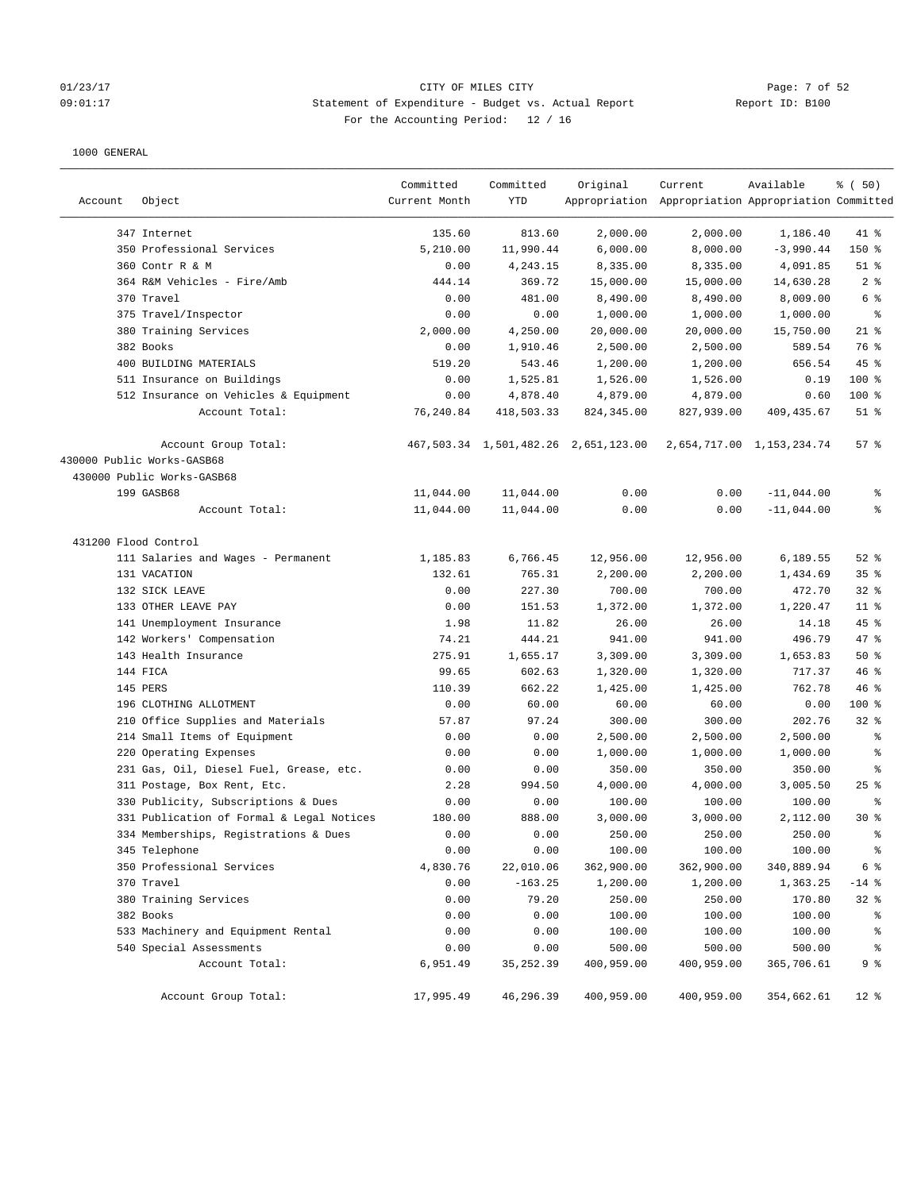# 01/23/17 Page: 7 of 52 09:01:17 Statement of Expenditure - Budget vs. Actual Report Report ID: B100 For the Accounting Period: 12 / 16

| Account              | Object                                    | Committed<br>Current Month | Committed<br><b>YTD</b> | Original                             | Current<br>Appropriation Appropriation Appropriation Committed | Available                 | % (50)                   |
|----------------------|-------------------------------------------|----------------------------|-------------------------|--------------------------------------|----------------------------------------------------------------|---------------------------|--------------------------|
|                      |                                           |                            |                         |                                      |                                                                |                           |                          |
|                      | 347 Internet                              | 135.60                     | 813.60                  | 2,000.00                             | 2,000.00                                                       | 1,186.40                  | 41 %                     |
|                      | 350 Professional Services                 | 5,210.00                   | 11,990.44               | 6,000.00                             | 8,000.00                                                       | $-3,990.44$               | 150 %                    |
|                      | 360 Contr R & M                           | 0.00                       | 4,243.15                | 8,335.00                             | 8,335.00                                                       | 4,091.85                  | $51$ %<br>2 <sup>8</sup> |
|                      | 364 R&M Vehicles - Fire/Amb<br>370 Travel | 444.14<br>0.00             | 369.72<br>481.00        | 15,000.00<br>8,490.00                | 15,000.00<br>8,490.00                                          | 14,630.28<br>8,009.00     | 6 %                      |
|                      | 375 Travel/Inspector                      | 0.00                       | 0.00                    | 1,000.00                             | 1,000.00                                                       |                           | နွ                       |
|                      | 380 Training Services                     | 2,000.00                   | 4,250.00                | 20,000.00                            |                                                                | 1,000.00<br>15,750.00     | $21$ %                   |
|                      | 382 Books                                 | 0.00                       | 1,910.46                | 2,500.00                             | 20,000.00<br>2,500.00                                          | 589.54                    | 76 %                     |
|                      | 400 BUILDING MATERIALS                    | 519.20                     | 543.46                  | 1,200.00                             | 1,200.00                                                       | 656.54                    | 45 %                     |
|                      | 511 Insurance on Buildings                | 0.00                       | 1,525.81                | 1,526.00                             | 1,526.00                                                       | 0.19                      | $100$ %                  |
|                      | 512 Insurance on Vehicles & Equipment     | 0.00                       | 4,878.40                | 4,879.00                             | 4,879.00                                                       | 0.60                      | 100 %                    |
|                      | Account Total:                            | 76,240.84                  | 418,503.33              | 824, 345.00                          | 827,939.00                                                     | 409, 435.67               | $51$ %                   |
|                      | Account Group Total:                      |                            |                         | 467,503.34 1,501,482.26 2,651,123.00 |                                                                | 2,654,717.00 1,153,234.74 | 57%                      |
|                      | 430000 Public Works-GASB68                |                            |                         |                                      |                                                                |                           |                          |
|                      | 430000 Public Works-GASB68                |                            |                         |                                      |                                                                |                           |                          |
|                      | 199 GASB68                                | 11,044.00                  | 11,044.00               | 0.00                                 | 0.00                                                           | $-11,044.00$              | နွ                       |
|                      | Account Total:                            | 11,044.00                  | 11,044.00               | 0.00                                 | 0.00                                                           | $-11,044.00$              | နွ                       |
| 431200 Flood Control |                                           |                            |                         |                                      |                                                                |                           |                          |
|                      | 111 Salaries and Wages - Permanent        | 1,185.83                   | 6,766.45                | 12,956.00                            | 12,956.00                                                      | 6,189.55                  | $52$ $%$                 |
|                      | 131 VACATION                              | 132.61                     | 765.31                  | 2,200.00                             | 2,200.00                                                       | 1,434.69                  | 35 <sup>8</sup>          |
|                      | 132 SICK LEAVE                            | 0.00                       | 227.30                  | 700.00                               | 700.00                                                         | 472.70                    | $32$ $%$                 |
|                      | 133 OTHER LEAVE PAY                       | 0.00                       | 151.53                  | 1,372.00                             | 1,372.00                                                       | 1,220.47                  | $11$ %                   |
|                      | 141 Unemployment Insurance                | 1.98                       | 11.82                   | 26.00                                | 26.00                                                          | 14.18                     | $45$ %                   |
|                      | 142 Workers' Compensation                 | 74.21                      | 444.21                  | 941.00                               | 941.00                                                         | 496.79                    | 47 %                     |
|                      | 143 Health Insurance                      | 275.91                     | 1,655.17                | 3,309.00                             | 3,309.00                                                       | 1,653.83                  | 50%                      |
|                      | 144 FICA                                  | 99.65                      | 602.63                  | 1,320.00                             | 1,320.00                                                       | 717.37                    | 46%                      |
|                      | 145 PERS                                  | 110.39                     | 662.22                  | 1,425.00                             | 1,425.00                                                       | 762.78                    | 46 %                     |
|                      | 196 CLOTHING ALLOTMENT                    | 0.00                       | 60.00                   | 60.00                                | 60.00                                                          | 0.00                      | 100 %                    |
|                      | 210 Office Supplies and Materials         | 57.87                      | 97.24                   | 300.00                               | 300.00                                                         | 202.76                    | $32$ $%$                 |
|                      | 214 Small Items of Equipment              | 0.00                       | 0.00                    | 2,500.00                             | 2,500.00                                                       | 2,500.00                  | ి                        |
|                      | 220 Operating Expenses                    | 0.00                       | 0.00                    | 1,000.00                             | 1,000.00                                                       | 1,000.00                  | နွ                       |
|                      | 231 Gas, Oil, Diesel Fuel, Grease, etc.   | 0.00                       | 0.00                    | 350.00                               | 350.00                                                         | 350.00                    | ್ಠಿ                      |
|                      | 311 Postage, Box Rent, Etc.               | 2.28                       | 994.50                  | 4,000.00                             | 4,000.00                                                       | 3,005.50                  | $25$ %                   |
|                      | 330 Publicity, Subscriptions & Dues       | 0.00                       | 0.00                    | 100.00                               | 100.00                                                         | 100.00                    | နွ                       |
|                      | 331 Publication of Formal & Legal Notices | 180.00                     | 888.00                  | 3,000.00                             | 3,000.00                                                       | 2,112.00                  | $30*$                    |
|                      | 334 Memberships, Registrations & Dues     | 0.00                       | 0.00                    | 250.00                               | 250.00                                                         | 250.00                    | ま                        |
|                      | 345 Telephone                             | 0.00                       | 0.00                    | 100.00                               | 100.00                                                         | 100.00                    | $\epsilon$               |
|                      | 350 Professional Services                 | 4,830.76                   | 22,010.06               | 362,900.00                           | 362,900.00                                                     | 340,889.94                | 6 <sup>°</sup>           |
|                      | 370 Travel                                | 0.00                       | $-163.25$               | 1,200.00                             | 1,200.00                                                       | 1,363.25                  | $-14$ %                  |
|                      | 380 Training Services                     | 0.00                       | 79.20                   | 250.00                               | 250.00                                                         | 170.80                    | 32%                      |
|                      | 382 Books                                 | 0.00                       | 0.00                    | 100.00                               | 100.00                                                         | 100.00                    | ိစ                       |
|                      | 533 Machinery and Equipment Rental        | 0.00                       | 0.00                    | 100.00                               | 100.00                                                         | 100.00                    | ್ಠಿ                      |
|                      | 540 Special Assessments                   | 0.00                       | 0.00                    | 500.00                               | 500.00                                                         | 500.00                    | $\epsilon$               |
|                      | Account Total:                            | 6,951.49                   | 35, 252.39              | 400,959.00                           | 400,959.00                                                     | 365,706.61                | 9 %                      |
|                      | Account Group Total:                      | 17,995.49                  | 46,296.39               | 400,959.00                           | 400,959.00                                                     | 354,662.61                | $12$ %                   |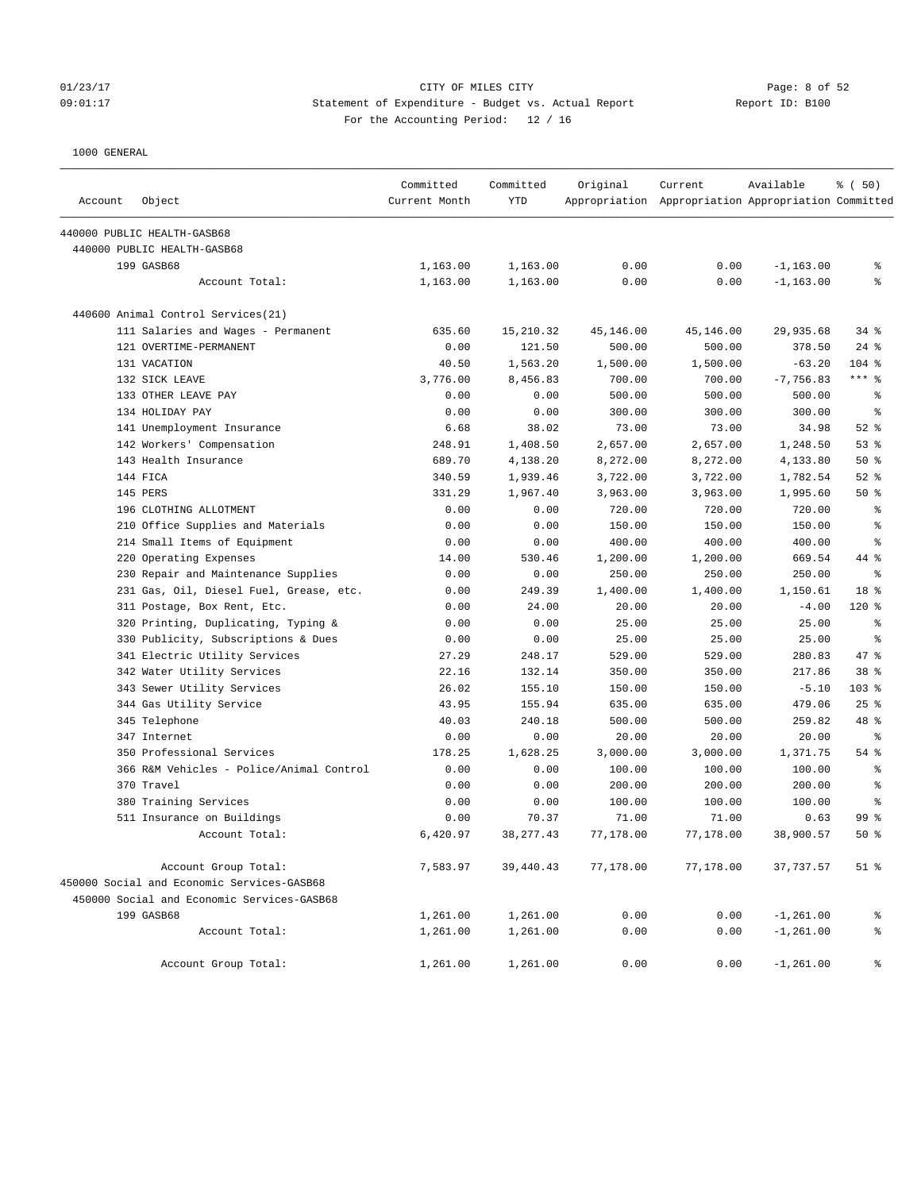### 01/23/17 Page: 8 of 52 09:01:17 Statement of Expenditure - Budget vs. Actual Report Report ID: B100 For the Accounting Period: 12 / 16

| Account | Object                                     | Committed<br>Current Month | Committed<br><b>YTD</b> | Original  | Current<br>Appropriation Appropriation Appropriation Committed | Available    | % (50)          |
|---------|--------------------------------------------|----------------------------|-------------------------|-----------|----------------------------------------------------------------|--------------|-----------------|
|         |                                            |                            |                         |           |                                                                |              |                 |
|         | 440000 PUBLIC HEALTH-GASB68                |                            |                         |           |                                                                |              |                 |
|         | 440000 PUBLIC HEALTH-GASB68                |                            |                         |           |                                                                |              |                 |
|         | 199 GASB68                                 | 1,163.00                   | 1,163.00                | 0.00      | 0.00                                                           | $-1, 163.00$ | ႜ               |
|         | Account Total:                             | 1,163.00                   | 1,163.00                | 0.00      | 0.00                                                           | $-1, 163.00$ | န္              |
|         | 440600 Animal Control Services(21)         |                            |                         |           |                                                                |              |                 |
|         | 111 Salaries and Wages - Permanent         | 635.60                     | 15,210.32               | 45,146.00 | 45,146.00                                                      | 29,935.68    | $34$ $%$        |
|         | 121 OVERTIME-PERMANENT                     | 0.00                       | 121.50                  | 500.00    | 500.00                                                         | 378.50       | $24$ %          |
|         | 131 VACATION                               | 40.50                      | 1,563.20                | 1,500.00  | 1,500.00                                                       | $-63.20$     | $104$ %         |
|         | 132 SICK LEAVE                             | 3,776.00                   | 8,456.83                | 700.00    | 700.00                                                         | $-7,756.83$  | *** 응           |
|         | 133 OTHER LEAVE PAY                        | 0.00                       | 0.00                    | 500.00    | 500.00                                                         | 500.00       | ႜ               |
|         | 134 HOLIDAY PAY                            | 0.00                       | 0.00                    | 300.00    | 300.00                                                         | 300.00       | နွ              |
|         | 141 Unemployment Insurance                 | 6.68                       | 38.02                   | 73.00     | 73.00                                                          | 34.98        | $52$ $%$        |
|         | 142 Workers' Compensation                  | 248.91                     | 1,408.50                | 2,657.00  | 2,657.00                                                       | 1,248.50     | 53%             |
|         | 143 Health Insurance                       | 689.70                     | 4,138.20                | 8,272.00  | 8,272.00                                                       | 4,133.80     | 50%             |
|         | 144 FICA                                   | 340.59                     | 1,939.46                | 3,722.00  | 3,722.00                                                       | 1,782.54     | $52$ $%$        |
|         | 145 PERS                                   | 331.29                     | 1,967.40                | 3,963.00  | 3,963.00                                                       | 1,995.60     | 50%             |
|         | 196 CLOTHING ALLOTMENT                     | 0.00                       | 0.00                    | 720.00    | 720.00                                                         | 720.00       | နွ              |
|         | 210 Office Supplies and Materials          | 0.00                       | 0.00                    | 150.00    | 150.00                                                         | 150.00       | $\epsilon$      |
|         | 214 Small Items of Equipment               | 0.00                       | 0.00                    | 400.00    | 400.00                                                         | 400.00       | $\epsilon$      |
|         | 220 Operating Expenses                     | 14.00                      | 530.46                  | 1,200.00  | 1,200.00                                                       | 669.54       | 44 %            |
|         | 230 Repair and Maintenance Supplies        | 0.00                       | 0.00                    | 250.00    | 250.00                                                         | 250.00       | နွ              |
|         | 231 Gas, Oil, Diesel Fuel, Grease, etc.    | 0.00                       | 249.39                  | 1,400.00  | 1,400.00                                                       | 1,150.61     | 18 %            |
|         | 311 Postage, Box Rent, Etc.                | 0.00                       | 24.00                   | 20.00     | 20.00                                                          | $-4.00$      | $120*$          |
|         | 320 Printing, Duplicating, Typing &        | 0.00                       | 0.00                    | 25.00     | 25.00                                                          | 25.00        | $\epsilon$      |
|         | 330 Publicity, Subscriptions & Dues        | 0.00                       | 0.00                    | 25.00     | 25.00                                                          | 25.00        | နွ              |
|         | 341 Electric Utility Services              | 27.29                      | 248.17                  | 529.00    | 529.00                                                         | 280.83       | 47 %            |
|         | 342 Water Utility Services                 | 22.16                      | 132.14                  | 350.00    | 350.00                                                         | 217.86       | 38 <sup>8</sup> |
|         | 343 Sewer Utility Services                 | 26.02                      | 155.10                  | 150.00    | 150.00                                                         | $-5.10$      | 103 %           |
|         | 344 Gas Utility Service                    | 43.95                      | 155.94                  | 635.00    | 635.00                                                         | 479.06       | 25%             |
|         | 345 Telephone                              | 40.03                      | 240.18                  | 500.00    | 500.00                                                         | 259.82       | 48 %            |
|         | 347 Internet                               | 0.00                       | 0.00                    | 20.00     | 20.00                                                          | 20.00        | ႜ               |
|         | 350 Professional Services                  | 178.25                     | 1,628.25                | 3,000.00  | 3,000.00                                                       | 1,371.75     | $54$ $%$        |
|         | 366 R&M Vehicles - Police/Animal Control   | 0.00                       | 0.00                    | 100.00    | 100.00                                                         | 100.00       | နွ              |
|         | 370 Travel                                 | 0.00                       | 0.00                    | 200.00    | 200.00                                                         | 200.00       | နွ              |
|         | 380 Training Services                      | 0.00                       | 0.00                    | 100.00    | 100.00                                                         | 100.00       | နွ              |
|         | 511 Insurance on Buildings                 | 0.00                       | 70.37                   | 71.00     | 71.00                                                          | 0.63         | 99 <sub>8</sub> |
|         | Account Total:                             | 6,420.97                   | 38, 277.43              | 77,178.00 | 77,178.00                                                      | 38,900.57    | $50*$           |
|         | Account Group Total:                       | 7,583.97                   | 39,440.43               | 77,178.00 | 77,178.00                                                      | 37,737.57    | $51$ %          |
|         | 450000 Social and Economic Services-GASB68 |                            |                         |           |                                                                |              |                 |
|         | 450000 Social and Economic Services-GASB68 |                            |                         |           |                                                                |              |                 |
|         | 199 GASB68                                 | 1,261.00                   | 1,261.00                | 0.00      | 0.00                                                           | $-1, 261.00$ | နွ              |
|         | Account Total:                             | 1,261.00                   | 1,261.00                | 0.00      | 0.00                                                           | $-1, 261.00$ | ್ಠಿ             |
|         | Account Group Total:                       | 1,261.00                   | 1,261.00                | 0.00      | 0.00                                                           | $-1, 261.00$ | ್ಠಿ             |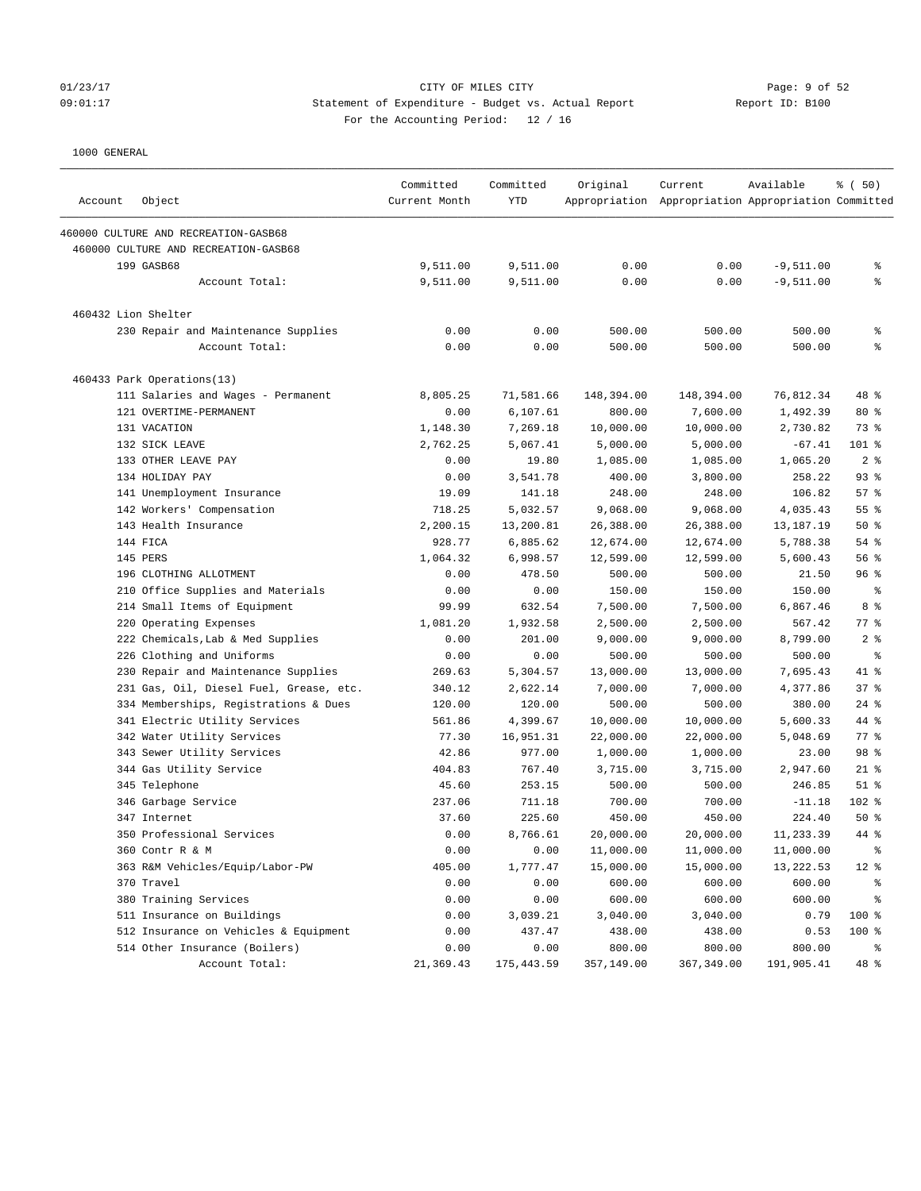### 01/23/17 Page: 9 of 52 09:01:17 Statement of Expenditure - Budget vs. Actual Report Report ID: B100 For the Accounting Period: 12 / 16

| Account | Object                                  | Committed<br>Current Month | Committed<br>YTD | Original   | Current<br>Appropriation Appropriation Appropriation Committed | Available   | % ( 50)                  |
|---------|-----------------------------------------|----------------------------|------------------|------------|----------------------------------------------------------------|-------------|--------------------------|
|         | 460000 CULTURE AND RECREATION-GASB68    |                            |                  |            |                                                                |             |                          |
|         | 460000 CULTURE AND RECREATION-GASB68    |                            |                  |            |                                                                |             |                          |
|         | 199 GASB68                              | 9,511.00                   | 9,511.00         | 0.00       | 0.00                                                           | $-9,511.00$ | နွ                       |
|         | Account Total:                          | 9,511.00                   | 9,511.00         | 0.00       | 0.00                                                           | $-9,511.00$ | နွ                       |
|         | 460432 Lion Shelter                     |                            |                  |            |                                                                |             |                          |
|         | 230 Repair and Maintenance Supplies     | 0.00                       | 0.00             | 500.00     | 500.00                                                         | 500.00      | နွ                       |
|         | Account Total:                          | 0.00                       | 0.00             | 500.00     | 500.00                                                         | 500.00      | နွ                       |
|         | 460433 Park Operations(13)              |                            |                  |            |                                                                |             |                          |
|         | 111 Salaries and Wages - Permanent      | 8,805.25                   | 71,581.66        | 148,394.00 | 148,394.00                                                     | 76,812.34   | 48 %                     |
|         | 121 OVERTIME-PERMANENT                  | 0.00                       | 6,107.61         | 800.00     | 7,600.00                                                       | 1,492.39    | $80*$                    |
|         | 131 VACATION                            | 1,148.30                   | 7,269.18         | 10,000.00  | 10,000.00                                                      | 2,730.82    | 73 %                     |
|         | 132 SICK LEAVE                          | 2,762.25                   | 5,067.41         | 5,000.00   | 5,000.00                                                       | $-67.41$    | 101 %                    |
|         | 133 OTHER LEAVE PAY                     | 0.00                       | 19.80            | 1,085.00   | 1,085.00                                                       | 1,065.20    | 2 <sup>8</sup>           |
|         | 134 HOLIDAY PAY                         | 0.00                       | 3,541.78         | 400.00     | 3,800.00                                                       | 258.22      | 93%                      |
|         | 141 Unemployment Insurance              | 19.09                      | 141.18           | 248.00     | 248.00                                                         | 106.82      | 57%                      |
|         | 142 Workers' Compensation               | 718.25                     | 5,032.57         | 9,068.00   | 9,068.00                                                       | 4,035.43    | 55 %                     |
|         | 143 Health Insurance                    | 2,200.15                   | 13,200.81        | 26,388.00  | 26,388.00                                                      | 13,187.19   | 50%                      |
|         | 144 FICA                                | 928.77                     | 6,885.62         | 12,674.00  | 12,674.00                                                      | 5,788.38    | $54$ %                   |
|         | 145 PERS                                | 1,064.32                   | 6,998.57         | 12,599.00  | 12,599.00                                                      | 5,600.43    | 56%                      |
|         | 196 CLOTHING ALLOTMENT                  | 0.00                       | 478.50           | 500.00     | 500.00                                                         | 21.50       | 96%                      |
|         | 210 Office Supplies and Materials       | 0.00                       | 0.00             | 150.00     | 150.00                                                         | 150.00      | နွ                       |
|         | 214 Small Items of Equipment            | 99.99                      | 632.54           | 7,500.00   | 7,500.00                                                       | 6,867.46    | 8 %                      |
|         | 220 Operating Expenses                  | 1,081.20                   | 1,932.58         | 2,500.00   | 2,500.00                                                       | 567.42      | $77$ $\frac{6}{9}$       |
|         | 222 Chemicals, Lab & Med Supplies       | 0.00                       | 201.00           | 9,000.00   | 9,000.00                                                       | 8,799.00    | 2%                       |
|         | 226 Clothing and Uniforms               | 0.00                       | 0.00             | 500.00     | 500.00                                                         | 500.00      | နွ                       |
|         | 230 Repair and Maintenance Supplies     | 269.63                     | 5,304.57         | 13,000.00  | 13,000.00                                                      | 7,695.43    | 41 %                     |
|         | 231 Gas, Oil, Diesel Fuel, Grease, etc. | 340.12                     | 2,622.14         | 7,000.00   | 7,000.00                                                       | 4,377.86    | 37%                      |
|         | 334 Memberships, Registrations & Dues   | 120.00                     | 120.00           | 500.00     | 500.00                                                         | 380.00      | $24$ %                   |
|         | 341 Electric Utility Services           | 561.86                     | 4,399.67         | 10,000.00  | 10,000.00                                                      | 5,600.33    | 44 %                     |
|         | 342 Water Utility Services              | 77.30                      | 16,951.31        | 22,000.00  | 22,000.00                                                      | 5,048.69    | $77$ $\frac{6}{9}$       |
|         | 343 Sewer Utility Services              | 42.86                      | 977.00           | 1,000.00   | 1,000.00                                                       | 23.00       | 98 %                     |
|         | 344 Gas Utility Service                 | 404.83                     | 767.40           | 3,715.00   | 3,715.00                                                       | 2,947.60    | $21$ %                   |
|         | 345 Telephone                           | 45.60                      | 253.15           | 500.00     | 500.00                                                         | 246.85      | $51$ %                   |
|         | 346 Garbage Service                     | 237.06                     | 711.18           | 700.00     | 700.00                                                         | $-11.18$    | 102 %                    |
|         | 347 Internet                            | 37.60                      | 225.60           | 450.00     | 450.00                                                         | 224.40      | 50%                      |
|         | 350 Professional Services               | 0.00                       | 8,766.61         | 20,000.00  | 20,000.00                                                      | 11,233.39   | $44*$                    |
|         | 360 Contr R & M                         | 0.00                       | 0.00             | 11,000.00  | 11,000.00                                                      | 11,000.00   | $\,{}^{\circ}\!\!\delta$ |
|         | 363 R&M Vehicles/Equip/Labor-PW         | 405.00                     | 1,777.47         | 15,000.00  | 15,000.00                                                      | 13, 222.53  | $12$ %                   |
|         | 370 Travel                              | 0.00                       | 0.00             | 600.00     | 600.00                                                         | 600.00      | ್ಠಿ                      |
|         | 380 Training Services                   | 0.00                       | 0.00             | 600.00     | 600.00                                                         | 600.00      | နွ                       |
|         | 511 Insurance on Buildings              | 0.00                       | 3,039.21         | 3,040.00   | 3,040.00                                                       | 0.79        | 100 %                    |
|         | 512 Insurance on Vehicles & Equipment   | 0.00                       | 437.47           | 438.00     | 438.00                                                         | 0.53        | 100 %                    |
|         | 514 Other Insurance (Boilers)           | 0.00                       | 0.00             | 800.00     | 800.00                                                         | 800.00      | ್ಠಿ                      |
|         | Account Total:                          | 21,369.43                  | 175,443.59       | 357,149.00 | 367,349.00                                                     | 191,905.41  | 48 %                     |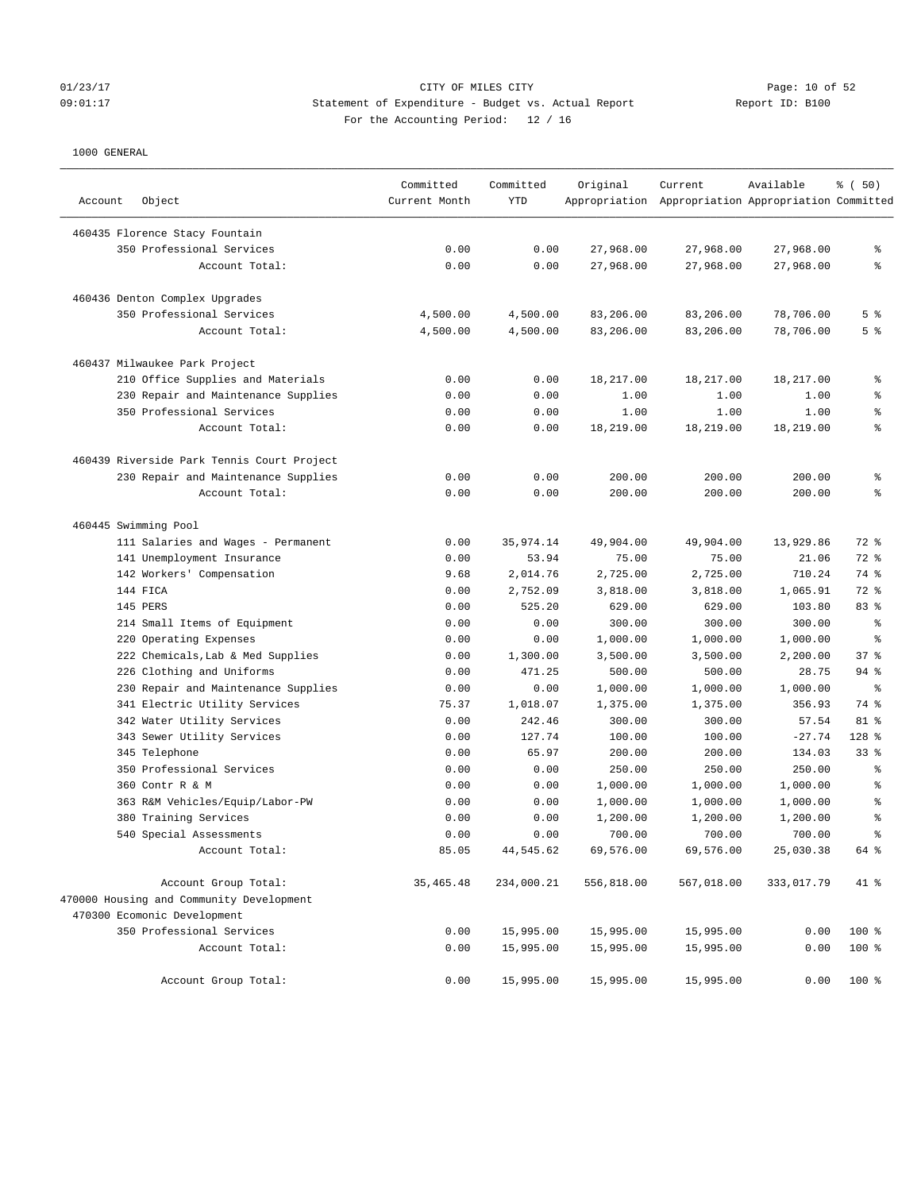# 01/23/17 CITY OF MILES CITY<br>
09:01:17 DPS Statement of Expenditure - Budget vs. Actual Report<br>
09:01:17 Page: 10 of 52 09:01:17 Statement of Expenditure - Budget vs. Actual Report Report ID: B100 For the Accounting Period: 12 / 16

| Account<br>Object                          | Committed<br>Current Month | Committed<br><b>YTD</b> | Original   | Current<br>Appropriation Appropriation Appropriation Committed | Available  | % (50)         |
|--------------------------------------------|----------------------------|-------------------------|------------|----------------------------------------------------------------|------------|----------------|
| 460435 Florence Stacy Fountain             |                            |                         |            |                                                                |            |                |
| 350 Professional Services                  | 0.00                       | 0.00                    | 27,968.00  | 27,968.00                                                      | 27,968.00  | ٩,             |
| Account Total:                             | 0.00                       | 0.00                    | 27,968.00  | 27,968.00                                                      | 27,968.00  | g              |
| 460436 Denton Complex Upgrades             |                            |                         |            |                                                                |            |                |
| 350 Professional Services                  | 4,500.00                   | 4,500.00                | 83,206.00  | 83,206.00                                                      | 78,706.00  | 5 <sup>8</sup> |
| Account Total:                             | 4,500.00                   | 4,500.00                | 83,206.00  | 83,206.00                                                      | 78,706.00  | 5 <sup>8</sup> |
| 460437 Milwaukee Park Project              |                            |                         |            |                                                                |            |                |
| 210 Office Supplies and Materials          | 0.00                       | 0.00                    | 18,217.00  | 18,217.00                                                      | 18,217.00  | န့             |
| 230 Repair and Maintenance Supplies        | 0.00                       | 0.00                    | 1.00       | 1.00                                                           | 1.00       | နွ             |
| 350 Professional Services                  | 0.00                       | 0.00                    | 1.00       | 1.00                                                           | 1.00       | g              |
| Account Total:                             | 0.00                       | 0.00                    | 18,219.00  | 18,219.00                                                      | 18,219.00  | g              |
| 460439 Riverside Park Tennis Court Project |                            |                         |            |                                                                |            |                |
| 230 Repair and Maintenance Supplies        | 0.00                       | 0.00                    | 200.00     | 200.00                                                         | 200.00     | န့             |
| Account Total:                             | 0.00                       | 0.00                    | 200.00     | 200.00                                                         | 200.00     | g              |
| 460445 Swimming Pool                       |                            |                         |            |                                                                |            |                |
| 111 Salaries and Wages - Permanent         | 0.00                       | 35,974.14               | 49,904.00  | 49,904.00                                                      | 13,929.86  | 72 %           |
| 141 Unemployment Insurance                 | 0.00                       | 53.94                   | 75.00      | 75.00                                                          | 21.06      | 72 %           |
| 142 Workers' Compensation                  | 9.68                       | 2,014.76                | 2,725.00   | 2,725.00                                                       | 710.24     | 74 %           |
| 144 FICA                                   | 0.00                       | 2,752.09                | 3,818.00   | 3,818.00                                                       | 1,065.91   | 72 %           |
| 145 PERS                                   | 0.00                       | 525.20                  | 629.00     | 629.00                                                         | 103.80     | 83 %           |
| 214 Small Items of Equipment               | 0.00                       | 0.00                    | 300.00     | 300.00                                                         | 300.00     | $\rm ^{9}$     |
| 220 Operating Expenses                     | 0.00                       | 0.00                    | 1,000.00   | 1,000.00                                                       | 1,000.00   | နွ             |
| 222 Chemicals, Lab & Med Supplies          | 0.00                       | 1,300.00                | 3,500.00   | 3,500.00                                                       | 2,200.00   | 37%            |
| 226 Clothing and Uniforms                  | 0.00                       | 471.25                  | 500.00     | 500.00                                                         | 28.75      | $94$ %         |
| 230 Repair and Maintenance Supplies        | 0.00                       | 0.00                    | 1,000.00   | 1,000.00                                                       | 1,000.00   | $\epsilon$     |
| 341 Electric Utility Services              | 75.37                      | 1,018.07                | 1,375.00   | 1,375.00                                                       | 356.93     | 74 %           |
| 342 Water Utility Services                 | 0.00                       | 242.46                  | 300.00     | 300.00                                                         | 57.54      | 81 %           |
| 343 Sewer Utility Services                 | 0.00                       | 127.74                  | 100.00     | 100.00                                                         | $-27.74$   | $128$ %        |
| 345 Telephone                              | 0.00                       | 65.97                   | 200.00     | 200.00                                                         | 134.03     | $33$ $%$       |
| 350 Professional Services                  | 0.00                       | 0.00                    | 250.00     | 250.00                                                         | 250.00     | နွ             |
| 360 Contr R & M                            | 0.00                       | 0.00                    | 1,000.00   | 1,000.00                                                       | 1,000.00   | g              |
| 363 R&M Vehicles/Equip/Labor-PW            | 0.00                       | 0.00                    | 1,000.00   | 1,000.00                                                       | 1,000.00   | g              |
| 380 Training Services                      | 0.00                       | 0.00                    | 1,200.00   | 1,200.00                                                       | 1,200.00   | န္             |
| 540 Special Assessments                    | 0.00                       | 0.00                    | 700.00     | 700.00                                                         | 700.00     | g              |
| Account Total:                             | 85.05                      | 44,545.62               | 69,576.00  | 69,576.00                                                      | 25,030.38  | 64 %           |
| Account Group Total:                       | 35, 465. 48                | 234,000.21              | 556,818.00 | 567,018.00                                                     | 333,017.79 | 41 %           |
| 470000 Housing and Community Development   |                            |                         |            |                                                                |            |                |
| 470300 Ecomonic Development                |                            |                         |            |                                                                |            |                |
| 350 Professional Services                  | 0.00                       | 15,995.00               | 15,995.00  | 15,995.00                                                      | 0.00       | 100 %          |
| Account Total:                             | 0.00                       | 15,995.00               | 15,995.00  | 15,995.00                                                      | 0.00       | 100 %          |
| Account Group Total:                       | 0.00                       | 15,995.00               | 15,995.00  | 15,995.00                                                      | 0.00       | $100$ %        |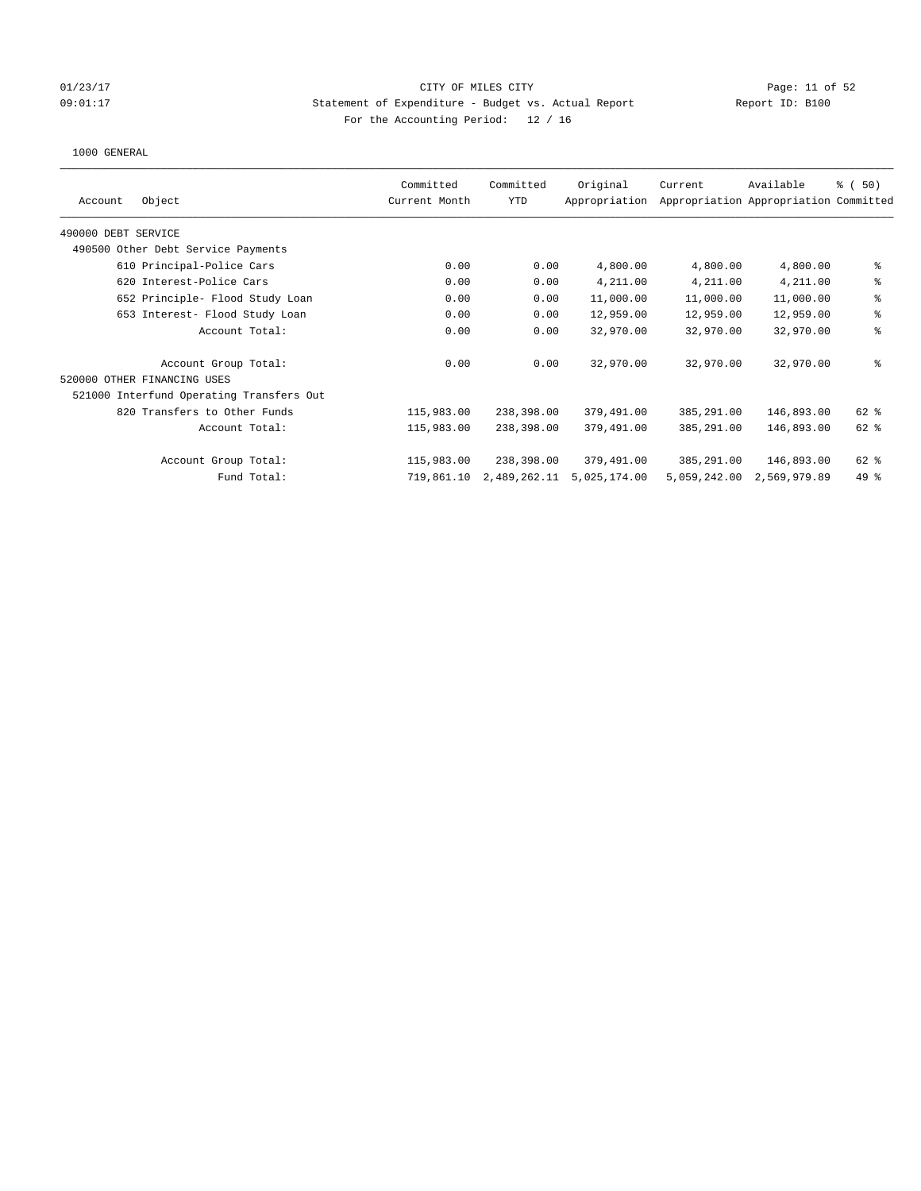## 01/23/17 Page: 11 of 52 Page: 11 of 52 09:01:17 Statement of Expenditure - Budget vs. Actual Report Report ID: B100 For the Accounting Period: 12 / 16

| Committed     | Committed  | Original      | Current                                                                | Available    | % (50)                                                                                                                                                                                                                             |
|---------------|------------|---------------|------------------------------------------------------------------------|--------------|------------------------------------------------------------------------------------------------------------------------------------------------------------------------------------------------------------------------------------|
| Current Month | <b>YTD</b> | Appropriation |                                                                        |              |                                                                                                                                                                                                                                    |
|               |            |               |                                                                        |              |                                                                                                                                                                                                                                    |
|               |            |               |                                                                        |              |                                                                                                                                                                                                                                    |
| 0.00          | 0.00       | 4,800.00      |                                                                        | 4,800.00     | နွ                                                                                                                                                                                                                                 |
| 0.00          | 0.00       | 4,211.00      |                                                                        | 4,211.00     | ి                                                                                                                                                                                                                                  |
| 0.00          | 0.00       | 11,000.00     |                                                                        |              | ್ಠಿ                                                                                                                                                                                                                                |
| 0.00          | 0.00       | 12,959.00     |                                                                        | 12,959.00    | ి                                                                                                                                                                                                                                  |
| 0.00          |            | 32,970.00     |                                                                        | 32,970.00    | ి                                                                                                                                                                                                                                  |
| 0.00          |            | 32,970.00     |                                                                        | 32,970.00    | ి                                                                                                                                                                                                                                  |
|               |            |               |                                                                        |              |                                                                                                                                                                                                                                    |
|               |            |               |                                                                        |              |                                                                                                                                                                                                                                    |
| 115,983.00    |            | 379,491.00    |                                                                        |              | 62 %                                                                                                                                                                                                                               |
| 115,983.00    |            | 379,491.00    |                                                                        |              | 62 %                                                                                                                                                                                                                               |
| 115,983.00    |            | 379,491.00    |                                                                        |              | 62 %                                                                                                                                                                                                                               |
| 719,861.10    |            | 5,025,174.00  |                                                                        | 2,569,979.89 | $49*$                                                                                                                                                                                                                              |
|               |            |               | 0.00<br>0.00<br>238,398.00<br>238,398.00<br>238,398.00<br>2,489,262.11 |              | Appropriation Appropriation Committed<br>4,800.00<br>4,211.00<br>11,000.00<br>11,000.00<br>12,959.00<br>32,970.00<br>32,970.00<br>146,893.00<br>385,291.00<br>385,291.00<br>146,893.00<br>146,893.00<br>385,291.00<br>5,059,242.00 |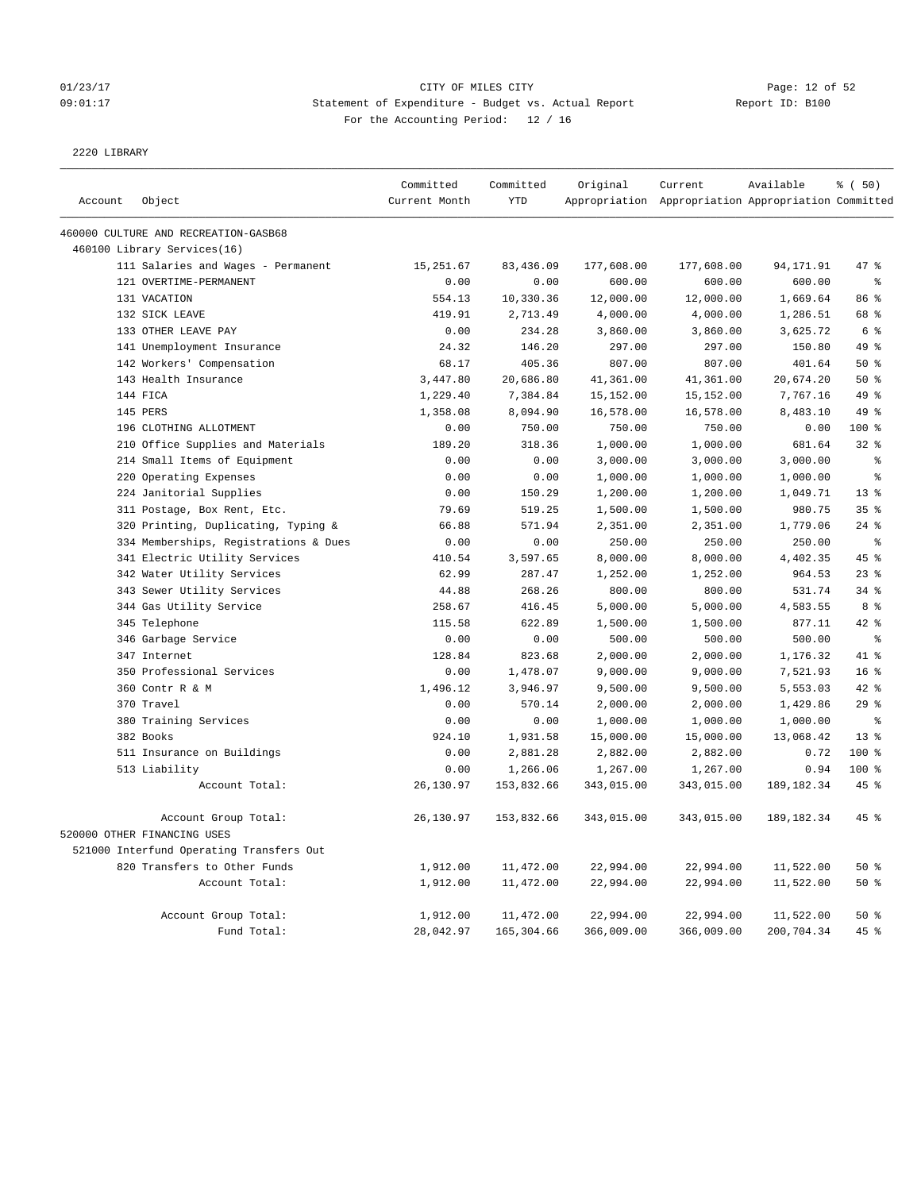# 01/23/17 Page: 12 of 52 09:01:17 Statement of Expenditure - Budget vs. Actual Report Report ID: B100 For the Accounting Period: 12 / 16

2220 LIBRARY

|         |                                          | Committed     | Committed  | Original   | Current                                             | Available   | % (50)          |
|---------|------------------------------------------|---------------|------------|------------|-----------------------------------------------------|-------------|-----------------|
| Account | Object                                   | Current Month | <b>YTD</b> |            | Appropriation Appropriation Appropriation Committed |             |                 |
|         | 460000 CULTURE AND RECREATION-GASB68     |               |            |            |                                                     |             |                 |
|         | 460100 Library Services(16)              |               |            |            |                                                     |             |                 |
|         | 111 Salaries and Wages - Permanent       | 15, 251.67    | 83,436.09  | 177,608.00 | 177,608.00                                          | 94, 171.91  | 47 %            |
|         | 121 OVERTIME-PERMANENT                   | 0.00          | 0.00       | 600.00     | 600.00                                              | 600.00      | န္              |
|         | 131 VACATION                             | 554.13        | 10,330.36  | 12,000.00  | 12,000.00                                           | 1,669.64    | 86 %            |
|         | 132 SICK LEAVE                           | 419.91        | 2,713.49   | 4,000.00   | 4,000.00                                            | 1,286.51    | 68 %            |
|         | 133 OTHER LEAVE PAY                      | 0.00          | 234.28     | 3,860.00   | 3,860.00                                            | 3,625.72    | 6 <sup>°</sup>  |
|         | 141 Unemployment Insurance               | 24.32         | 146.20     | 297.00     | 297.00                                              | 150.80      | 49 %            |
|         | 142 Workers' Compensation                | 68.17         | 405.36     | 807.00     | 807.00                                              | 401.64      | 50%             |
|         | 143 Health Insurance                     | 3,447.80      | 20,686.80  | 41,361.00  | 41,361.00                                           | 20,674.20   | 50%             |
|         | 144 FICA                                 | 1,229.40      | 7,384.84   | 15,152.00  | 15,152.00                                           | 7,767.16    | 49 %            |
|         | 145 PERS                                 | 1,358.08      | 8,094.90   | 16,578.00  | 16,578.00                                           | 8,483.10    | 49 %            |
|         | 196 CLOTHING ALLOTMENT                   | 0.00          | 750.00     | 750.00     | 750.00                                              | 0.00        | 100 %           |
|         | 210 Office Supplies and Materials        | 189.20        | 318.36     | 1,000.00   | 1,000.00                                            | 681.64      | 32%             |
|         | 214 Small Items of Equipment             | 0.00          | 0.00       | 3,000.00   | 3,000.00                                            | 3,000.00    | $\epsilon$      |
|         | 220 Operating Expenses                   | 0.00          | 0.00       | 1,000.00   | 1,000.00                                            | 1,000.00    | る               |
|         | 224 Janitorial Supplies                  | 0.00          | 150.29     | 1,200.00   | 1,200.00                                            | 1,049.71    | 13 <sup>8</sup> |
|         | 311 Postage, Box Rent, Etc.              | 79.69         | 519.25     | 1,500.00   | 1,500.00                                            | 980.75      | 35%             |
|         | 320 Printing, Duplicating, Typing &      | 66.88         | 571.94     | 2,351.00   | 2,351.00                                            | 1,779.06    | $24$ %          |
|         | 334 Memberships, Registrations & Dues    | 0.00          | 0.00       | 250.00     | 250.00                                              | 250.00      | $\,$ $\,$ $\,$  |
|         | 341 Electric Utility Services            | 410.54        | 3,597.65   | 8,000.00   | 8,000.00                                            | 4,402.35    | 45%             |
|         | 342 Water Utility Services               | 62.99         | 287.47     | 1,252.00   | 1,252.00                                            | 964.53      | 23%             |
|         | 343 Sewer Utility Services               | 44.88         | 268.26     | 800.00     | 800.00                                              | 531.74      | 34%             |
|         | 344 Gas Utility Service                  | 258.67        | 416.45     | 5,000.00   | 5,000.00                                            | 4,583.55    | 8%              |
|         | 345 Telephone                            | 115.58        | 622.89     | 1,500.00   | 1,500.00                                            | 877.11      | 42%             |
|         | 346 Garbage Service                      | 0.00          | 0.00       | 500.00     | 500.00                                              | 500.00      | $\epsilon$      |
|         | 347 Internet                             | 128.84        | 823.68     | 2,000.00   | 2,000.00                                            | 1,176.32    | 41.8            |
|         | 350 Professional Services                | 0.00          | 1,478.07   | 9,000.00   | 9,000.00                                            | 7,521.93    | 16 <sup>°</sup> |
|         | 360 Contr R & M                          | 1,496.12      | 3,946.97   | 9,500.00   | 9,500.00                                            | 5,553.03    | 42 %            |
|         | 370 Travel                               | 0.00          | 570.14     | 2,000.00   | 2,000.00                                            | 1,429.86    | 29%             |
|         | 380 Training Services                    | 0.00          | 0.00       | 1,000.00   | 1,000.00                                            | 1,000.00    | $\epsilon$      |
|         | 382 Books                                | 924.10        | 1,931.58   | 15,000.00  | 15,000.00                                           | 13,068.42   | $13*$           |
|         | 511 Insurance on Buildings               | 0.00          | 2,881.28   | 2,882.00   | 2,882.00                                            | 0.72        | 100 %           |
|         | 513 Liability                            | 0.00          | 1,266.06   | 1,267.00   | 1,267.00                                            | 0.94        | $100*$          |
|         | Account Total:                           | 26,130.97     | 153,832.66 | 343,015.00 | 343,015.00                                          | 189, 182.34 | 45%             |
|         | Account Group Total:                     | 26,130.97     | 153,832.66 | 343,015.00 | 343,015.00                                          | 189, 182.34 | $45$ %          |
|         | 520000 OTHER FINANCING USES              |               |            |            |                                                     |             |                 |
|         | 521000 Interfund Operating Transfers Out |               |            |            |                                                     |             |                 |
|         | 820 Transfers to Other Funds             | 1,912.00      | 11,472.00  | 22,994.00  | 22,994.00                                           | 11,522.00   | 50%             |
|         | Account Total:                           | 1,912.00      | 11,472.00  | 22,994.00  | 22,994.00                                           | 11,522.00   | 50%             |
|         | Account Group Total:                     | 1,912.00      | 11,472.00  | 22,994.00  | 22,994.00                                           | 11,522.00   | 50%             |
|         | Fund Total:                              | 28,042.97     | 165,304.66 | 366,009.00 | 366,009.00                                          | 200,704.34  | 45%             |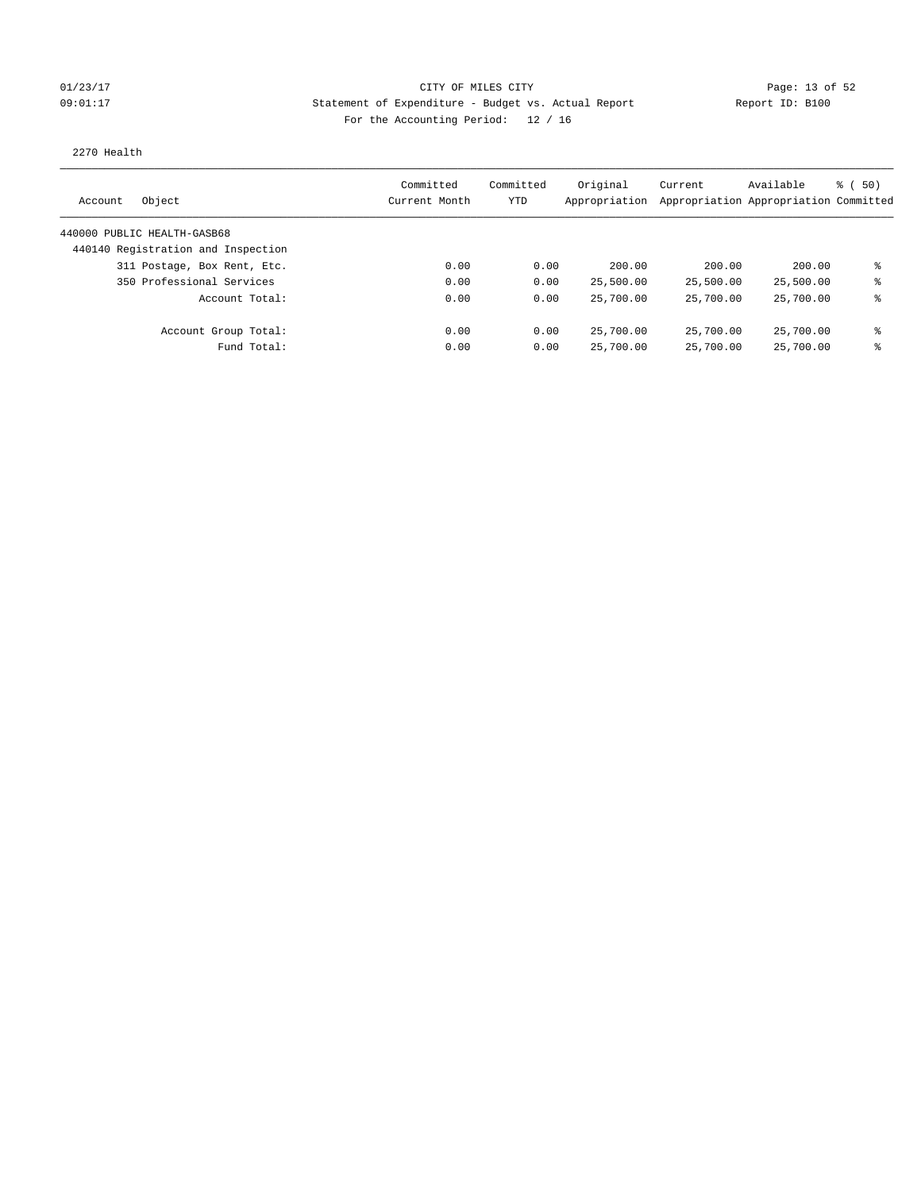## 01/23/17 Page: 13 of 52 Page: 13 OF MILES CITY CITY CITY CITY 09:01:17 Statement of Expenditure - Budget vs. Actual Report Report ID: B100 For the Accounting Period: 12 / 16

### 2270 Health

| Object<br>Account                  | Committed<br>Current Month | Committed<br>YTD | Original<br>Appropriation | Current   | Available<br>Appropriation Appropriation Committed | 8 ( 50) |
|------------------------------------|----------------------------|------------------|---------------------------|-----------|----------------------------------------------------|---------|
| 440000 PUBLIC HEALTH-GASB68        |                            |                  |                           |           |                                                    |         |
| 440140 Registration and Inspection |                            |                  |                           |           |                                                    |         |
| 311 Postage, Box Rent, Etc.        | 0.00                       | 0.00             | 200.00                    | 200.00    | 200.00                                             | ま       |
| 350 Professional Services          | 0.00                       | 0.00             | 25,500.00                 | 25,500.00 | 25,500.00                                          | ⊱       |
| Account Total:                     | 0.00                       | 0.00             | 25,700.00                 | 25,700.00 | 25,700.00                                          | ま       |
| Account Group Total:               | 0.00                       | 0.00             | 25,700.00                 | 25,700.00 | 25,700.00                                          | နွ      |
| Fund Total:                        | 0.00                       | 0.00             | 25,700.00                 | 25,700.00 | 25,700.00                                          | ⊱       |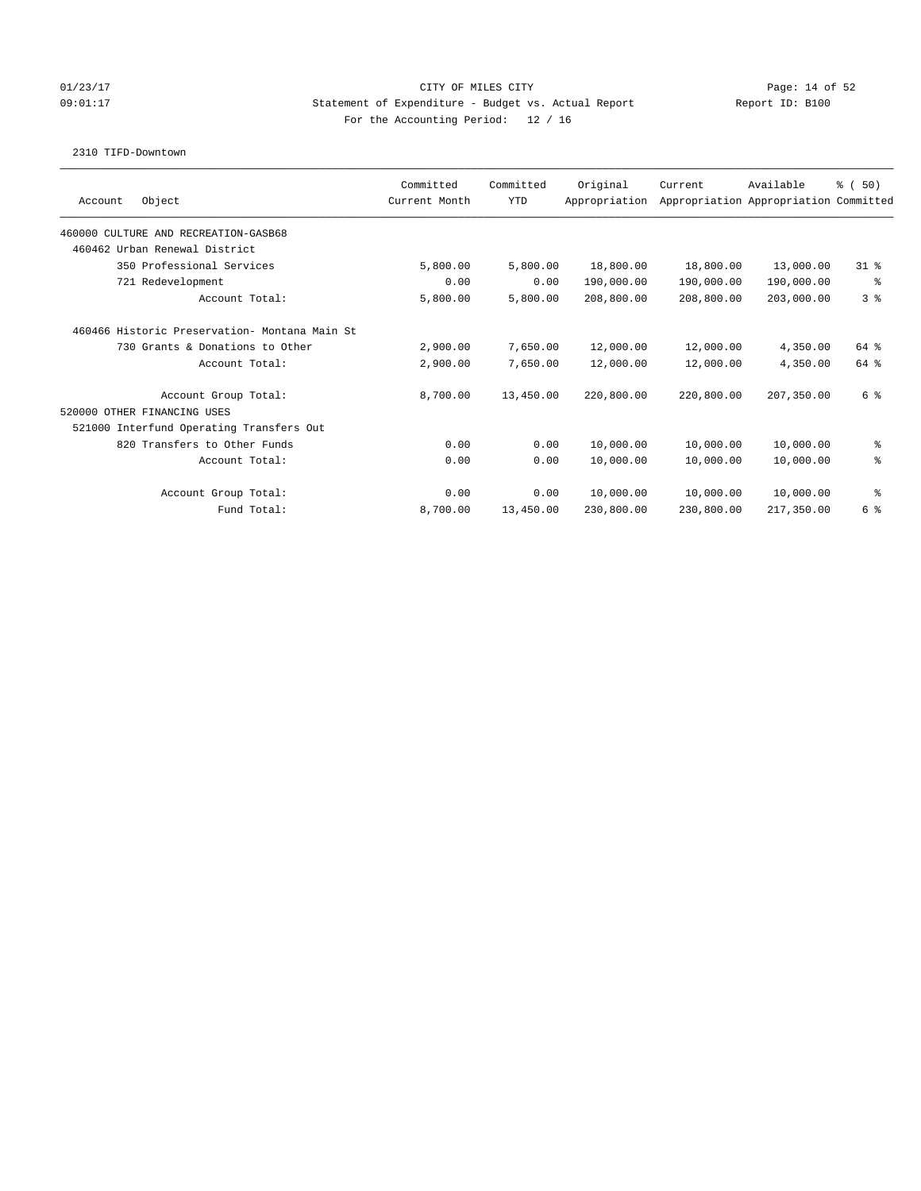## 01/23/17 Page: 14 of 52 Page: 14 OF MILES CITY 09:01:17 Statement of Expenditure - Budget vs. Actual Report Report ID: B100 For the Accounting Period: 12 / 16

### 2310 TIFD-Downtown

|                                                | Committed     | Committed  | Original      | Current                               | Available  | % (50)         |
|------------------------------------------------|---------------|------------|---------------|---------------------------------------|------------|----------------|
| Object<br>Account                              | Current Month | <b>YTD</b> | Appropriation | Appropriation Appropriation Committed |            |                |
| 460000 CULTURE AND RECREATION-GASB68           |               |            |               |                                       |            |                |
| 460462 Urban Renewal District                  |               |            |               |                                       |            |                |
| 350 Professional Services                      | 5,800.00      | 5,800.00   | 18,800.00     | 18,800.00                             | 13,000.00  | $31*$          |
| 721 Redevelopment                              | 0.00          | 0.00       | 190,000.00    | 190,000.00                            | 190,000.00 | နွ             |
| Account Total:                                 | 5,800.00      | 5,800.00   | 208,800.00    | 208,800.00                            | 203,000.00 | 3 <sup>8</sup> |
| 460466 Historic Preservation- Montana Main St. |               |            |               |                                       |            |                |
| 730 Grants & Donations to Other                | 2,900.00      | 7,650.00   | 12,000.00     | 12,000.00                             | 4,350.00   | 64 %           |
| Account Total:                                 | 2,900.00      | 7,650.00   | 12,000.00     | 12,000.00                             | 4,350.00   | 64 %           |
| Account Group Total:                           | 8,700.00      | 13,450.00  | 220,800.00    | 220,800.00                            | 207,350.00 | 6 %            |
| 520000 OTHER FINANCING USES                    |               |            |               |                                       |            |                |
| 521000 Interfund Operating Transfers Out       |               |            |               |                                       |            |                |
| 820 Transfers to Other Funds                   | 0.00          | 0.00       | 10,000.00     | 10,000.00                             | 10,000.00  | နွ             |
| Account Total:                                 | 0.00          | 0.00       | 10,000.00     | 10,000.00                             | 10,000.00  | る              |
| Account Group Total:                           | 0.00          | 0.00       | 10,000.00     | 10,000.00                             | 10,000.00  | နွ             |
| Fund Total:                                    | 8,700.00      | 13,450.00  | 230,800.00    | 230,800.00                            | 217,350.00 | 6 %            |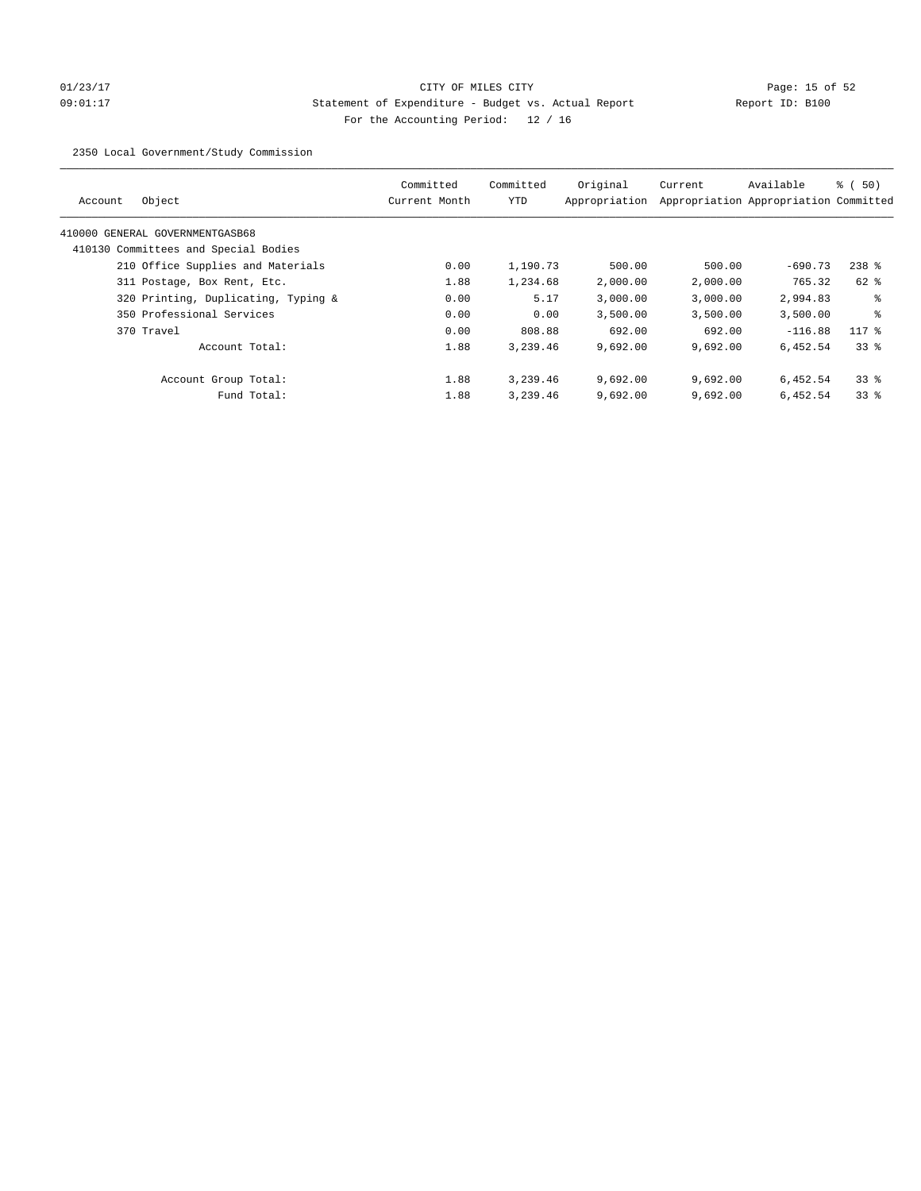# 01/23/17 Page: 15 of 52 09:01:17 Statement of Expenditure - Budget vs. Actual Report Report ID: B100 For the Accounting Period: 12 / 16

2350 Local Government/Study Commission

| Object<br>Account                    | Committed<br>Current Month | Committed<br><b>YTD</b> | Original<br>Appropriation | Current  | Available<br>Appropriation Appropriation Committed | $\frac{1}{2}$ (50) |
|--------------------------------------|----------------------------|-------------------------|---------------------------|----------|----------------------------------------------------|--------------------|
| 410000 GENERAL GOVERNMENTGASB68      |                            |                         |                           |          |                                                    |                    |
| 410130 Committees and Special Bodies |                            |                         |                           |          |                                                    |                    |
| 210 Office Supplies and Materials    | 0.00                       | 1,190.73                | 500.00                    | 500.00   | $-690.73$                                          | $238$ %            |
| 311 Postage, Box Rent, Etc.          | 1.88                       | 1,234.68                | 2,000.00                  | 2,000.00 | 765.32                                             | 62 %               |
| 320 Printing, Duplicating, Typing &  | 0.00                       | 5.17                    | 3,000.00                  | 3,000.00 | 2,994.83                                           | ႜ                  |
| 350 Professional Services            | 0.00                       | 0.00                    | 3,500.00                  | 3,500.00 | 3,500.00                                           | る                  |
| 370 Travel                           | 0.00                       | 808.88                  | 692.00                    | 692.00   | $-116.88$                                          | $117$ %            |
| Account Total:                       | 1.88                       | 3,239.46                | 9,692.00                  | 9,692.00 | 6,452.54                                           | 338                |
| Account Group Total:                 | 1.88                       | 3,239.46                | 9,692.00                  | 9,692.00 | 6,452.54                                           | 338                |
| Fund Total:                          | 1.88                       | 3,239.46                | 9,692.00                  | 9,692.00 | 6,452.54                                           | 338                |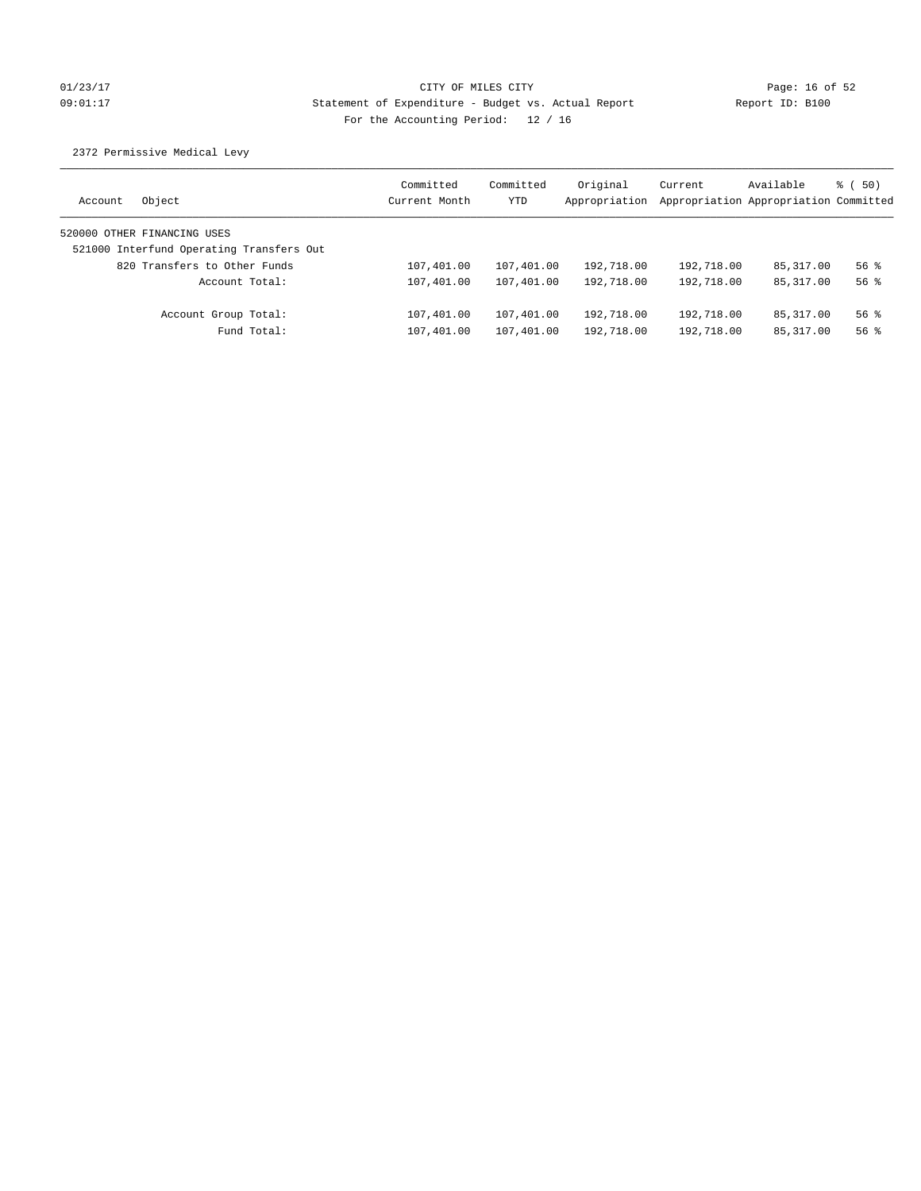# 01/23/17 Page: 16 of 52 09:01:17 Statement of Expenditure - Budget vs. Actual Report Report ID: B100 For the Accounting Period: 12 / 16

2372 Permissive Medical Levy

| Object<br>Account                        | Committed<br>Current Month | Committed<br>YTD | Original<br>Appropriation | Current    | Available<br>Appropriation Appropriation Committed | $\frac{1}{2}$ (50) |
|------------------------------------------|----------------------------|------------------|---------------------------|------------|----------------------------------------------------|--------------------|
| 520000 OTHER FINANCING USES              |                            |                  |                           |            |                                                    |                    |
| 521000 Interfund Operating Transfers Out |                            |                  |                           |            |                                                    |                    |
| 820 Transfers to Other Funds             | 107,401.00                 | 107,401.00       | 192,718.00                | 192,718.00 | 85,317.00                                          | $56$ $%$           |
| Account Total:                           | 107,401.00                 | 107,401.00       | 192,718.00                | 192,718.00 | 85, 317, 00                                        | $56$ $%$           |
| Account Group Total:                     | 107,401.00                 | 107,401.00       | 192,718.00                | 192,718.00 | 85,317.00                                          | $56$ $%$           |
| Fund Total:                              | 107,401.00                 | 107,401.00       | 192,718.00                | 192,718.00 | 85,317.00                                          | $56$ $%$           |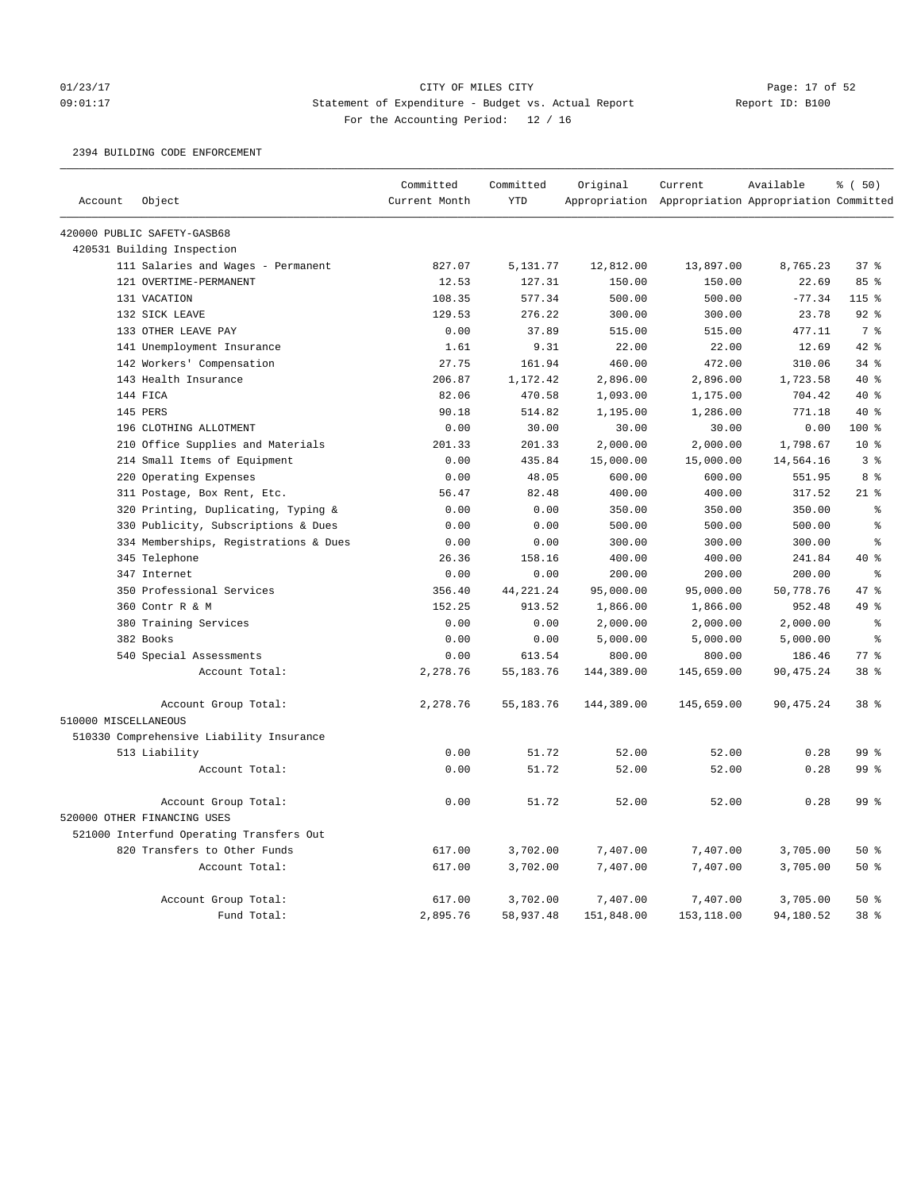### 01/23/17 Page: 17 of 52 Page: 17 of 52 09:01:17 Statement of Expenditure - Budget vs. Actual Report Report ID: B100 For the Accounting Period: 12 / 16

### 2394 BUILDING CODE ENFORCEMENT

|                      |                                          | Committed     | Committed   | Original   | Current                                             | Available  | % (50)          |
|----------------------|------------------------------------------|---------------|-------------|------------|-----------------------------------------------------|------------|-----------------|
| Account              | Object                                   | Current Month | <b>YTD</b>  |            | Appropriation Appropriation Appropriation Committed |            |                 |
|                      | 420000 PUBLIC SAFETY-GASB68              |               |             |            |                                                     |            |                 |
|                      | 420531 Building Inspection               |               |             |            |                                                     |            |                 |
|                      | 111 Salaries and Wages - Permanent       | 827.07        | 5,131.77    | 12,812.00  | 13,897.00                                           | 8,765.23   | 37 <sup>8</sup> |
|                      | 121 OVERTIME-PERMANENT                   | 12.53         | 127.31      | 150.00     | 150.00                                              | 22.69      | 85 %            |
|                      | 131 VACATION                             | 108.35        | 577.34      | 500.00     | 500.00                                              | $-77.34$   | $115*$          |
|                      | 132 SICK LEAVE                           | 129.53        | 276.22      | 300.00     | 300.00                                              | 23.78      | $92$ %          |
|                      | 133 OTHER LEAVE PAY                      | 0.00          | 37.89       | 515.00     | 515.00                                              | 477.11     | 7 <sup>°</sup>  |
|                      | 141 Unemployment Insurance               | 1.61          | 9.31        | 22.00      | 22.00                                               | 12.69      | 42 %            |
|                      | 142 Workers' Compensation                | 27.75         | 161.94      | 460.00     | 472.00                                              | 310.06     | 34%             |
|                      | 143 Health Insurance                     | 206.87        | 1,172.42    | 2,896.00   | 2,896.00                                            | 1,723.58   | $40*$           |
|                      | 144 FICA                                 | 82.06         | 470.58      | 1,093.00   | 1,175.00                                            | 704.42     | $40*$           |
|                      | 145 PERS                                 | 90.18         | 514.82      | 1,195.00   | 1,286.00                                            | 771.18     | $40*$           |
|                      | 196 CLOTHING ALLOTMENT                   | 0.00          | 30.00       | 30.00      | 30.00                                               | 0.00       | 100%            |
|                      | 210 Office Supplies and Materials        | 201.33        | 201.33      | 2,000.00   | 2,000.00                                            | 1,798.67   | $10*$           |
|                      | 214 Small Items of Equipment             | 0.00          | 435.84      | 15,000.00  | 15,000.00                                           | 14,564.16  | 3%              |
|                      | 220 Operating Expenses                   | 0.00          | 48.05       | 600.00     | 600.00                                              | 551.95     | 8%              |
|                      | 311 Postage, Box Rent, Etc.              | 56.47         | 82.48       | 400.00     | 400.00                                              | 317.52     | $21$ %          |
|                      | 320 Printing, Duplicating, Typing &      | 0.00          | 0.00        | 350.00     | 350.00                                              | 350.00     | နွ              |
|                      | 330 Publicity, Subscriptions & Dues      | 0.00          | 0.00        | 500.00     | 500.00                                              | 500.00     | နွ              |
|                      | 334 Memberships, Registrations & Dues    | 0.00          | 0.00        | 300.00     | 300.00                                              | 300.00     | ٩,              |
|                      | 345 Telephone                            | 26.36         | 158.16      | 400.00     | 400.00                                              | 241.84     | $40*$           |
|                      | 347 Internet                             | 0.00          | 0.00        | 200.00     | 200.00                                              | 200.00     | $\epsilon$      |
|                      | 350 Professional Services                | 356.40        | 44, 221. 24 | 95,000.00  | 95,000.00                                           | 50,778.76  | 47 %            |
|                      | 360 Contr R & M                          | 152.25        | 913.52      | 1,866.00   | 1,866.00                                            | 952.48     | $49*$           |
|                      | 380 Training Services                    | 0.00          | 0.00        | 2,000.00   | 2,000.00                                            | 2,000.00   | နွ              |
|                      | 382 Books                                | 0.00          | 0.00        | 5,000.00   | 5,000.00                                            | 5,000.00   | နွ              |
|                      | 540 Special Assessments                  | 0.00          | 613.54      | 800.00     | 800.00                                              | 186.46     | $77*$           |
|                      | Account Total:                           | 2,278.76      | 55, 183. 76 | 144,389.00 | 145,659.00                                          | 90, 475.24 | 38 <sup>8</sup> |
|                      | Account Group Total:                     | 2,278.76      | 55, 183. 76 | 144,389.00 | 145,659.00                                          | 90, 475.24 | 38 %            |
| 510000 MISCELLANEOUS |                                          |               |             |            |                                                     |            |                 |
|                      | 510330 Comprehensive Liability Insurance |               |             |            |                                                     |            |                 |
|                      | 513 Liability                            | 0.00          | 51.72       | 52.00      | 52.00                                               | 0.28       | 99 %            |
|                      | Account Total:                           | 0.00          | 51.72       | 52.00      | 52.00                                               | 0.28       | 99 <sup>8</sup> |
|                      | Account Group Total:                     | 0.00          | 51.72       | 52.00      | 52.00                                               | 0.28       | 99 <sup>8</sup> |
|                      | 520000 OTHER FINANCING USES              |               |             |            |                                                     |            |                 |
|                      | 521000 Interfund Operating Transfers Out |               |             |            |                                                     |            |                 |
|                      | 820 Transfers to Other Funds             | 617.00        | 3,702.00    | 7,407.00   | 7,407.00                                            | 3,705.00   | 50%             |
|                      | Account Total:                           | 617.00        | 3,702.00    | 7,407.00   | 7,407.00                                            | 3,705.00   | 50%             |
|                      | Account Group Total:                     | 617.00        | 3,702.00    | 7,407.00   | 7,407.00                                            | 3,705.00   | 50%             |
|                      | Fund Total:                              | 2,895.76      | 58,937.48   | 151,848.00 | 153,118.00                                          | 94,180.52  | 38 %            |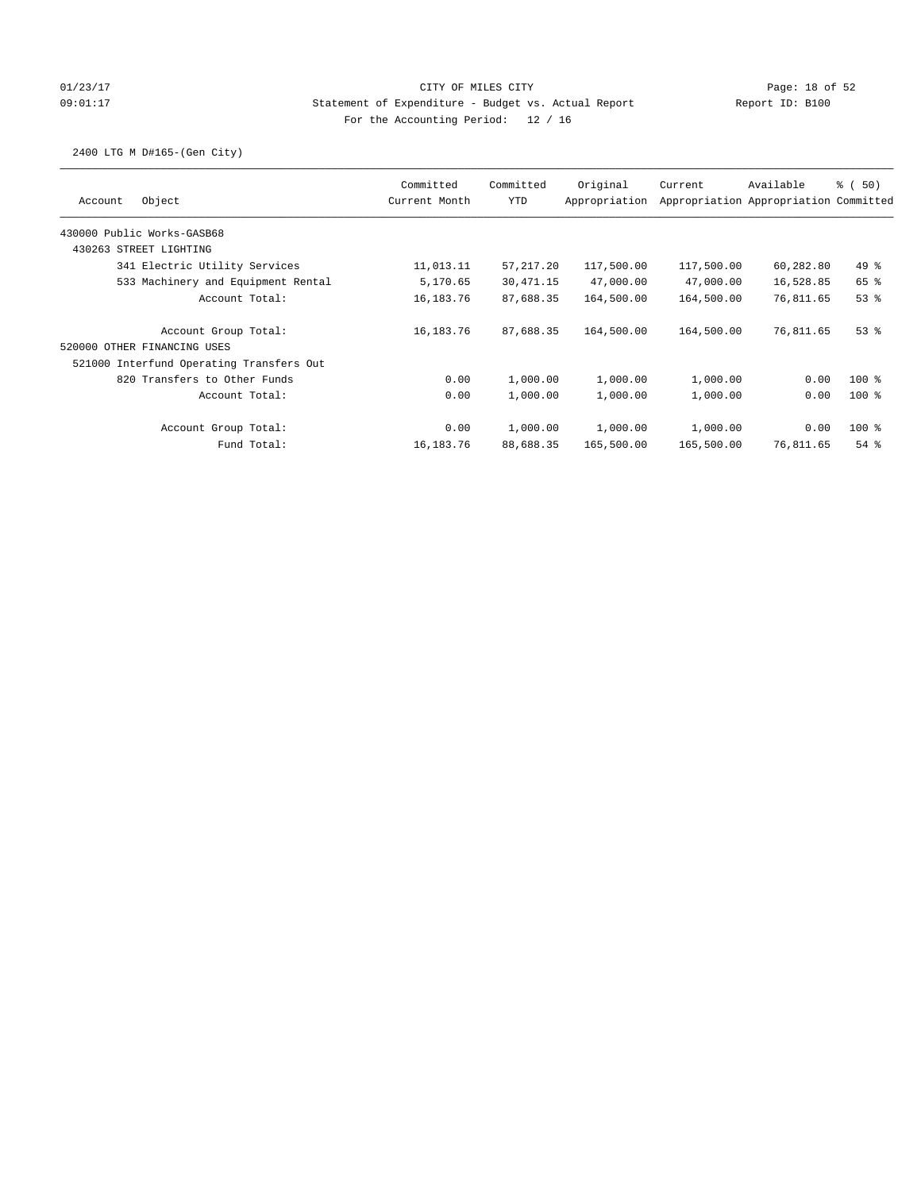## 01/23/17 Page: 18 of 52 09:01:17 Statement of Expenditure - Budget vs. Actual Report Report ID: B100 For the Accounting Period: 12 / 16

## 2400 LTG M D#165-(Gen City)

| Object<br>Account                        | Committed<br>Current Month | Committed<br><b>YTD</b> | Original<br>Appropriation | Current    | Available<br>Appropriation Appropriation Committed | $\frac{1}{6}$ (50) |
|------------------------------------------|----------------------------|-------------------------|---------------------------|------------|----------------------------------------------------|--------------------|
| 430000 Public Works-GASB68               |                            |                         |                           |            |                                                    |                    |
| 430263 STREET LIGHTING                   |                            |                         |                           |            |                                                    |                    |
| 341 Electric Utility Services            | 11,013.11                  | 57, 217.20              | 117,500.00                | 117,500.00 | 60,282.80                                          | $49*$              |
| 533 Machinery and Equipment Rental       | 5,170.65                   | 30, 471.15              | 47,000.00                 | 47,000.00  | 16,528.85                                          | 65 %               |
| Account Total:                           | 16,183.76                  | 87,688.35               | 164,500.00                | 164,500.00 | 76,811.65                                          | 53%                |
| Account Group Total:                     | 16,183.76                  | 87,688.35               | 164,500.00                | 164,500.00 | 76,811.65                                          | $53$ $%$           |
| 520000 OTHER FINANCING USES              |                            |                         |                           |            |                                                    |                    |
| 521000 Interfund Operating Transfers Out |                            |                         |                           |            |                                                    |                    |
| 820 Transfers to Other Funds             | 0.00                       | 1,000.00                | 1,000.00                  | 1,000.00   | 0.00                                               | $100*$             |
| Account Total:                           | 0.00                       | 1,000.00                | 1,000.00                  | 1,000.00   | 0.00                                               | $100*$             |
| Account Group Total:                     | 0.00                       | 1,000.00                | 1,000.00                  | 1,000.00   | 0.00                                               | $100$ %            |
| Fund Total:                              | 16,183.76                  | 88,688.35               | 165,500.00                | 165,500.00 | 76,811.65                                          | $54$ $%$           |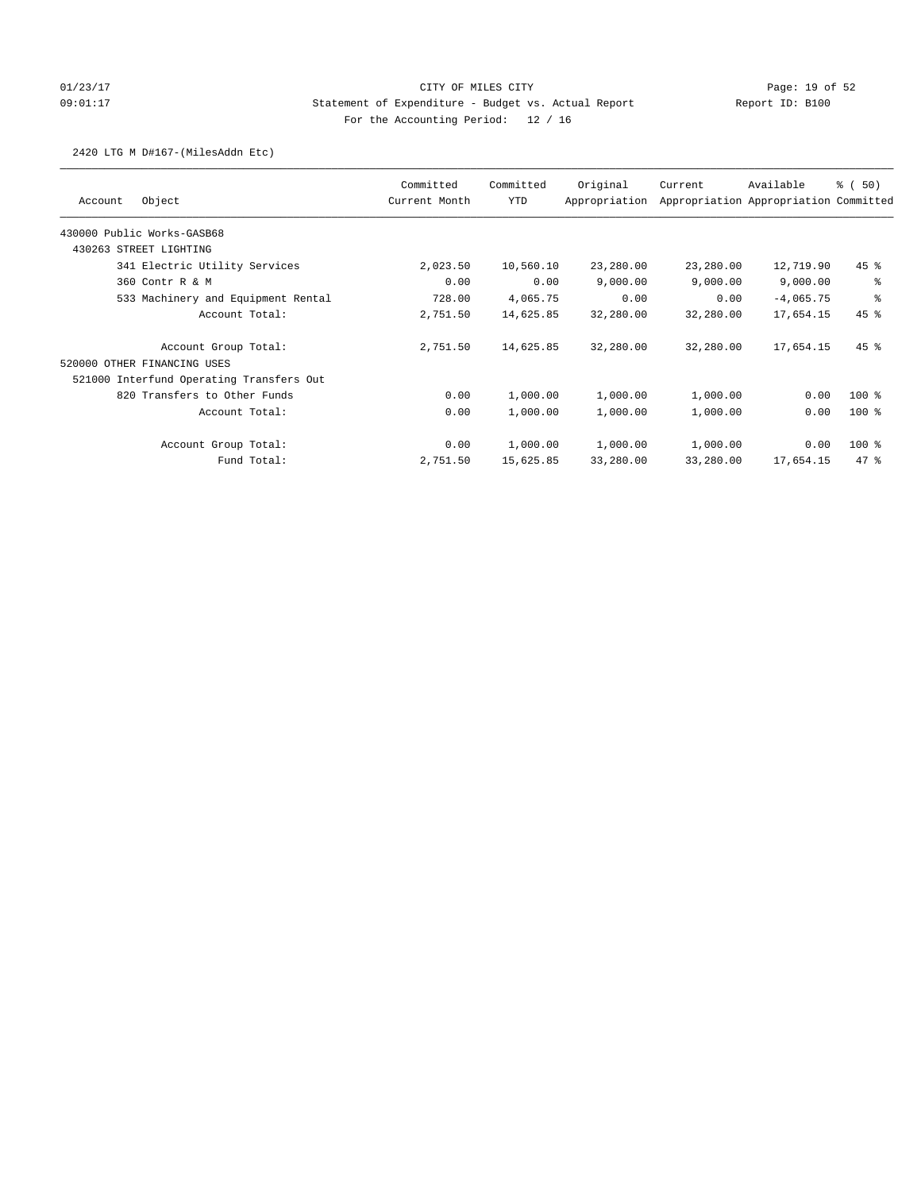## 01/23/17 Page: 19 of 52 Page: 19 of 52 09:01:17 Statement of Expenditure - Budget vs. Actual Report Report ID: B100 For the Accounting Period: 12 / 16

## 2420 LTG M D#167-(MilesAddn Etc)

|                                          | Committed     | Committed  | Original      | Current   | Available                             | % (50)             |
|------------------------------------------|---------------|------------|---------------|-----------|---------------------------------------|--------------------|
| Object<br>Account                        | Current Month | <b>YTD</b> | Appropriation |           | Appropriation Appropriation Committed |                    |
| 430000 Public Works-GASB68               |               |            |               |           |                                       |                    |
| 430263 STREET LIGHTING                   |               |            |               |           |                                       |                    |
| 341 Electric Utility Services            | 2,023.50      | 10,560.10  | 23,280.00     | 23,280.00 | 12,719.90                             | $45$ %             |
| 360 Contr R & M                          | 0.00          | 0.00       | 9,000.00      | 9,000.00  | 9,000.00                              | ి                  |
| 533 Machinery and Equipment Rental       | 728.00        | 4,065.75   | 0.00          | 0.00      | $-4,065.75$                           | နွ                 |
| Account Total:                           | 2,751.50      | 14,625.85  | 32,280.00     | 32,280.00 | 17,654.15                             | $45$ %             |
| Account Group Total:                     | 2,751.50      | 14,625.85  | 32,280.00     | 32,280.00 | 17,654.15                             | $45$ $\frac{6}{3}$ |
| 520000 OTHER FINANCING USES              |               |            |               |           |                                       |                    |
| 521000 Interfund Operating Transfers Out |               |            |               |           |                                       |                    |
| 820 Transfers to Other Funds             | 0.00          | 1,000.00   | 1,000.00      | 1,000.00  | 0.00                                  | $100*$             |
| Account Total:                           | 0.00          | 1,000.00   | 1,000.00      | 1,000.00  | 0.00                                  | $100*$             |
| Account Group Total:                     | 0.00          | 1,000.00   | 1,000.00      | 1,000.00  | 0.00                                  | 100 %              |
| Fund Total:                              | 2,751.50      | 15,625.85  | 33,280.00     | 33,280.00 | 17,654.15                             | 47.8               |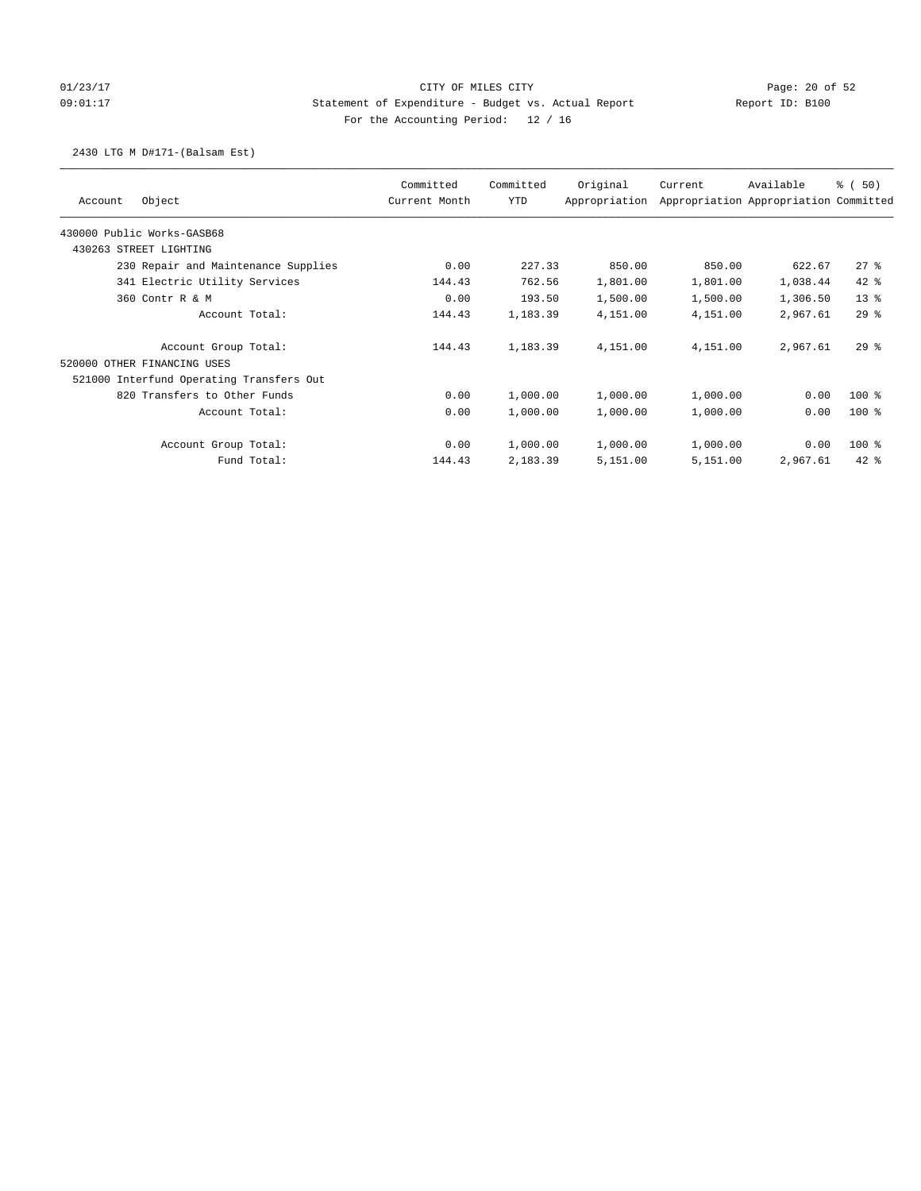## 01/23/17 Page: 20 of 52 Page: 20 of 52 09:01:17 Statement of Expenditure - Budget vs. Actual Report Report ID: B100 For the Accounting Period: 12 / 16

### 2430 LTG M D#171-(Balsam Est)

|                                          | Committed     | Committed | Original      | Current  | Available                             | % (50)   |
|------------------------------------------|---------------|-----------|---------------|----------|---------------------------------------|----------|
| Object<br>Account                        | Current Month | YTD       | Appropriation |          | Appropriation Appropriation Committed |          |
| 430000 Public Works-GASB68               |               |           |               |          |                                       |          |
| 430263 STREET LIGHTING                   |               |           |               |          |                                       |          |
| 230 Repair and Maintenance Supplies      | 0.00          | 227.33    | 850.00        | 850.00   | 622.67                                | $27$ %   |
| 341 Electric Utility Services            | 144.43        | 762.56    | 1,801.00      | 1,801.00 | 1,038.44                              | $42$ %   |
| 360 Contr R & M                          | 0.00          | 193.50    | 1,500.00      | 1,500.00 | 1,306.50                              | $13*$    |
| Account Total:                           | 144.43        | 1,183.39  | 4,151.00      | 4,151.00 | 2,967.61                              | 298      |
| Account Group Total:                     | 144.43        | 1,183.39  | 4,151.00      | 4,151.00 | 2,967.61                              | 298      |
| 520000 OTHER FINANCING USES              |               |           |               |          |                                       |          |
| 521000 Interfund Operating Transfers Out |               |           |               |          |                                       |          |
| 820 Transfers to Other Funds             | 0.00          | 1,000.00  | 1,000.00      | 1,000.00 | 0.00                                  | $100*$   |
| Account Total:                           | 0.00          | 1,000.00  | 1,000.00      | 1,000.00 | 0.00                                  | $100$ %  |
| Account Group Total:                     | 0.00          | 1,000.00  | 1,000.00      | 1,000.00 | 0.00                                  | 100 %    |
| Fund Total:                              | 144.43        | 2,183.39  | 5,151.00      | 5,151.00 | 2,967.61                              | $42$ $%$ |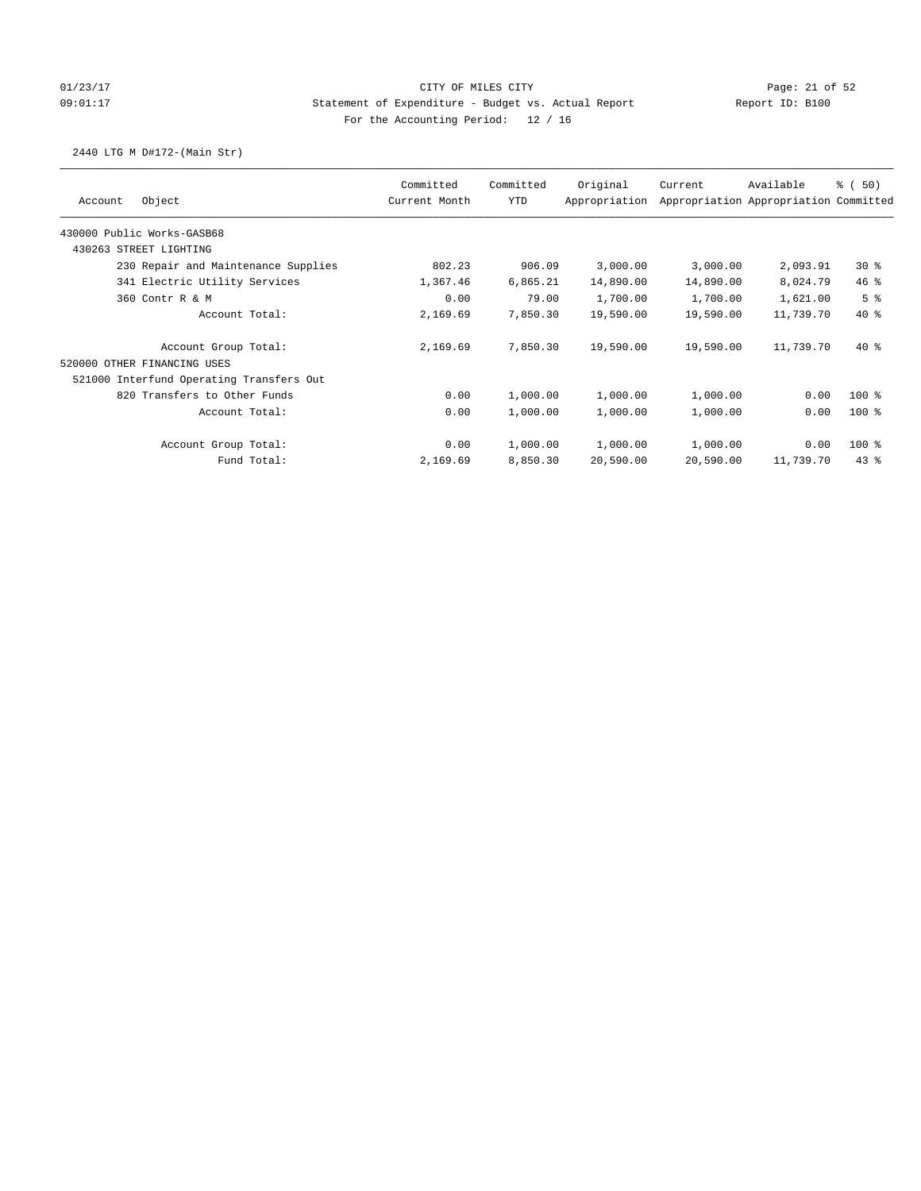## 01/23/17 Page: 21 of 52 Page: 21 of 52 09:01:17 Statement of Expenditure - Budget vs. Actual Report Report ID: B100 For the Accounting Period: 12 / 16

## 2440 LTG M D#172-(Main Str)

|                                          | Committed     | Committed  | Original      | Current   | Available                             | % (50)         |
|------------------------------------------|---------------|------------|---------------|-----------|---------------------------------------|----------------|
| Object<br>Account                        | Current Month | <b>YTD</b> | Appropriation |           | Appropriation Appropriation Committed |                |
| 430000 Public Works-GASB68               |               |            |               |           |                                       |                |
| 430263 STREET LIGHTING                   |               |            |               |           |                                       |                |
| 230 Repair and Maintenance Supplies      | 802.23        | 906.09     | 3,000.00      | 3,000.00  | 2,093.91                              | $30*$          |
| 341 Electric Utility Services            | 1,367.46      | 6,865.21   | 14,890.00     | 14,890.00 | 8,024.79                              | 46%            |
| 360 Contr R & M                          | 0.00          | 79.00      | 1,700.00      | 1,700.00  | 1,621.00                              | 5 <sup>8</sup> |
| Account Total:                           | 2,169.69      | 7,850.30   | 19,590.00     | 19,590.00 | 11,739.70                             | $40*$          |
| Account Group Total:                     | 2,169.69      | 7,850.30   | 19,590.00     | 19,590.00 | 11,739.70                             | $40*$          |
| 520000 OTHER FINANCING USES              |               |            |               |           |                                       |                |
| 521000 Interfund Operating Transfers Out |               |            |               |           |                                       |                |
| 820 Transfers to Other Funds             | 0.00          | 1,000.00   | 1,000.00      | 1,000.00  | 0.00                                  | $100*$         |
| Account Total:                           | 0.00          | 1,000.00   | 1,000.00      | 1,000.00  | 0.00                                  | $100*$         |
| Account Group Total:                     | 0.00          | 1,000.00   | 1,000.00      | 1,000.00  | 0.00                                  | $100*$         |
| Fund Total:                              | 2,169.69      | 8,850.30   | 20,590.00     | 20,590.00 | 11,739.70                             | 43.8           |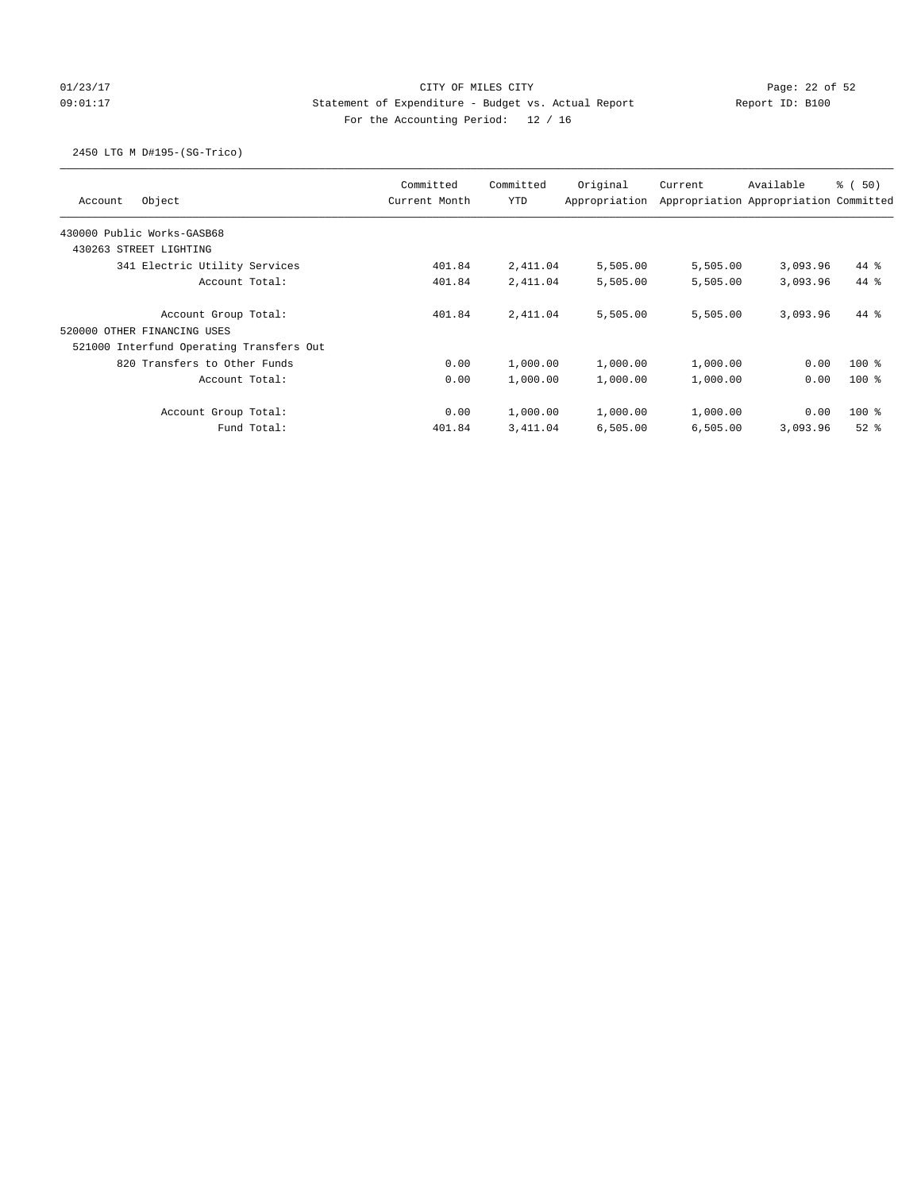# 01/23/17 Page: 22 of 52 Page: 22 of 52 09:01:17 Statement of Expenditure - Budget vs. Actual Report Report ID: B100 For the Accounting Period: 12 / 16

## 2450 LTG M D#195-(SG-Trico)

| Object<br>Account                                                        | Committed<br>Current Month | Committed<br><b>YTD</b> | Original<br>Appropriation | Current  | Available<br>Appropriation Appropriation Committed | <sub>ර</sub> ි (50) |
|--------------------------------------------------------------------------|----------------------------|-------------------------|---------------------------|----------|----------------------------------------------------|---------------------|
| 430000 Public Works-GASB68                                               |                            |                         |                           |          |                                                    |                     |
| 430263 STREET LIGHTING                                                   |                            |                         |                           |          |                                                    |                     |
| 341 Electric Utility Services                                            | 401.84                     | 2,411.04                | 5,505.00                  | 5,505.00 | 3,093.96                                           | 44 %                |
| Account Total:                                                           | 401.84                     | 2,411.04                | 5,505.00                  | 5,505.00 | 3,093.96                                           | $44*$               |
| Account Group Total:                                                     | 401.84                     | 2,411.04                | 5,505.00                  | 5,505.00 | 3,093.96                                           | 44 %                |
| 520000 OTHER FINANCING USES                                              |                            |                         |                           |          |                                                    |                     |
| 521000 Interfund Operating Transfers Out<br>820 Transfers to Other Funds | 0.00                       | 1,000.00                | 1,000.00                  | 1,000.00 | 0.00                                               | $100$ %             |
| Account Total:                                                           | 0.00                       | 1,000.00                | 1,000.00                  | 1,000.00 | 0.00                                               | $100*$              |
| Account Group Total:                                                     | 0.00                       | 1,000.00                | 1,000.00                  | 1,000.00 | 0.00                                               | $100*$              |
| Fund Total:                                                              | 401.84                     | 3,411.04                | 6,505.00                  | 6,505.00 | 3,093.96                                           | $52$ $%$            |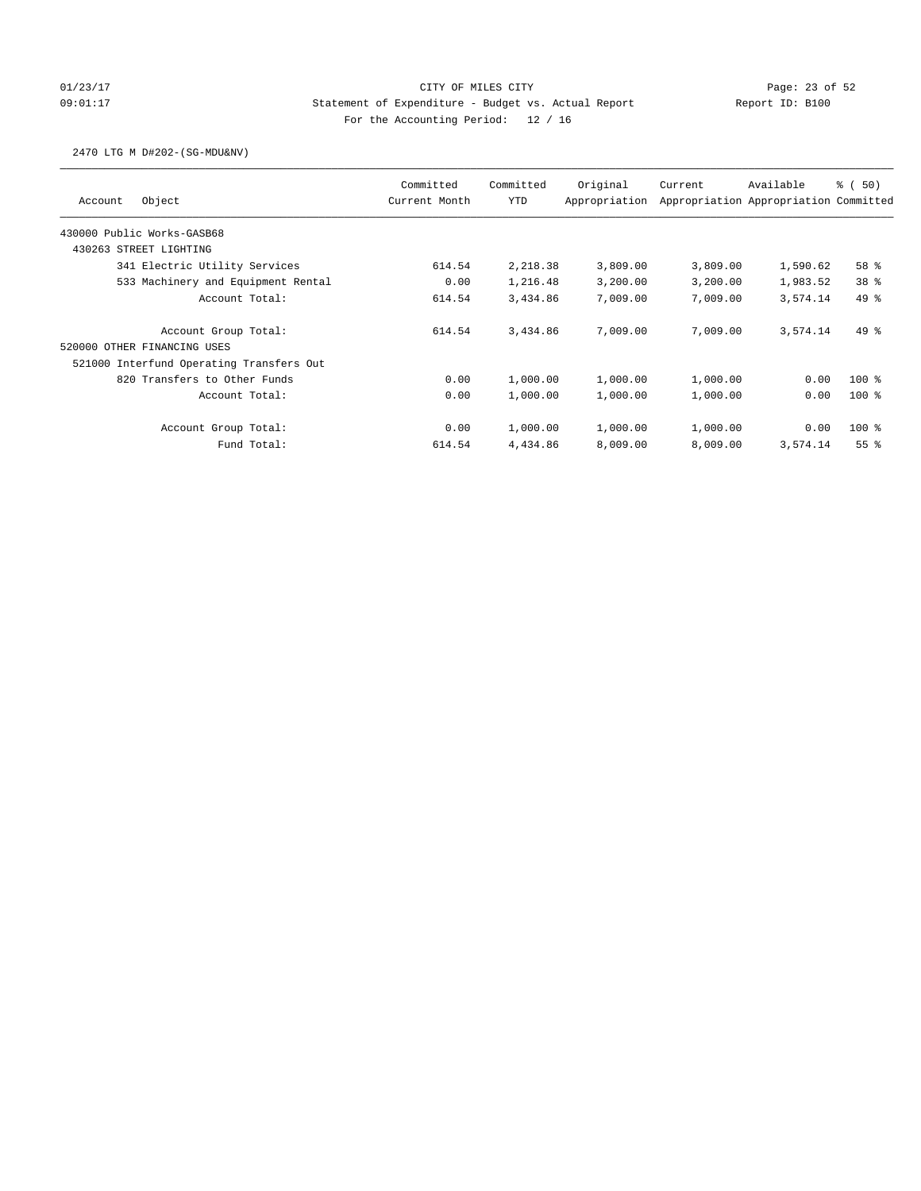# 01/23/17 Page: 23 of 52 09:01:17 Statement of Expenditure - Budget vs. Actual Report Report ID: B100 For the Accounting Period: 12 / 16

### 2470 LTG M D#202-(SG-MDU&NV)

| Object<br>Account                        | Committed<br>Current Month | Committed<br><b>YTD</b> | Original<br>Appropriation | Current  | Available<br>Appropriation Appropriation Committed | % (50)          |
|------------------------------------------|----------------------------|-------------------------|---------------------------|----------|----------------------------------------------------|-----------------|
| 430000 Public Works-GASB68               |                            |                         |                           |          |                                                    |                 |
| 430263 STREET LIGHTING                   |                            |                         |                           |          |                                                    |                 |
| 341 Electric Utility Services            | 614.54                     | 2,218.38                | 3,809.00                  | 3,809.00 | 1,590.62                                           | 58 %            |
| 533 Machinery and Equipment Rental       | 0.00                       | 1,216.48                | 3,200.00                  | 3,200.00 | 1,983.52                                           | 38 <sup>8</sup> |
| Account Total:                           | 614.54                     | 3,434.86                | 7,009.00                  | 7,009.00 | 3,574.14                                           | 49 %            |
| Account Group Total:                     | 614.54                     | 3,434.86                | 7,009.00                  | 7,009.00 | 3,574.14                                           | $49*$           |
| 520000 OTHER FINANCING USES              |                            |                         |                           |          |                                                    |                 |
| 521000 Interfund Operating Transfers Out |                            |                         |                           |          |                                                    |                 |
| 820 Transfers to Other Funds             | 0.00                       | 1,000.00                | 1,000.00                  | 1,000.00 | 0.00                                               | $100*$          |
| Account Total:                           | 0.00                       | 1,000.00                | 1,000.00                  | 1,000.00 | 0.00                                               | $100*$          |
| Account Group Total:                     | 0.00                       | 1,000.00                | 1,000.00                  | 1,000.00 | 0.00                                               | $100*$          |
| Fund Total:                              | 614.54                     | 4,434.86                | 8,009.00                  | 8,009.00 | 3,574.14                                           | 55 <sup>8</sup> |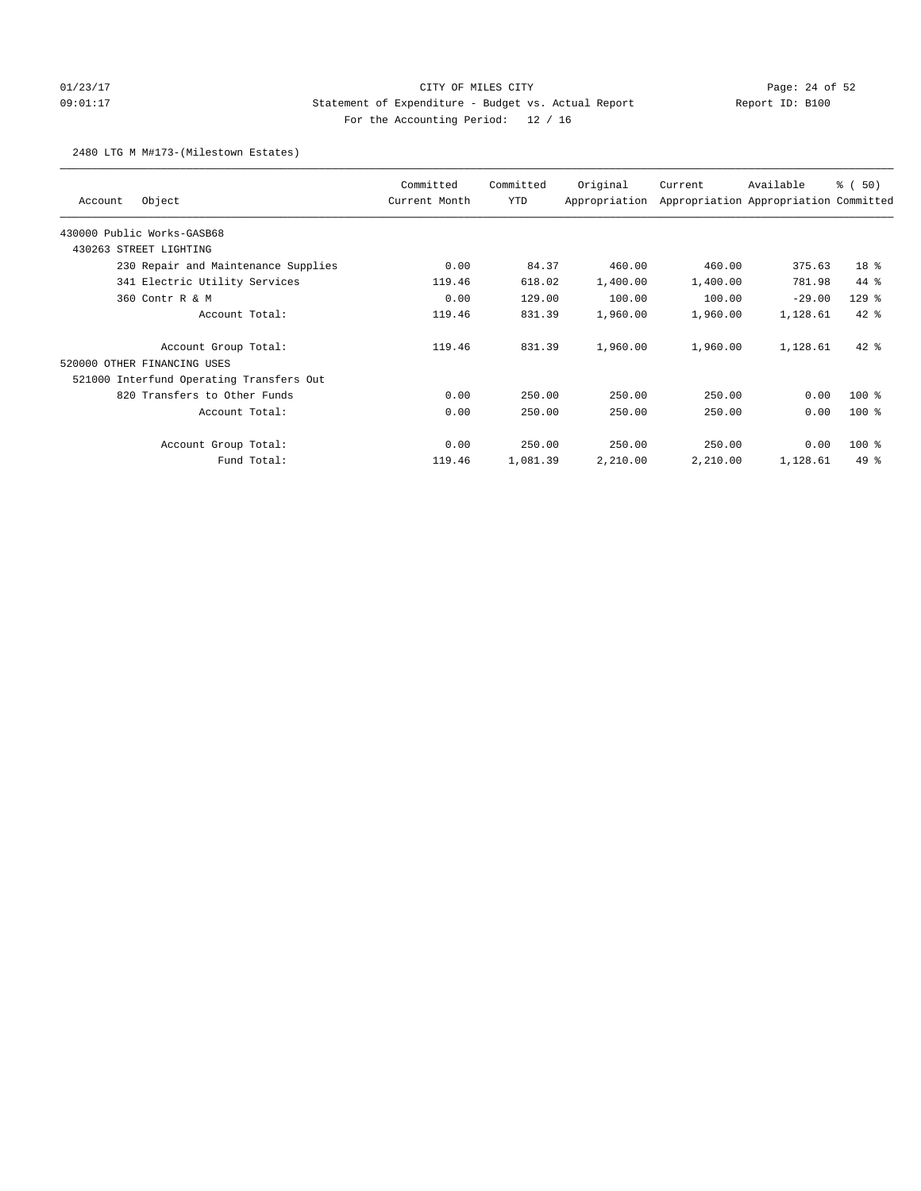# 01/23/17 Page: 24 of 52 Page: 24 OF MILES CITY 09:01:17 Statement of Expenditure - Budget vs. Actual Report Report ID: B100 For the Accounting Period: 12 / 16

### 2480 LTG M M#173-(Milestown Estates)

| Object<br>Account                        | Committed<br>Current Month | Committed<br>YTD | Original<br>Appropriation | Current  | Available<br>Appropriation Appropriation Committed | % (50)  |
|------------------------------------------|----------------------------|------------------|---------------------------|----------|----------------------------------------------------|---------|
| 430000 Public Works-GASB68               |                            |                  |                           |          |                                                    |         |
| 430263 STREET LIGHTING                   |                            |                  |                           |          |                                                    |         |
| 230 Repair and Maintenance Supplies      | 0.00                       | 84.37            | 460.00                    | 460.00   | 375.63                                             | 18 %    |
| 341 Electric Utility Services            | 119.46                     | 618.02           | 1,400.00                  | 1,400.00 | 781.98                                             | $44*$   |
| 360 Contr R & M                          | 0.00                       | 129.00           | 100.00                    | 100.00   | $-29.00$                                           | $129$ % |
| Account Total:                           | 119.46                     | 831.39           | 1,960.00                  | 1,960.00 | 1,128.61                                           | $42$ %  |
| Account Group Total:                     | 119.46                     | 831.39           | 1,960.00                  | 1,960.00 | 1,128.61                                           | $42*$   |
| 520000 OTHER FINANCING USES              |                            |                  |                           |          |                                                    |         |
| 521000 Interfund Operating Transfers Out |                            |                  |                           |          |                                                    |         |
| 820 Transfers to Other Funds             | 0.00                       | 250.00           | 250.00                    | 250.00   | 0.00                                               | $100$ % |
| Account Total:                           | 0.00                       | 250.00           | 250.00                    | 250.00   | 0.00                                               | $100$ % |
| Account Group Total:                     | 0.00                       | 250.00           | 250.00                    | 250.00   | 0.00                                               | 100 %   |
| Fund Total:                              | 119.46                     | 1,081.39         | 2,210.00                  | 2,210.00 | 1,128.61                                           | $49*$   |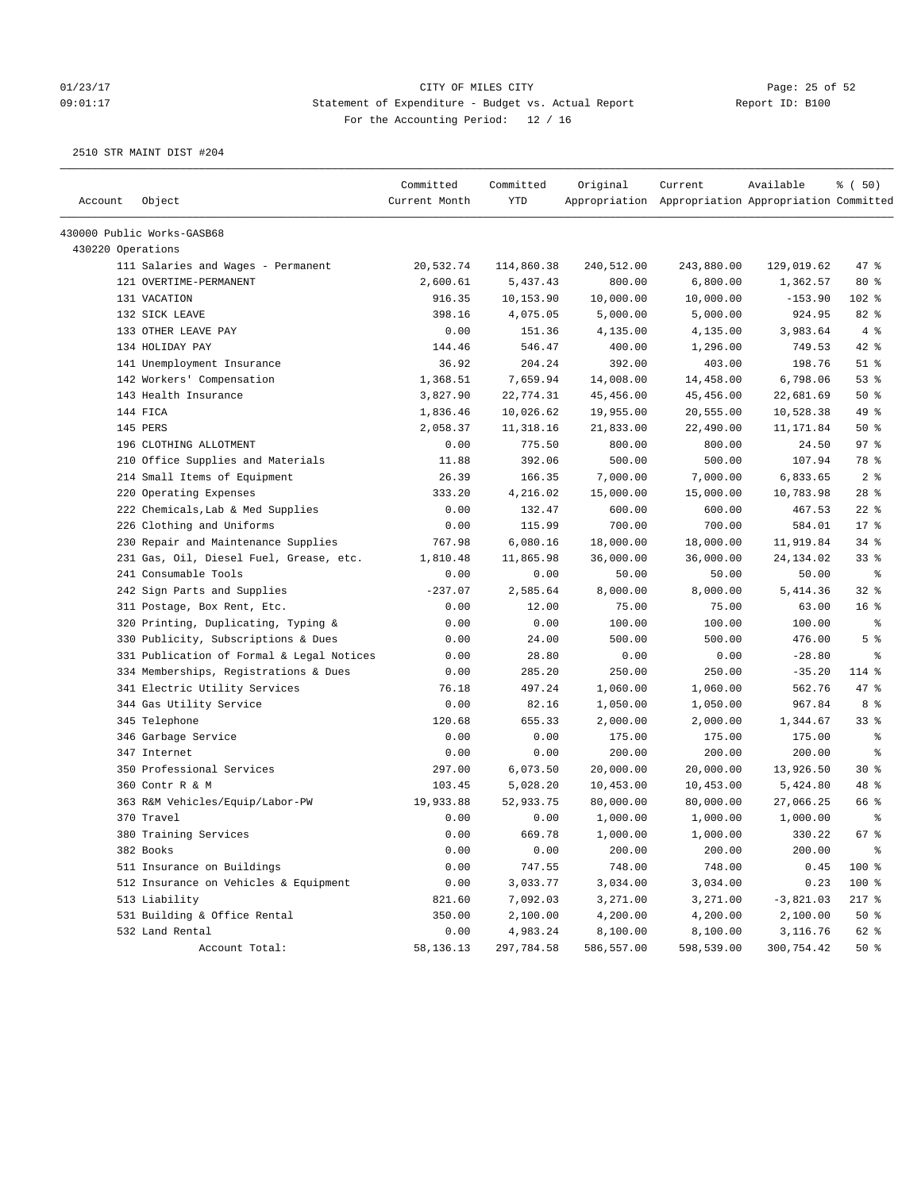### 01/23/17 Page: 25 of 52 Page: 25 of 52 09:01:17 Statement of Expenditure - Budget vs. Actual Report Report ID: B100 For the Accounting Period: 12 / 16

| Account           | Object                                    | Committed<br>Current Month | Committed<br>YTD | Original   | Current<br>Appropriation Appropriation Appropriation Committed | Available   | % (50)          |
|-------------------|-------------------------------------------|----------------------------|------------------|------------|----------------------------------------------------------------|-------------|-----------------|
|                   | 430000 Public Works-GASB68                |                            |                  |            |                                                                |             |                 |
| 430220 Operations |                                           |                            |                  |            |                                                                |             |                 |
|                   | 111 Salaries and Wages - Permanent        | 20,532.74                  | 114,860.38       | 240,512.00 | 243,880.00                                                     | 129,019.62  | $47$ %          |
|                   | 121 OVERTIME-PERMANENT                    | 2,600.61                   | 5,437.43         | 800.00     | 6,800.00                                                       | 1,362.57    | $80*$           |
|                   | 131 VACATION                              | 916.35                     | 10,153.90        | 10,000.00  | 10,000.00                                                      | $-153.90$   | 102 %           |
|                   | 132 SICK LEAVE                            | 398.16                     | 4,075.05         | 5,000.00   | 5,000.00                                                       | 924.95      | 82 %            |
|                   | 133 OTHER LEAVE PAY                       | 0.00                       | 151.36           | 4,135.00   | 4,135.00                                                       | 3,983.64    | 4%              |
|                   | 134 HOLIDAY PAY                           | 144.46                     | 546.47           | 400.00     | 1,296.00                                                       | 749.53      | $42$ %          |
|                   | 141 Unemployment Insurance                | 36.92                      | 204.24           | 392.00     | 403.00                                                         | 198.76      | $51$ %          |
|                   | 142 Workers' Compensation                 | 1,368.51                   | 7,659.94         | 14,008.00  | 14,458.00                                                      | 6,798.06    | 53%             |
|                   | 143 Health Insurance                      | 3,827.90                   | 22,774.31        | 45,456.00  | 45, 456.00                                                     | 22,681.69   | 50%             |
|                   | 144 FICA                                  | 1,836.46                   | 10,026.62        | 19,955.00  | 20,555.00                                                      | 10,528.38   | 49 %            |
|                   | 145 PERS                                  | 2,058.37                   | 11,318.16        | 21,833.00  | 22,490.00                                                      | 11,171.84   | 50%             |
|                   | 196 CLOTHING ALLOTMENT                    | 0.00                       | 775.50           | 800.00     | 800.00                                                         | 24.50       | 97%             |
|                   | 210 Office Supplies and Materials         | 11.88                      | 392.06           | 500.00     | 500.00                                                         | 107.94      | 78 %            |
|                   | 214 Small Items of Equipment              | 26.39                      | 166.35           | 7,000.00   | 7,000.00                                                       | 6,833.65    | 2 <sup>8</sup>  |
|                   | 220 Operating Expenses                    | 333.20                     | 4,216.02         | 15,000.00  | 15,000.00                                                      | 10,783.98   | $28$ %          |
|                   | 222 Chemicals, Lab & Med Supplies         | 0.00                       | 132.47           | 600.00     | 600.00                                                         | 467.53      | $22$ %          |
|                   | 226 Clothing and Uniforms                 | 0.00                       | 115.99           | 700.00     | 700.00                                                         | 584.01      | 17.8            |
|                   | 230 Repair and Maintenance Supplies       | 767.98                     | 6,080.16         | 18,000.00  | 18,000.00                                                      | 11,919.84   | 34%             |
|                   | 231 Gas, Oil, Diesel Fuel, Grease, etc.   | 1,810.48                   | 11,865.98        | 36,000.00  | 36,000.00                                                      | 24, 134.02  | 33%             |
|                   | 241 Consumable Tools                      | 0.00                       | 0.00             | 50.00      | 50.00                                                          | 50.00       | နွ              |
|                   | 242 Sign Parts and Supplies               | $-237.07$                  | 2,585.64         | 8,000.00   | 8,000.00                                                       | 5,414.36    | $32$ $%$        |
|                   | 311 Postage, Box Rent, Etc.               | 0.00                       | 12.00            | 75.00      | 75.00                                                          | 63.00       | 16 <sup>8</sup> |
|                   | 320 Printing, Duplicating, Typing &       | 0.00                       | 0.00             | 100.00     | 100.00                                                         | 100.00      | ್ಠಿ             |
|                   | 330 Publicity, Subscriptions & Dues       | 0.00                       | 24.00            | 500.00     | 500.00                                                         | 476.00      | 5 <sup>8</sup>  |
|                   | 331 Publication of Formal & Legal Notices | 0.00                       | 28.80            | 0.00       | 0.00                                                           | $-28.80$    | ႜ               |
|                   | 334 Memberships, Registrations & Dues     | 0.00                       | 285.20           | 250.00     | 250.00                                                         | $-35.20$    | 114 %           |
|                   | 341 Electric Utility Services             | 76.18                      | 497.24           | 1,060.00   | 1,060.00                                                       | 562.76      | 47 %            |
|                   | 344 Gas Utility Service                   | 0.00                       | 82.16            | 1,050.00   | 1,050.00                                                       | 967.84      | 8 %             |
|                   | 345 Telephone                             | 120.68                     | 655.33           | 2,000.00   | 2,000.00                                                       | 1,344.67    | 33%             |
|                   | 346 Garbage Service                       | 0.00                       | 0.00             | 175.00     | 175.00                                                         | 175.00      | ႜ               |
|                   | 347 Internet                              | 0.00                       | 0.00             | 200.00     | 200.00                                                         | 200.00      | နွ              |
|                   | 350 Professional Services                 | 297.00                     | 6,073.50         | 20,000.00  | 20,000.00                                                      | 13,926.50   | $30*$           |
|                   | 360 Contr R & M                           | 103.45                     | 5,028.20         | 10,453.00  | 10,453.00                                                      | 5,424.80    | 48 %            |
|                   | 363 R&M Vehicles/Equip/Labor-PW           | 19,933.88                  | 52,933.75        | 80,000.00  | 80,000.00                                                      | 27,066.25   | 66 %            |
|                   | 370 Travel                                | 0.00                       | 0.00             | 1,000.00   | 1,000.00                                                       | 1,000.00    | ႜ               |
|                   | 380 Training Services                     | 0.00                       | 669.78           | 1,000.00   | 1,000.00                                                       | 330.22      | 67%             |
|                   | 382 Books                                 | 0.00                       | 0.00             | 200.00     | 200.00                                                         | 200.00      | $\epsilon$      |
|                   | 511 Insurance on Buildings                | 0.00                       | 747.55           | 748.00     | 748.00                                                         | 0.45        | 100 %           |
|                   | 512 Insurance on Vehicles & Equipment     | 0.00                       | 3,033.77         | 3,034.00   | 3,034.00                                                       | 0.23        | 100 %           |
|                   | 513 Liability                             | 821.60                     | 7,092.03         | 3,271.00   | 3,271.00                                                       | $-3,821.03$ | $217$ %         |
|                   | 531 Building & Office Rental              | 350.00                     | 2,100.00         | 4,200.00   | 4,200.00                                                       | 2,100.00    | $50*$           |
|                   | 532 Land Rental                           | 0.00                       | 4,983.24         | 8,100.00   | 8,100.00                                                       | 3,116.76    | 62 %            |
|                   | Account Total:                            | 58,136.13                  | 297,784.58       | 586,557.00 | 598,539.00                                                     | 300,754.42  | $50*$           |
|                   |                                           |                            |                  |            |                                                                |             |                 |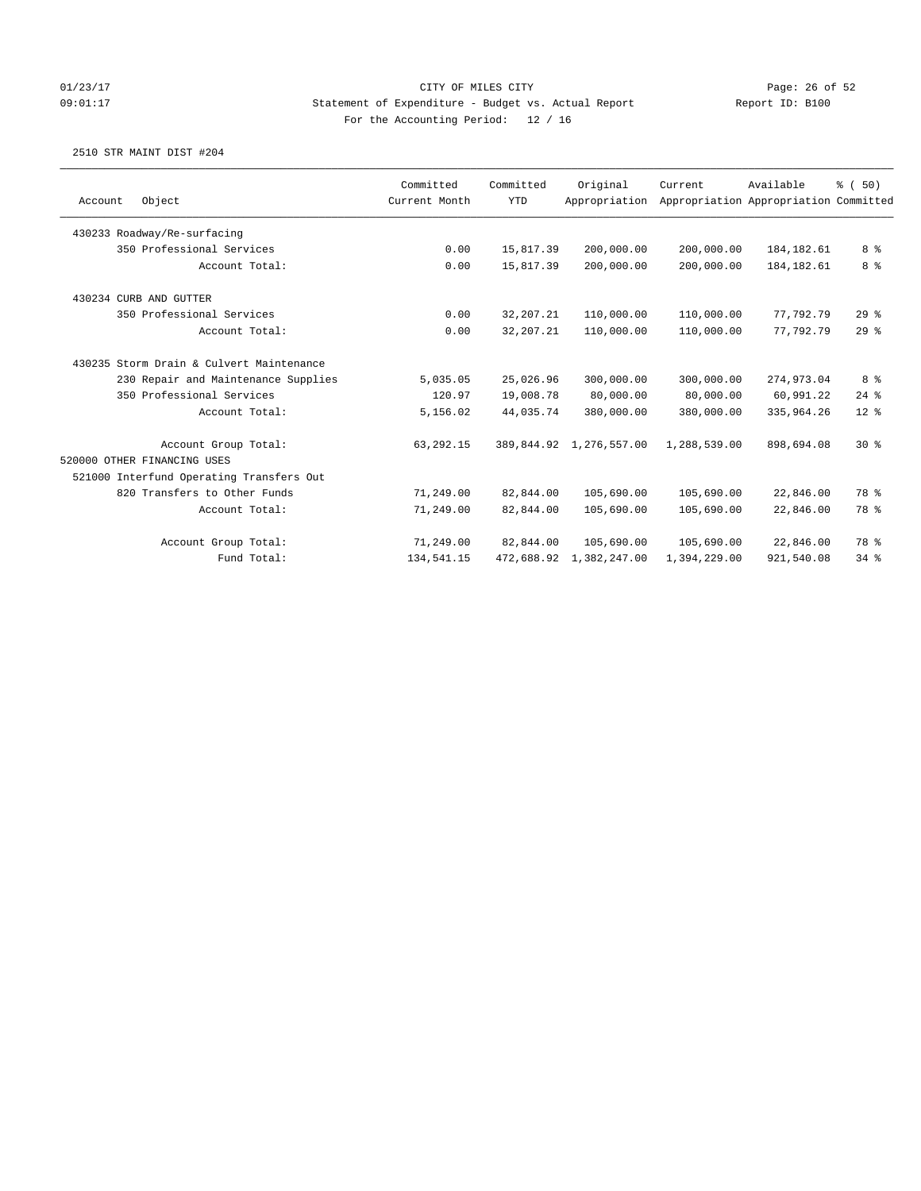## 01/23/17 Page: 26 of 52 09:01:17 Statement of Expenditure - Budget vs. Actual Report Report ID: B100 For the Accounting Period: 12 / 16

| Object                                   | Committed     | Committed   | Original      |                                                    |                                       |                                                                                                                                                                         |
|------------------------------------------|---------------|-------------|---------------|----------------------------------------------------|---------------------------------------|-------------------------------------------------------------------------------------------------------------------------------------------------------------------------|
|                                          |               |             |               | Current                                            | Available                             | % (50)                                                                                                                                                                  |
|                                          | Current Month | <b>YTD</b>  | Appropriation |                                                    | Appropriation Appropriation Committed |                                                                                                                                                                         |
| 430233 Roadway/Re-surfacing              |               |             |               |                                                    |                                       |                                                                                                                                                                         |
| 350 Professional Services                | 0.00          | 15,817.39   | 200,000.00    |                                                    | 184, 182.61                           | 8 %                                                                                                                                                                     |
| Account Total:                           | 0.00          | 15,817.39   | 200,000.00    |                                                    | 184, 182.61                           | 8 %                                                                                                                                                                     |
| 430234 CURB AND GUTTER                   |               |             |               |                                                    |                                       |                                                                                                                                                                         |
| 350 Professional Services                | 0.00          | 32, 207. 21 | 110,000.00    |                                                    | 77,792.79                             | 29%                                                                                                                                                                     |
| Account Total:                           | 0.00          | 32, 207. 21 | 110,000.00    |                                                    | 77.792.79                             | 29%                                                                                                                                                                     |
| 430235 Storm Drain & Culvert Maintenance |               |             |               |                                                    |                                       |                                                                                                                                                                         |
| 230 Repair and Maintenance Supplies      | 5,035.05      | 25,026.96   | 300,000.00    |                                                    | 274,973.04                            | 8 %                                                                                                                                                                     |
| 350 Professional Services                | 120.97        | 19,008.78   | 80,000.00     |                                                    | 60,991.22                             | 24%                                                                                                                                                                     |
| Account Total:                           | 5,156.02      | 44,035.74   | 380,000.00    |                                                    | 335,964.26                            | $12*$                                                                                                                                                                   |
| Account Group Total:                     | 63,292.15     |             |               |                                                    | 898,694.08                            | $30*$                                                                                                                                                                   |
| 520000 OTHER FINANCING USES              |               |             |               |                                                    |                                       |                                                                                                                                                                         |
| 521000 Interfund Operating Transfers Out |               |             |               |                                                    |                                       |                                                                                                                                                                         |
| 820 Transfers to Other Funds             | 71,249.00     | 82,844.00   | 105,690.00    |                                                    | 22,846.00                             | 78 %                                                                                                                                                                    |
| Account Total:                           | 71,249.00     | 82,844.00   | 105,690.00    |                                                    | 22,846.00                             | 78 %                                                                                                                                                                    |
| Account Group Total:                     | 71,249.00     | 82,844.00   | 105,690.00    |                                                    | 22,846.00                             | 78 %                                                                                                                                                                    |
| Fund Total:                              | 134,541.15    |             |               |                                                    | 921,540.08                            | 34%                                                                                                                                                                     |
|                                          |               |             |               | 389,844.92 1,276,557.00<br>472,688.92 1,382,247.00 |                                       | 200,000.00<br>200,000.00<br>110,000.00<br>110,000.00<br>300,000.00<br>80,000.00<br>380,000.00<br>1,288,539.00<br>105,690.00<br>105,690.00<br>105,690.00<br>1,394,229.00 |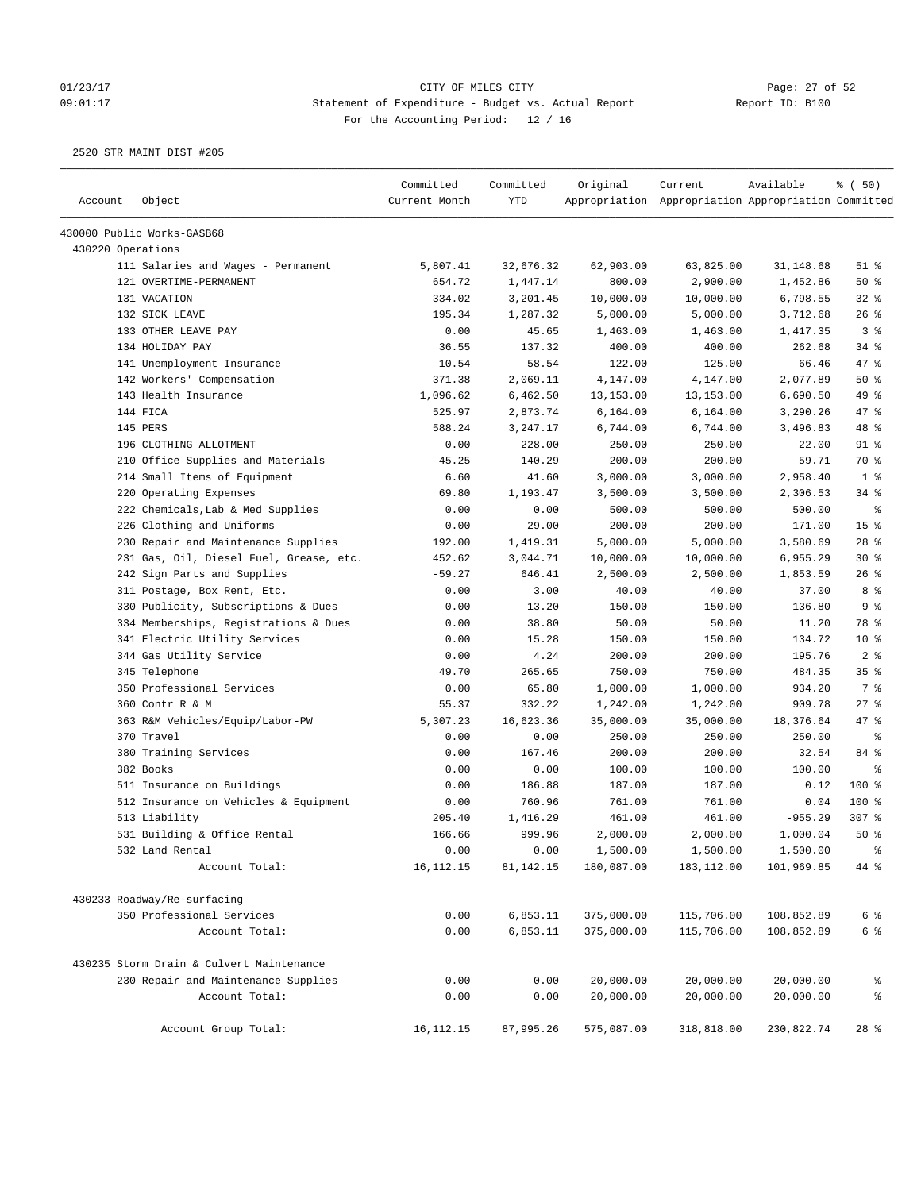# 01/23/17 Page: 27 of 52 09:01:17 Statement of Expenditure - Budget vs. Actual Report Report ID: B100 For the Accounting Period: 12 / 16

| Account           | Object                                   | Committed<br>Current Month | Committed<br><b>YTD</b> | Original   | Current<br>Appropriation Appropriation Appropriation Committed | Available  | % (50)          |
|-------------------|------------------------------------------|----------------------------|-------------------------|------------|----------------------------------------------------------------|------------|-----------------|
|                   |                                          |                            |                         |            |                                                                |            |                 |
|                   | 430000 Public Works-GASB68               |                            |                         |            |                                                                |            |                 |
| 430220 Operations |                                          |                            |                         |            |                                                                |            |                 |
|                   | 111 Salaries and Wages - Permanent       | 5,807.41                   | 32,676.32               | 62,903.00  | 63,825.00                                                      | 31,148.68  | $51$ %          |
|                   | 121 OVERTIME-PERMANENT                   | 654.72                     | 1,447.14                | 800.00     | 2,900.00                                                       | 1,452.86   | 50%             |
|                   | 131 VACATION                             | 334.02                     | 3,201.45                | 10,000.00  | 10,000.00                                                      | 6,798.55   | 32%             |
|                   | 132 SICK LEAVE                           | 195.34                     | 1,287.32                | 5,000.00   | 5,000.00                                                       | 3,712.68   | 26%             |
|                   | 133 OTHER LEAVE PAY                      | 0.00                       | 45.65                   | 1,463.00   | 1,463.00                                                       | 1,417.35   | 3 <sup>8</sup>  |
|                   | 134 HOLIDAY PAY                          | 36.55                      | 137.32                  | 400.00     | 400.00                                                         | 262.68     | $34$ $%$        |
|                   | 141 Unemployment Insurance               | 10.54                      | 58.54                   | 122.00     | 125.00                                                         | 66.46      | 47 %            |
|                   | 142 Workers' Compensation                | 371.38                     | 2,069.11                | 4,147.00   | 4,147.00                                                       | 2,077.89   | 50%             |
|                   | 143 Health Insurance                     | 1,096.62                   | 6,462.50                | 13, 153.00 | 13,153.00                                                      | 6,690.50   | 49 %            |
|                   | 144 FICA                                 | 525.97                     | 2,873.74                | 6,164.00   | 6,164.00                                                       | 3,290.26   | 47 %            |
|                   | 145 PERS                                 | 588.24                     | 3,247.17                | 6,744.00   | 6,744.00                                                       | 3,496.83   | 48 %            |
|                   | 196 CLOTHING ALLOTMENT                   | 0.00                       | 228.00                  | 250.00     | 250.00                                                         | 22.00      | $91$ %          |
|                   | 210 Office Supplies and Materials        | 45.25                      | 140.29                  | 200.00     | 200.00                                                         | 59.71      | 70 %            |
|                   | 214 Small Items of Equipment             | 6.60                       | 41.60                   | 3,000.00   | 3,000.00                                                       | 2,958.40   | 1 <sup>8</sup>  |
|                   | 220 Operating Expenses                   | 69.80                      | 1,193.47                | 3,500.00   | 3,500.00                                                       | 2,306.53   | $34$ $%$        |
|                   | 222 Chemicals, Lab & Med Supplies        | 0.00                       | 0.00                    | 500.00     | 500.00                                                         | 500.00     | နွ              |
|                   | 226 Clothing and Uniforms                | 0.00                       | 29.00                   | 200.00     | 200.00                                                         | 171.00     | 15 <sup>°</sup> |
|                   | 230 Repair and Maintenance Supplies      | 192.00                     | 1,419.31                | 5,000.00   | 5,000.00                                                       | 3,580.69   | $28$ %          |
|                   | 231 Gas, Oil, Diesel Fuel, Grease, etc.  | 452.62                     | 3,044.71                | 10,000.00  | 10,000.00                                                      | 6,955.29   | $30*$           |
|                   | 242 Sign Parts and Supplies              | $-59.27$                   | 646.41                  | 2,500.00   | 2,500.00                                                       | 1,853.59   | $26$ %          |
|                   | 311 Postage, Box Rent, Etc.              | 0.00                       | 3.00                    | 40.00      | 40.00                                                          | 37.00      | 8 %             |
|                   | 330 Publicity, Subscriptions & Dues      | 0.00                       | 13.20                   | 150.00     | 150.00                                                         | 136.80     | 9 <sup>8</sup>  |
|                   | 334 Memberships, Registrations & Dues    | 0.00                       | 38.80                   | 50.00      | 50.00                                                          | 11.20      | 78 %            |
|                   | 341 Electric Utility Services            | 0.00                       | 15.28                   | 150.00     | 150.00                                                         | 134.72     | $10*$           |
|                   | 344 Gas Utility Service                  | 0.00                       | 4.24                    | 200.00     | 200.00                                                         | 195.76     | 2 <sup>8</sup>  |
|                   | 345 Telephone                            | 49.70                      | 265.65                  | 750.00     | 750.00                                                         | 484.35     | 35 <sup>8</sup> |
|                   | 350 Professional Services                | 0.00                       | 65.80                   | 1,000.00   | 1,000.00                                                       | 934.20     | 7 %             |
|                   | 360 Contr R & M                          | 55.37                      | 332.22                  | 1,242.00   | 1,242.00                                                       | 909.78     | 27%             |
|                   | 363 R&M Vehicles/Equip/Labor-PW          | 5,307.23                   | 16,623.36               | 35,000.00  | 35,000.00                                                      | 18,376.64  | 47 %            |
|                   | 370 Travel                               | 0.00                       | 0.00                    | 250.00     | 250.00                                                         | 250.00     | ႜ               |
|                   | 380 Training Services                    | 0.00                       | 167.46                  | 200.00     | 200.00                                                         | 32.54      | 84 %            |
|                   | 382 Books                                | 0.00                       | 0.00                    | 100.00     | 100.00                                                         | 100.00     | နွ              |
|                   | 511 Insurance on Buildings               | 0.00                       | 186.88                  | 187.00     | 187.00                                                         | 0.12       | 100 %           |
|                   | 512 Insurance on Vehicles & Equipment    | 0.00                       | 760.96                  | 761.00     | 761.00                                                         | 0.04       | $100$ %         |
|                   | 513 Liability                            | 205.40                     | 1,416.29                | 461.00     | 461.00                                                         | $-955.29$  | 307 %           |
|                   | 531 Building & Office Rental             | 166.66                     | 999.96                  | 2,000.00   | 2,000.00                                                       | 1,000.04   | $50*$           |
|                   | 532 Land Rental                          | 0.00                       | 0.00                    | 1,500.00   | 1,500.00                                                       | 1,500.00   | $\,$ $\,$ $\,$  |
|                   | Account Total:                           | 16, 112. 15                | 81,142.15               | 180,087.00 | 183, 112.00                                                    | 101,969.85 | 44 %            |
|                   | 430233 Roadway/Re-surfacing              |                            |                         |            |                                                                |            |                 |
|                   | 350 Professional Services                | 0.00                       | 6,853.11                | 375,000.00 | 115,706.00                                                     | 108,852.89 | 6 <sup>8</sup>  |
|                   | Account Total:                           | 0.00                       | 6,853.11                | 375,000.00 | 115,706.00                                                     | 108,852.89 | 6 <sup>8</sup>  |
|                   | 430235 Storm Drain & Culvert Maintenance |                            |                         |            |                                                                |            |                 |
|                   | 230 Repair and Maintenance Supplies      | 0.00                       | 0.00                    | 20,000.00  | 20,000.00                                                      | 20,000.00  | ိစ              |
|                   | Account Total:                           | 0.00                       | 0.00                    | 20,000.00  | 20,000.00                                                      | 20,000.00  | $\,$ $\,$ $\,$  |
|                   |                                          |                            |                         |            |                                                                |            |                 |
|                   | Account Group Total:                     | 16, 112. 15                | 87,995.26               | 575,087.00 | 318,818.00                                                     | 230,822.74 | $28$ %          |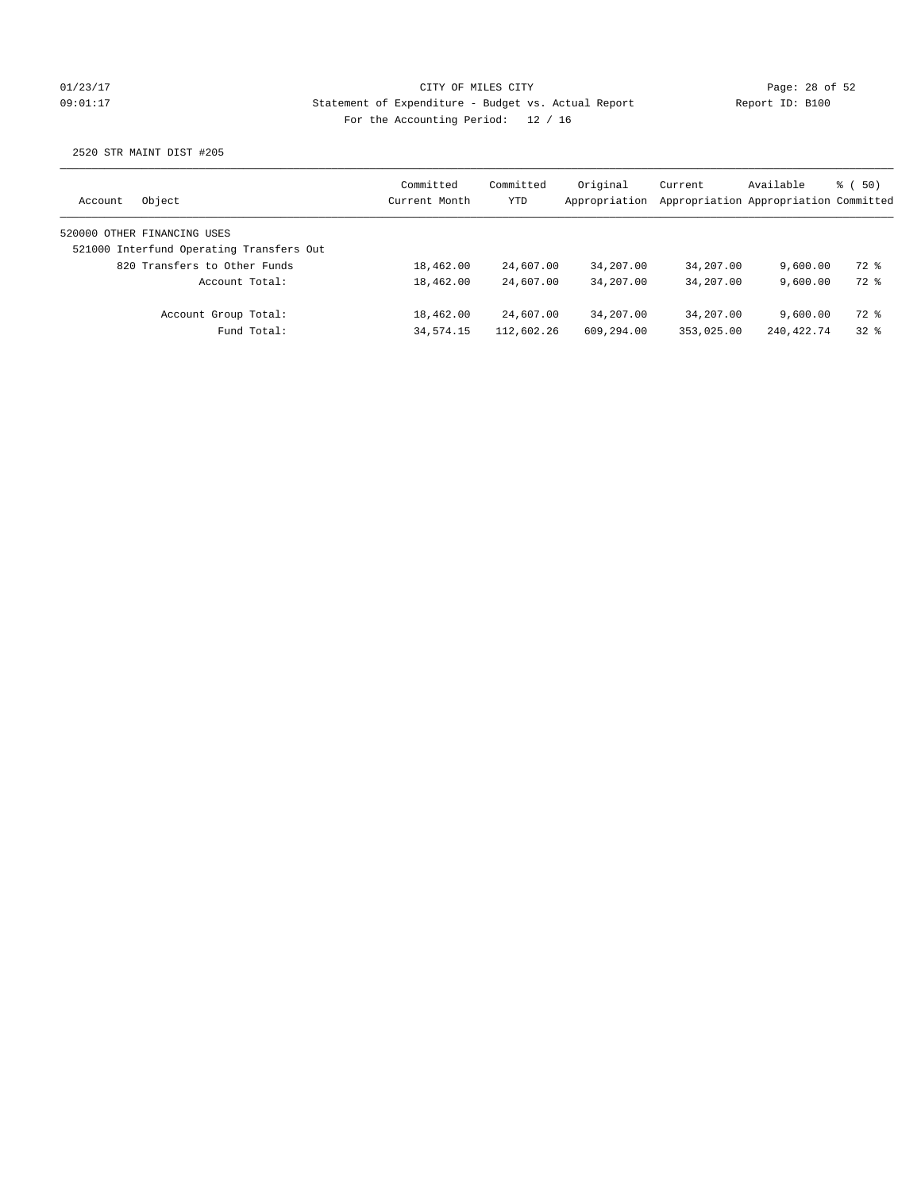## 01/23/17 Page: 28 of 52 09:01:17 Statement of Expenditure - Budget vs. Actual Report Report ID: B100 For the Accounting Period: 12 / 16

| Object<br>Account           |                                          | Committed<br>Current Month | Committed<br>YTD | Original<br>Appropriation | Current    | Available<br>Appropriation Appropriation Committed | 8 ( 50) |
|-----------------------------|------------------------------------------|----------------------------|------------------|---------------------------|------------|----------------------------------------------------|---------|
| 520000 OTHER FINANCING USES |                                          |                            |                  |                           |            |                                                    |         |
|                             | 521000 Interfund Operating Transfers Out |                            |                  |                           |            |                                                    |         |
|                             | 820 Transfers to Other Funds             | 18,462.00                  | 24,607.00        | 34,207.00                 | 34,207.00  | 9.600.00                                           | 72 %    |
|                             | Account Total:                           | 18,462.00                  | 24,607.00        | 34,207.00                 | 34,207.00  | 9.600.00                                           | 72 %    |
|                             | Account Group Total:                     | 18,462.00                  | 24,607.00        | 34,207.00                 | 34,207.00  | 9.600.00                                           | 72 %    |
|                             | Fund Total:                              | 34, 574. 15                | 112,602.26       | 609,294.00                | 353,025.00 | 240, 422. 74                                       | 328     |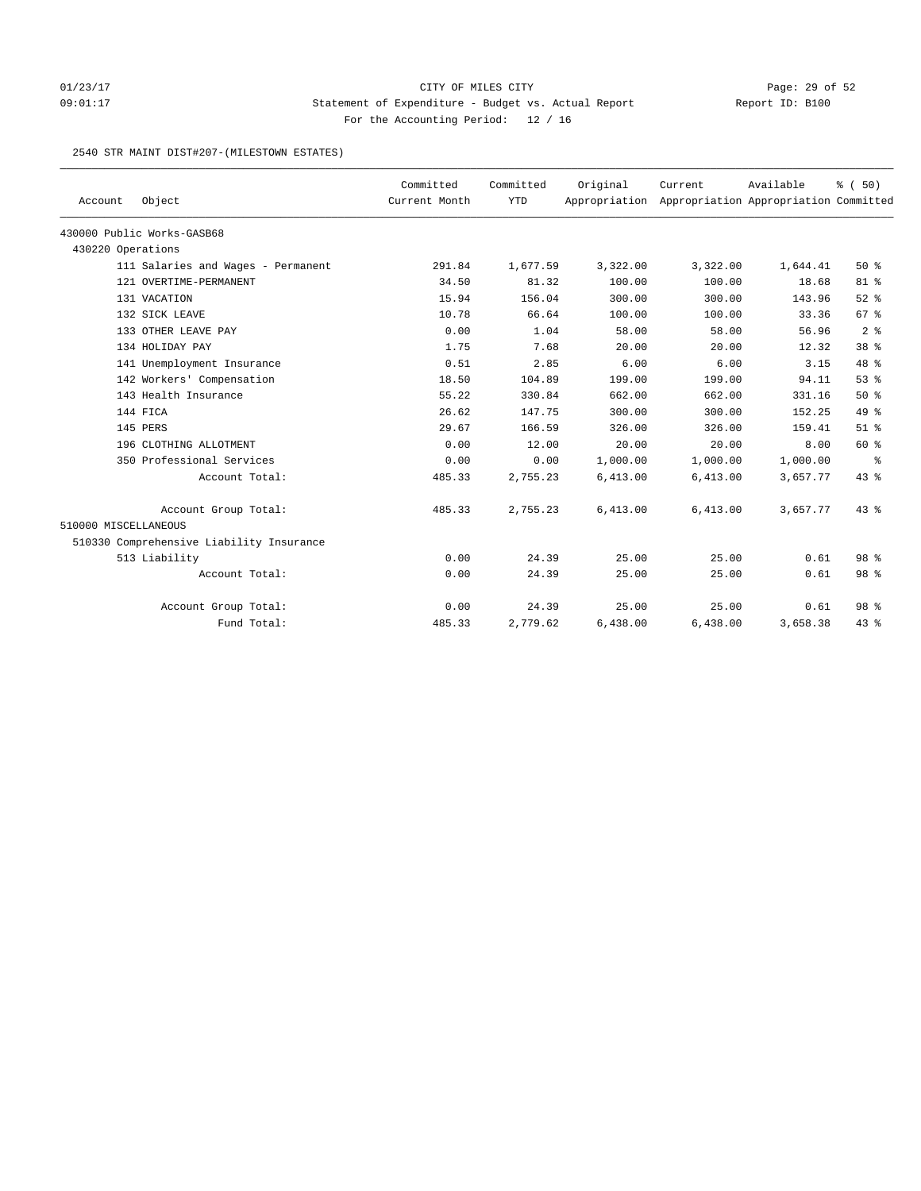## 01/23/17 Page: 29 of 52 Page: 29 of 52 09:01:17 Statement of Expenditure - Budget vs. Actual Report Report ID: B100 For the Accounting Period: 12 / 16

#### 2540 STR MAINT DIST#207-(MILESTOWN ESTATES)

|                      |                                          | Committed     | Committed  | Original | Current                                             | Available | % (50)          |
|----------------------|------------------------------------------|---------------|------------|----------|-----------------------------------------------------|-----------|-----------------|
| Account              | Object                                   | Current Month | <b>YTD</b> |          | Appropriation Appropriation Appropriation Committed |           |                 |
|                      | 430000 Public Works-GASB68               |               |            |          |                                                     |           |                 |
| 430220 Operations    |                                          |               |            |          |                                                     |           |                 |
|                      | 111 Salaries and Wages - Permanent       | 291.84        | 1,677.59   | 3,322.00 | 3,322.00                                            | 1,644.41  | $50*$           |
|                      | 121 OVERTIME-PERMANENT                   | 34.50         | 81.32      | 100.00   | 100.00                                              | 18.68     | 81 %            |
|                      | 131 VACATION                             | 15.94         | 156.04     | 300.00   | 300.00                                              | 143.96    | $52$ $%$        |
|                      | 132 SICK LEAVE                           | 10.78         | 66.64      | 100.00   | 100.00                                              | 33.36     | 67%             |
|                      | 133 OTHER LEAVE PAY                      | 0.00          | 1.04       | 58.00    | 58.00                                               | 56.96     | 2 <sup>8</sup>  |
|                      | 134 HOLIDAY PAY                          | 1.75          | 7.68       | 20.00    | 20.00                                               | 12.32     | 38 <sup>8</sup> |
|                      | 141 Unemployment Insurance               | 0.51          | 2.85       | 6.00     | 6.00                                                | 3.15      | $48*$           |
|                      | 142 Workers' Compensation                | 18.50         | 104.89     | 199.00   | 199.00                                              | 94.11     | 53%             |
|                      | 143 Health Insurance                     | 55.22         | 330.84     | 662.00   | 662.00                                              | 331.16    | 50%             |
|                      | 144 FICA                                 | 26.62         | 147.75     | 300.00   | 300.00                                              | 152.25    | $49*$           |
|                      | 145 PERS                                 | 29.67         | 166.59     | 326.00   | 326.00                                              | 159.41    | $51$ $%$        |
|                      | 196 CLOTHING ALLOTMENT                   | 0.00          | 12.00      | 20.00    | 20.00                                               | 8.00      | 60 %            |
|                      | 350 Professional Services                | 0.00          | 0.00       | 1,000.00 | 1,000.00                                            | 1,000.00  | နွ              |
|                      | Account Total:                           | 485.33        | 2,755.23   | 6,413.00 | 6,413.00                                            | 3,657.77  | 43%             |
|                      | Account Group Total:                     | 485.33        | 2,755.23   | 6,413.00 | 6,413.00                                            | 3,657.77  | $43*$           |
| 510000 MISCELLANEOUS |                                          |               |            |          |                                                     |           |                 |
|                      | 510330 Comprehensive Liability Insurance |               |            |          |                                                     |           |                 |
|                      | 513 Liability                            | 0.00          | 24.39      | 25.00    | 25.00                                               | 0.61      | 98 %            |
|                      | Account Total:                           | 0.00          | 24.39      | 25.00    | 25.00                                               | 0.61      | 98 %            |
|                      | Account Group Total:                     | 0.00          | 24.39      | 25.00    | 25.00                                               | 0.61      | 98 <sup>8</sup> |
|                      | Fund Total:                              | 485.33        | 2,779.62   | 6,438.00 | 6,438.00                                            | 3,658.38  | $43*$           |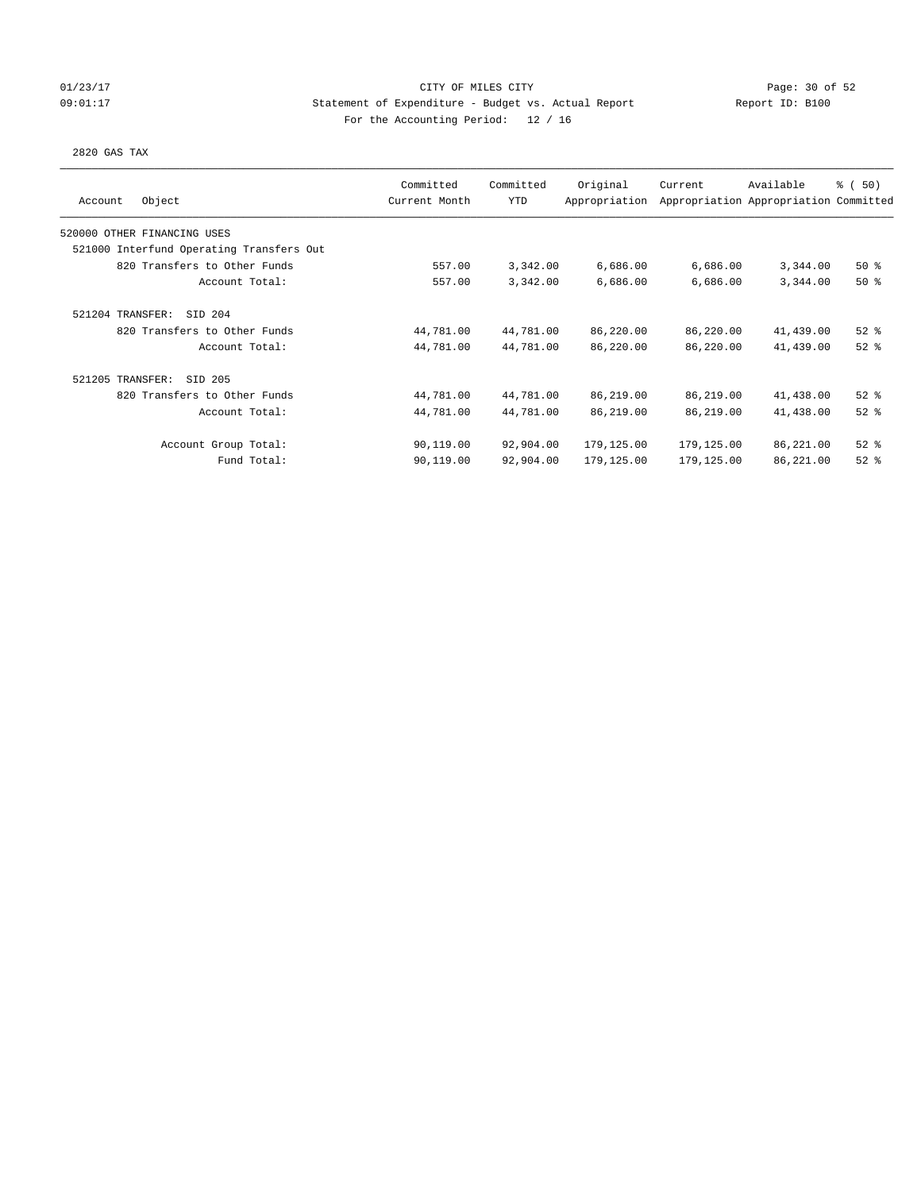## 01/23/17 Page: 30 of 52 09:01:17 Statement of Expenditure - Budget vs. Actual Report Report ID: B100 For the Accounting Period: 12 / 16

### 2820 GAS TAX

| Object<br>Account                        | Committed<br>Current Month | Committed<br><b>YTD</b> | Original<br>Appropriation | Current    | Available<br>Appropriation Appropriation Committed | % (50)   |
|------------------------------------------|----------------------------|-------------------------|---------------------------|------------|----------------------------------------------------|----------|
| 520000 OTHER FINANCING USES              |                            |                         |                           |            |                                                    |          |
| 521000 Interfund Operating Transfers Out |                            |                         |                           |            |                                                    |          |
| 820 Transfers to Other Funds             | 557.00                     | 3,342.00                | 6,686.00                  | 6,686.00   | 3,344.00                                           | 50%      |
| Account Total:                           | 557.00                     | 3,342.00                | 6,686.00                  | 6,686.00   | 3,344.00                                           | 50%      |
| 521204 TRANSFER:<br>SID 204              |                            |                         |                           |            |                                                    |          |
| 820 Transfers to Other Funds             | 44,781.00                  | 44,781.00               | 86,220.00                 | 86,220.00  | 41,439.00                                          | $52$ $%$ |
| Account Total:                           | 44,781.00                  | 44,781.00               | 86,220.00                 | 86,220.00  | 41,439.00                                          | $52$ $%$ |
| 521205 TRANSFER:<br>SID 205              |                            |                         |                           |            |                                                    |          |
| 820 Transfers to Other Funds             | 44,781.00                  | 44,781.00               | 86,219.00                 | 86,219.00  | 41,438.00                                          | $52$ $%$ |
| Account Total:                           | 44,781.00                  | 44,781.00               | 86,219.00                 | 86,219.00  | 41,438.00                                          | $52$ $%$ |
| Account Group Total:                     | 90,119.00                  | 92,904.00               | 179,125.00                | 179,125.00 | 86,221.00                                          | $52$ $%$ |
| Fund Total:                              | 90,119.00                  | 92,904.00               | 179,125.00                | 179,125.00 | 86,221.00                                          | $52$ $%$ |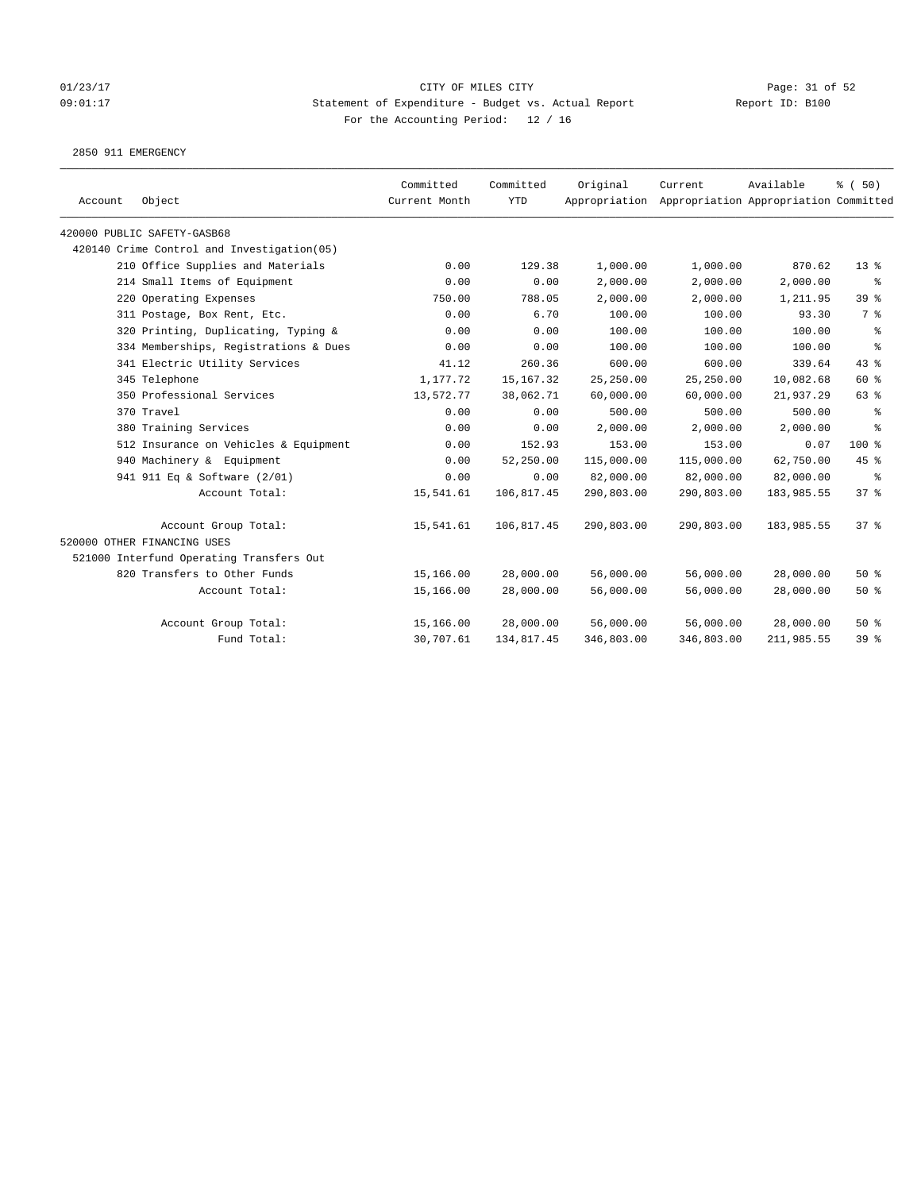# 01/23/17 Page: 31 of 52 09:01:17 Statement of Expenditure - Budget vs. Actual Report Report ID: B100 For the Accounting Period: 12 / 16

2850 911 EMERGENCY

| Account | Object                                     | Committed<br>Current Month | Committed<br><b>YTD</b> | Original   | Current<br>Appropriation Appropriation Appropriation Committed | Available  | % (50)          |
|---------|--------------------------------------------|----------------------------|-------------------------|------------|----------------------------------------------------------------|------------|-----------------|
|         | 420000 PUBLIC SAFETY-GASB68                |                            |                         |            |                                                                |            |                 |
|         | 420140 Crime Control and Investigation(05) |                            |                         |            |                                                                |            |                 |
|         | 210 Office Supplies and Materials          | 0.00                       | 129.38                  | 1,000.00   | 1,000.00                                                       | 870.62     | 13 <sup>°</sup> |
|         | 214 Small Items of Equipment               | 0.00                       | 0.00                    | 2,000.00   | 2,000.00                                                       | 2,000.00   | နွ              |
|         | 220 Operating Expenses                     | 750.00                     | 788.05                  | 2,000.00   | 2,000.00                                                       | 1,211.95   | 39 %            |
|         | 311 Postage, Box Rent, Etc.                | 0.00                       | 6.70                    | 100.00     | 100.00                                                         | 93.30      | 7 %             |
|         | 320 Printing, Duplicating, Typing &        | 0.00                       | 0.00                    | 100.00     | 100.00                                                         | 100.00     | ႜ               |
|         | 334 Memberships, Registrations & Dues      | 0.00                       | 0.00                    | 100.00     | 100.00                                                         | 100.00     | နွ              |
|         | 341 Electric Utility Services              | 41.12                      | 260.36                  | 600.00     | 600.00                                                         | 339.64     | 43%             |
|         | 345 Telephone                              | 1,177.72                   | 15, 167.32              | 25,250.00  | 25,250.00                                                      | 10,082.68  | 60 %            |
|         | 350 Professional Services                  | 13,572.77                  | 38,062.71               | 60,000.00  | 60,000.00                                                      | 21,937.29  | 63 %            |
|         | 370 Travel                                 | 0.00                       | 0.00                    | 500.00     | 500.00                                                         | 500.00     | ႜ               |
|         | 380 Training Services                      | 0.00                       | 0.00                    | 2,000.00   | 2,000.00                                                       | 2,000.00   | ႜ               |
|         | 512 Insurance on Vehicles & Equipment      | 0.00                       | 152.93                  | 153.00     | 153.00                                                         | 0.07       | 100 %           |
|         | 940 Machinery & Equipment                  | 0.00                       | 52,250.00               | 115,000.00 | 115,000.00                                                     | 62,750.00  | 45%             |
|         | 941 911 Eq & Software (2/01)               | 0.00                       | 0.00                    | 82,000.00  | 82,000.00                                                      | 82,000.00  | နွ              |
|         | Account Total:                             | 15,541.61                  | 106,817.45              | 290,803.00 | 290,803.00                                                     | 183,985.55 | 37%             |
|         | Account Group Total:                       | 15,541.61                  | 106,817.45              | 290,803.00 | 290,803.00                                                     | 183,985.55 | 37%             |
|         | 520000 OTHER FINANCING USES                |                            |                         |            |                                                                |            |                 |
|         | 521000 Interfund Operating Transfers Out   |                            |                         |            |                                                                |            |                 |
|         | 820 Transfers to Other Funds               | 15,166.00                  | 28,000.00               | 56,000.00  | 56,000.00                                                      | 28,000.00  | 50%             |
|         | Account Total:                             | 15,166.00                  | 28,000.00               | 56,000.00  | 56,000.00                                                      | 28,000.00  | 50%             |
|         | Account Group Total:                       | 15,166.00                  | 28,000.00               | 56,000.00  | 56,000.00                                                      | 28,000.00  | 50%             |
|         | Fund Total:                                | 30,707.61                  | 134,817.45              | 346,803.00 | 346,803.00                                                     | 211,985.55 | 39 %            |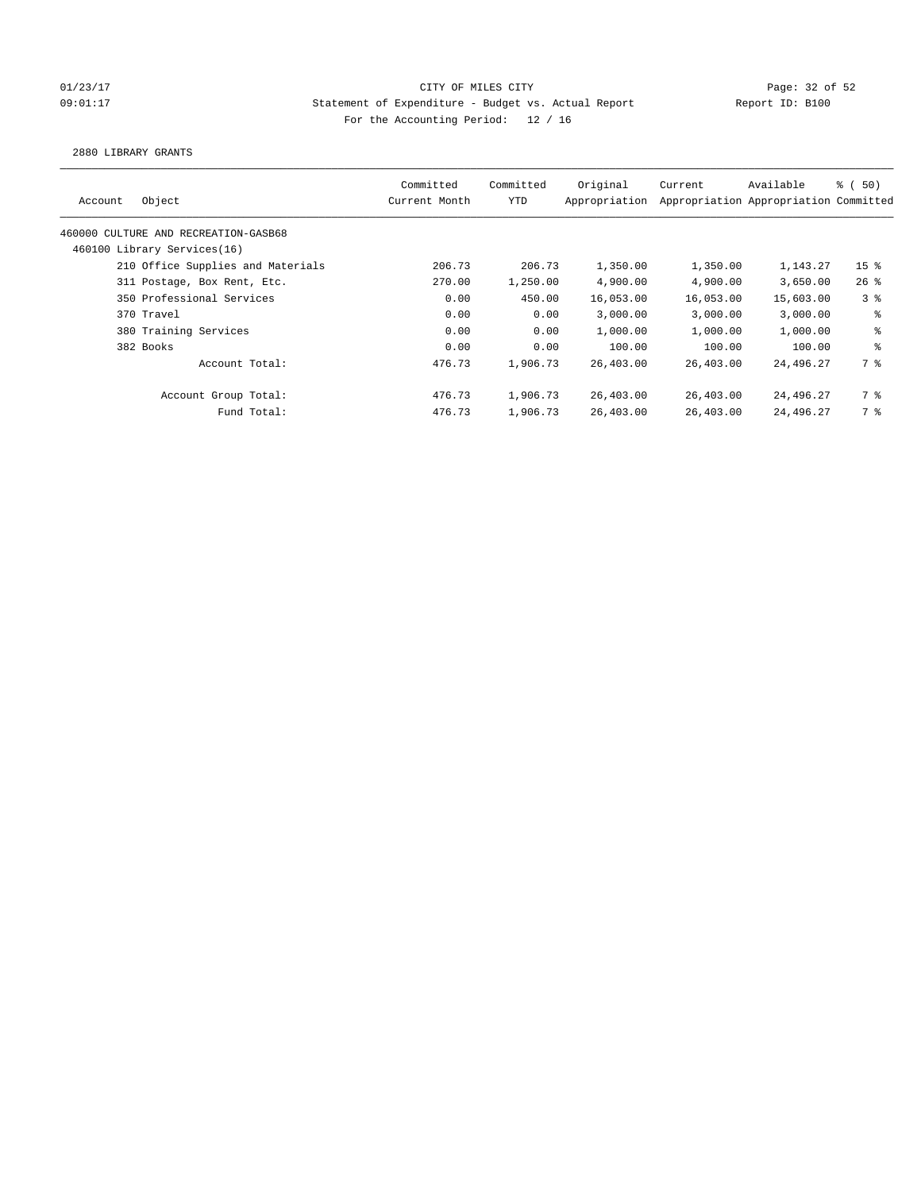## 01/23/17 Page: 32 of 52 Page: 32 of 52 09:01:17 Statement of Expenditure - Budget vs. Actual Report Report ID: B100 For the Accounting Period: 12 / 16

2880 LIBRARY GRANTS

| Committed<br>Current Month | Committed<br>YTD | Original<br>Appropriation | Current                                                                                  | Available | <sub>ර</sub> ි (50)                                                                                                                                 |
|----------------------------|------------------|---------------------------|------------------------------------------------------------------------------------------|-----------|-----------------------------------------------------------------------------------------------------------------------------------------------------|
|                            |                  |                           |                                                                                          |           |                                                                                                                                                     |
|                            |                  |                           |                                                                                          |           |                                                                                                                                                     |
| 206.73                     |                  | 1,350.00                  |                                                                                          | 1,143.27  | 15 <sup>8</sup>                                                                                                                                     |
| 270.00                     |                  | 4,900.00                  |                                                                                          | 3,650.00  | $26$ %                                                                                                                                              |
| 0.00                       |                  | 16,053.00                 |                                                                                          | 15,603.00 | 3 <sup>8</sup>                                                                                                                                      |
| 0.00                       |                  | 3,000.00                  |                                                                                          | 3,000.00  | ႜ                                                                                                                                                   |
| 0.00                       |                  | 1,000.00                  |                                                                                          | 1,000.00  | နွ                                                                                                                                                  |
| 0.00                       |                  | 100.00                    |                                                                                          | 100.00    | ి                                                                                                                                                   |
| 476.73                     |                  | 26,403.00                 |                                                                                          | 24,496.27 | 7 %                                                                                                                                                 |
| 476.73                     |                  | 26,403.00                 |                                                                                          | 24,496.27 | 7 %                                                                                                                                                 |
| 476.73                     |                  | 26,403.00                 |                                                                                          | 24,496.27 | 7 %                                                                                                                                                 |
|                            |                  |                           | 206.73<br>1,250.00<br>450.00<br>0.00<br>0.00<br>0.00<br>1,906.73<br>1,906.73<br>1,906.73 |           | Appropriation Appropriation Committed<br>1,350.00<br>4,900.00<br>16,053.00<br>3.000.00<br>1,000.00<br>100.00<br>26,403.00<br>26,403.00<br>26,403.00 |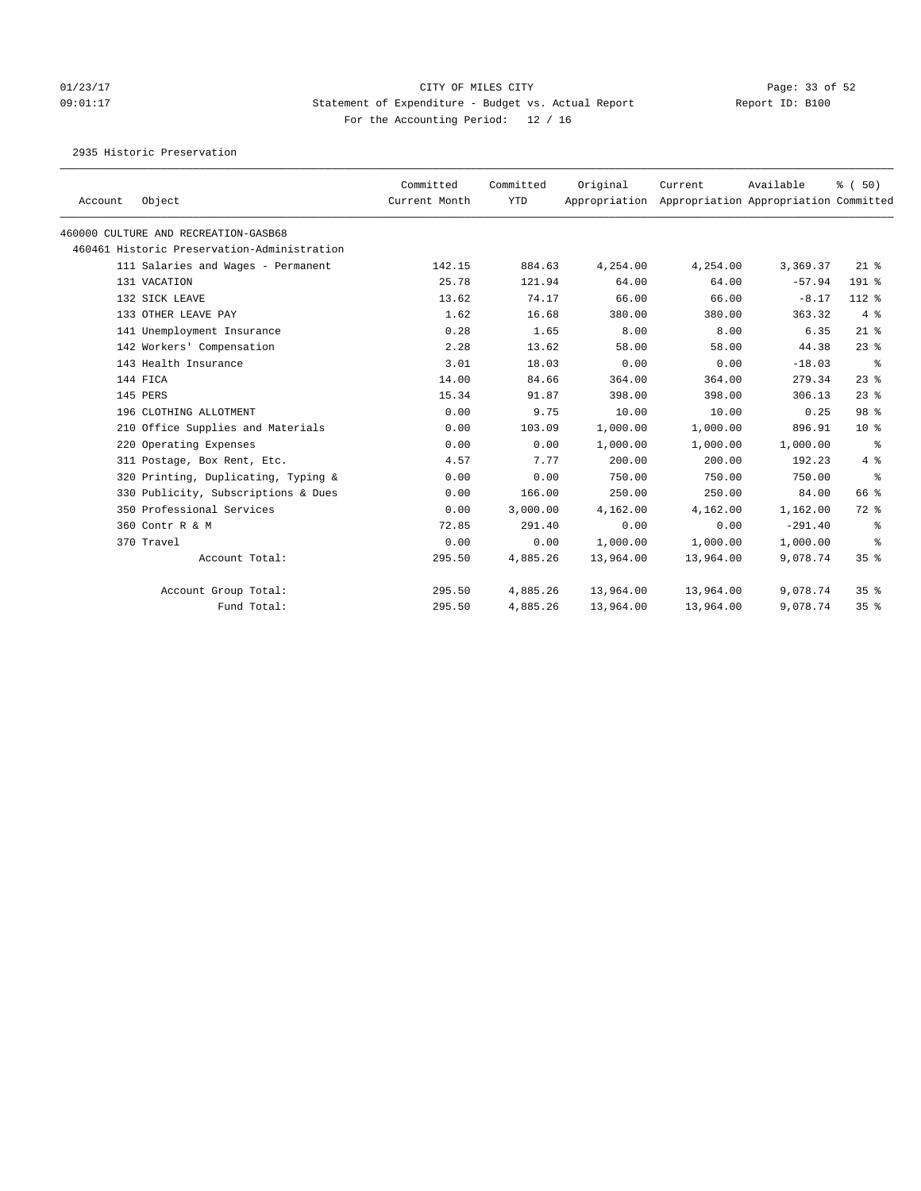# 01/23/17 Page: 33 of 52 09:01:17 Statement of Expenditure - Budget vs. Actual Report Report ID: B100 For the Accounting Period: 12 / 16

2935 Historic Preservation

| Account | Object                                      | Committed<br>Current Month | Committed<br><b>YTD</b> | Original<br>Appropriation | Current   | Available<br>Appropriation Appropriation Committed | % (50)          |
|---------|---------------------------------------------|----------------------------|-------------------------|---------------------------|-----------|----------------------------------------------------|-----------------|
|         | 460000 CULTURE AND RECREATION-GASB68        |                            |                         |                           |           |                                                    |                 |
|         | 460461 Historic Preservation-Administration |                            |                         |                           |           |                                                    |                 |
|         | 111 Salaries and Wages - Permanent          | 142.15                     | 884.63                  | 4,254.00                  | 4,254.00  | 3,369.37                                           | $21$ %          |
|         | 131 VACATION                                | 25.78                      | 121.94                  | 64.00                     | 64.00     | $-57.94$                                           | $191$ %         |
|         | 132 SICK LEAVE                              | 13.62                      | 74.17                   | 66.00                     | 66.00     | $-8.17$                                            | 112 %           |
|         | 133 OTHER LEAVE PAY                         | 1.62                       | 16.68                   | 380.00                    | 380.00    | 363.32                                             | 4%              |
|         | 141 Unemployment Insurance                  | 0.28                       | 1.65                    | 8.00                      | 8.00      | 6.35                                               | $21$ %          |
|         | 142 Workers' Compensation                   | 2.28                       | 13.62                   | 58.00                     | 58.00     | 44.38                                              | $23$ $%$        |
|         | 143 Health Insurance                        | 3.01                       | 18.03                   | 0.00                      | 0.00      | $-18.03$                                           | ႜ               |
|         | 144 FICA                                    | 14.00                      | 84.66                   | 364.00                    | 364.00    | 279.34                                             | $23$ %          |
|         | 145 PERS                                    | 15.34                      | 91.87                   | 398.00                    | 398.00    | 306.13                                             | $23$ $%$        |
|         | 196 CLOTHING ALLOTMENT                      | 0.00                       | 9.75                    | 10.00                     | 10.00     | 0.25                                               | 98 %            |
|         | 210 Office Supplies and Materials           | 0.00                       | 103.09                  | 1,000.00                  | 1,000.00  | 896.91                                             | $10*$           |
|         | 220 Operating Expenses                      | 0.00                       | 0.00                    | 1,000.00                  | 1,000.00  | 1,000.00                                           | ႜ               |
|         | 311 Postage, Box Rent, Etc.                 | 4.57                       | 7.77                    | 200.00                    | 200.00    | 192.23                                             | 4%              |
|         | 320 Printing, Duplicating, Typing &         | 0.00                       | 0.00                    | 750.00                    | 750.00    | 750.00                                             | နွ              |
|         | 330 Publicity, Subscriptions & Dues         | 0.00                       | 166.00                  | 250.00                    | 250.00    | 84.00                                              | 66 %            |
|         | 350 Professional Services                   | 0.00                       | 3,000.00                | 4,162.00                  | 4,162.00  | 1,162.00                                           | 72 %            |
|         | 360 Contr R & M                             | 72.85                      | 291.40                  | 0.00                      | 0.00      | $-291.40$                                          | ႜ               |
|         | 370 Travel                                  | 0.00                       | 0.00                    | 1,000.00                  | 1,000.00  | 1,000.00                                           | ႜ               |
|         | Account Total:                              | 295.50                     | 4,885.26                | 13,964.00                 | 13,964.00 | 9,078.74                                           | 35 <sup>8</sup> |
|         | Account Group Total:                        | 295.50                     | 4,885.26                | 13,964.00                 | 13,964.00 | 9,078.74                                           | 35 <sup>8</sup> |
|         | Fund Total:                                 | 295.50                     | 4,885.26                | 13,964.00                 | 13,964.00 | 9,078.74                                           | 35 <sup>8</sup> |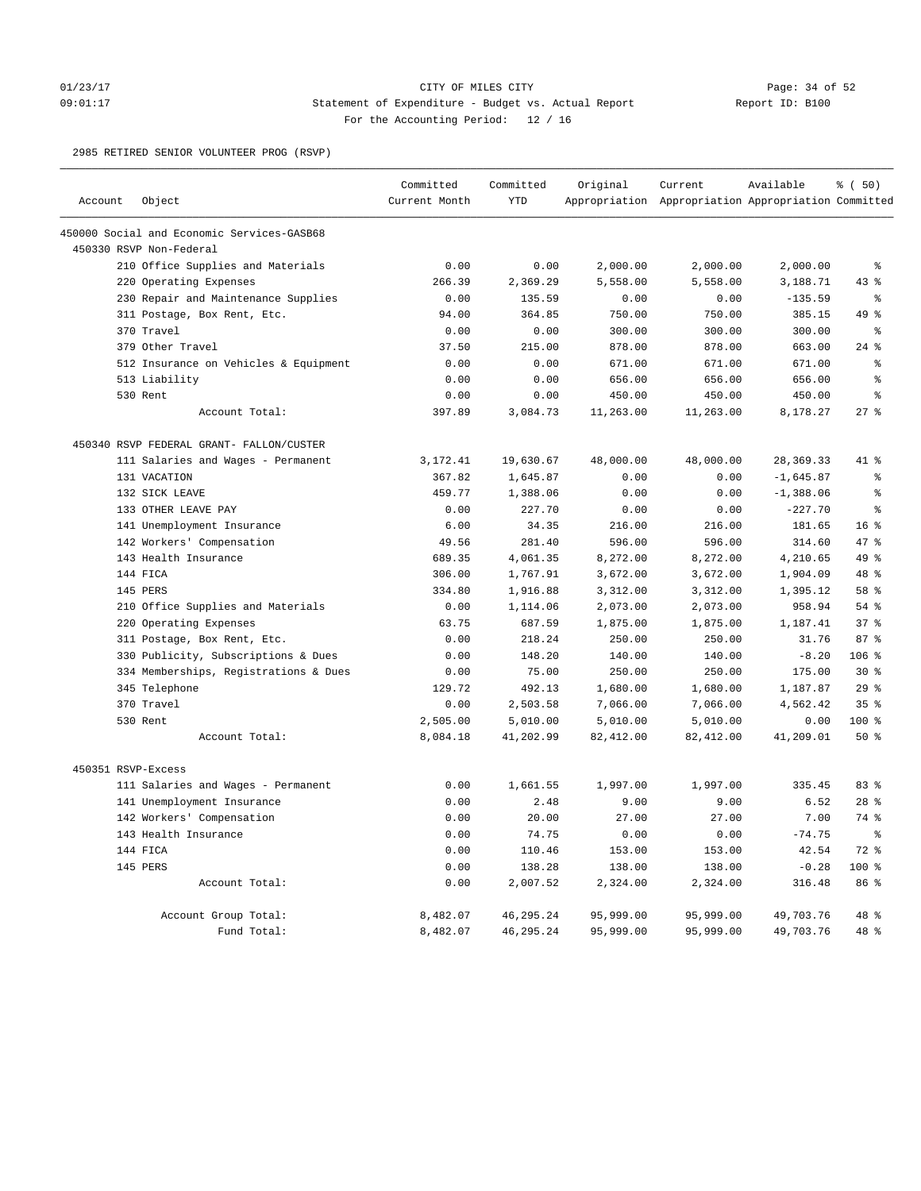## 01/23/17 Page: 34 of 52 Page: 34 OF MILES CITY CITY CITY CITY 09:01:17 Statement of Expenditure - Budget vs. Actual Report Report ID: B100 For the Accounting Period: 12 / 16

2985 RETIRED SENIOR VOLUNTEER PROG (RSVP)

|                    |                                            | Committed     | Committed   | Original   | Current                                             | Available   | % (50)          |
|--------------------|--------------------------------------------|---------------|-------------|------------|-----------------------------------------------------|-------------|-----------------|
| Account            | Object                                     | Current Month | <b>YTD</b>  |            | Appropriation Appropriation Appropriation Committed |             |                 |
|                    | 450000 Social and Economic Services-GASB68 |               |             |            |                                                     |             |                 |
|                    | 450330 RSVP Non-Federal                    |               |             |            |                                                     |             |                 |
|                    | 210 Office Supplies and Materials          | 0.00          | 0.00        | 2,000.00   | 2,000.00                                            | 2,000.00    | ៖               |
|                    | 220 Operating Expenses                     | 266.39        | 2,369.29    | 5,558.00   | 5,558.00                                            | 3,188.71    | 43%             |
|                    | 230 Repair and Maintenance Supplies        | 0.00          | 135.59      | 0.00       | 0.00                                                | $-135.59$   | ి               |
|                    | 311 Postage, Box Rent, Etc.                | 94.00         | 364.85      | 750.00     | 750.00                                              | 385.15      | 49.8            |
|                    | 370 Travel                                 | 0.00          | 0.00        | 300.00     | 300.00                                              | 300.00      | နွ              |
|                    | 379 Other Travel                           | 37.50         | 215.00      | 878.00     | 878.00                                              | 663.00      | $24$ $%$        |
|                    | 512 Insurance on Vehicles & Equipment      | 0.00          | 0.00        | 671.00     | 671.00                                              | 671.00      | ៖               |
|                    | 513 Liability                              | 0.00          | 0.00        | 656.00     | 656.00                                              | 656.00      | $\approx$       |
|                    | 530 Rent                                   | 0.00          | 0.00        | 450.00     | 450.00                                              | 450.00      | န့              |
|                    | Account Total:                             | 397.89        | 3,084.73    | 11,263.00  | 11,263.00                                           | 8,178.27    | $27$ $%$        |
|                    | 450340 RSVP FEDERAL GRANT- FALLON/CUSTER   |               |             |            |                                                     |             |                 |
|                    | 111 Salaries and Wages - Permanent         | 3,172.41      | 19,630.67   | 48,000.00  | 48,000.00                                           | 28,369.33   | 41 %            |
|                    | 131 VACATION                               | 367.82        | 1,645.87    | 0.00       | 0.00                                                | $-1,645.87$ | ి               |
|                    | 132 SICK LEAVE                             | 459.77        | 1,388.06    | 0.00       | 0.00                                                | $-1,388.06$ | ៖               |
|                    | 133 OTHER LEAVE PAY                        | 0.00          | 227.70      | 0.00       | 0.00                                                | $-227.70$   | ま               |
|                    | 141 Unemployment Insurance                 | 6.00          | 34.35       | 216.00     | 216.00                                              | 181.65      | 16 <sup>°</sup> |
|                    | 142 Workers' Compensation                  | 49.56         | 281.40      | 596.00     | 596.00                                              | 314.60      | 47 %            |
|                    | 143 Health Insurance                       | 689.35        | 4,061.35    | 8,272.00   | 8,272.00                                            | 4,210.65    | 49 %            |
|                    | 144 FICA                                   | 306.00        | 1,767.91    | 3,672.00   | 3,672.00                                            | 1,904.09    | 48 %            |
|                    | 145 PERS                                   | 334.80        | 1,916.88    | 3,312.00   | 3,312.00                                            | 1,395.12    | 58 %            |
|                    | 210 Office Supplies and Materials          | 0.00          | 1,114.06    | 2,073.00   | 2,073.00                                            | 958.94      | $54$ $%$        |
|                    | 220 Operating Expenses                     | 63.75         | 687.59      | 1,875.00   | 1,875.00                                            | 1,187.41    | 37%             |
|                    | 311 Postage, Box Rent, Etc.                | 0.00          | 218.24      | 250.00     | 250.00                                              | 31.76       | 87%             |
|                    | 330 Publicity, Subscriptions & Dues        | 0.00          | 148.20      | 140.00     | 140.00                                              | $-8.20$     | 106 %           |
|                    | 334 Memberships, Registrations & Dues      | 0.00          | 75.00       | 250.00     | 250.00                                              | 175.00      | $30*$           |
|                    | 345 Telephone                              | 129.72        | 492.13      | 1,680.00   | 1,680.00                                            | 1,187.87    | 29%             |
|                    | 370 Travel                                 | 0.00          | 2,503.58    | 7,066.00   | 7,066.00                                            | 4,562.42    | 35%             |
|                    | 530 Rent                                   | 2,505.00      | 5,010.00    | 5,010.00   | 5,010.00                                            | 0.00        | 100 %           |
|                    | Account Total:                             | 8,084.18      | 41,202.99   | 82, 412.00 | 82, 412.00                                          | 41,209.01   | $50*$           |
| 450351 RSVP-Excess |                                            |               |             |            |                                                     |             |                 |
|                    | 111 Salaries and Wages - Permanent         | 0.00          | 1,661.55    | 1,997.00   | 1,997.00                                            | 335.45      | 83 %            |
|                    | 141 Unemployment Insurance                 | 0.00          | 2.48        | 9.00       | 9.00                                                | 6.52        | $28$ $%$        |
|                    | 142 Workers' Compensation                  | 0.00          | 20.00       | 27.00      | 27.00                                               | 7.00        | 74 %            |
|                    | 143 Health Insurance                       | 0.00          | 74.75       | 0.00       | 0.00                                                | $-74.75$    | $\epsilon$      |
|                    | 144 FICA                                   | 0.00          | 110.46      | 153.00     | 153.00                                              | 42.54       | $72$ $%$        |
|                    | 145 PERS                                   | 0.00          | 138.28      | 138.00     | 138.00                                              | $-0.28$     | 100%            |
|                    | Account Total:                             | 0.00          | 2,007.52    | 2,324.00   | 2,324.00                                            | 316.48      | 86 %            |
|                    |                                            |               |             |            |                                                     |             |                 |
|                    | Account Group Total:                       | 8,482.07      | 46,295.24   | 95,999.00  | 95,999.00                                           | 49,703.76   | $48*$           |
|                    | Fund Total:                                | 8,482.07      | 46, 295. 24 | 95,999.00  | 95,999.00                                           | 49,703.76   | 48 %            |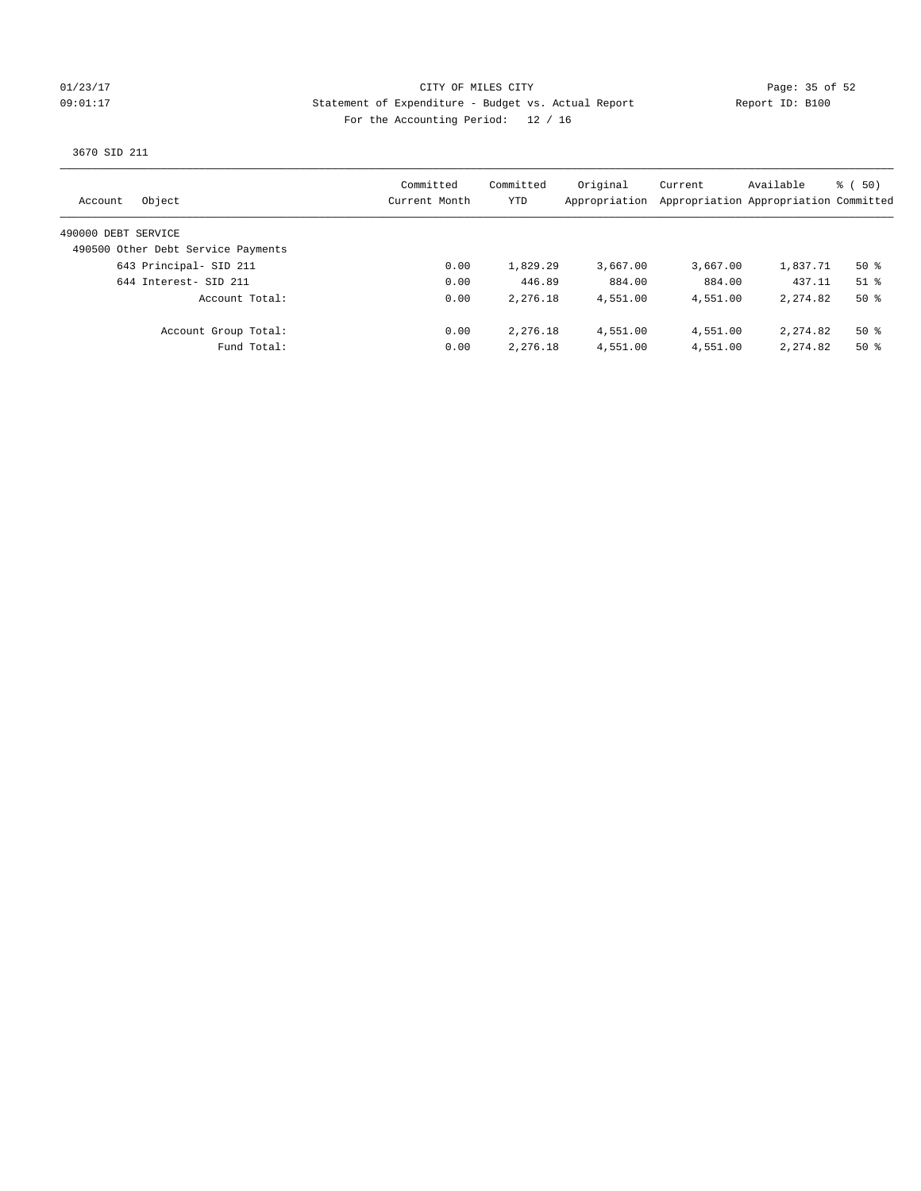## 01/23/17 Page: 35 of 52 09:01:17 Statement of Expenditure - Budget vs. Actual Report Report ID: B100 For the Accounting Period: 12 / 16

3670 SID 211

| Object<br>Account                  | Committed<br>Current Month | Committed<br>YTD | Original<br>Appropriation | Current  | Available<br>Appropriation Appropriation Committed | $\frac{1}{6}$ (50) |
|------------------------------------|----------------------------|------------------|---------------------------|----------|----------------------------------------------------|--------------------|
| 490000 DEBT SERVICE                |                            |                  |                           |          |                                                    |                    |
| 490500 Other Debt Service Payments |                            |                  |                           |          |                                                    |                    |
| 643 Principal- SID 211             | 0.00                       | 1,829.29         | 3,667.00                  | 3,667.00 | 1,837.71                                           | 50 %               |
| 644 Interest- SID 211              | 0.00                       | 446.89           | 884.00                    | 884.00   | 437.11                                             | $51$ %             |
| Account Total:                     | 0.00                       | 2,276.18         | 4,551.00                  | 4,551.00 | 2, 274, 82                                         | $50*$              |
| Account Group Total:               | 0.00                       | 2,276.18         | 4,551.00                  | 4,551.00 | 2,274.82                                           | $50*$              |
| Fund Total:                        | 0.00                       | 2,276.18         | 4,551.00                  | 4,551.00 | 2, 274, 82                                         | $50*$              |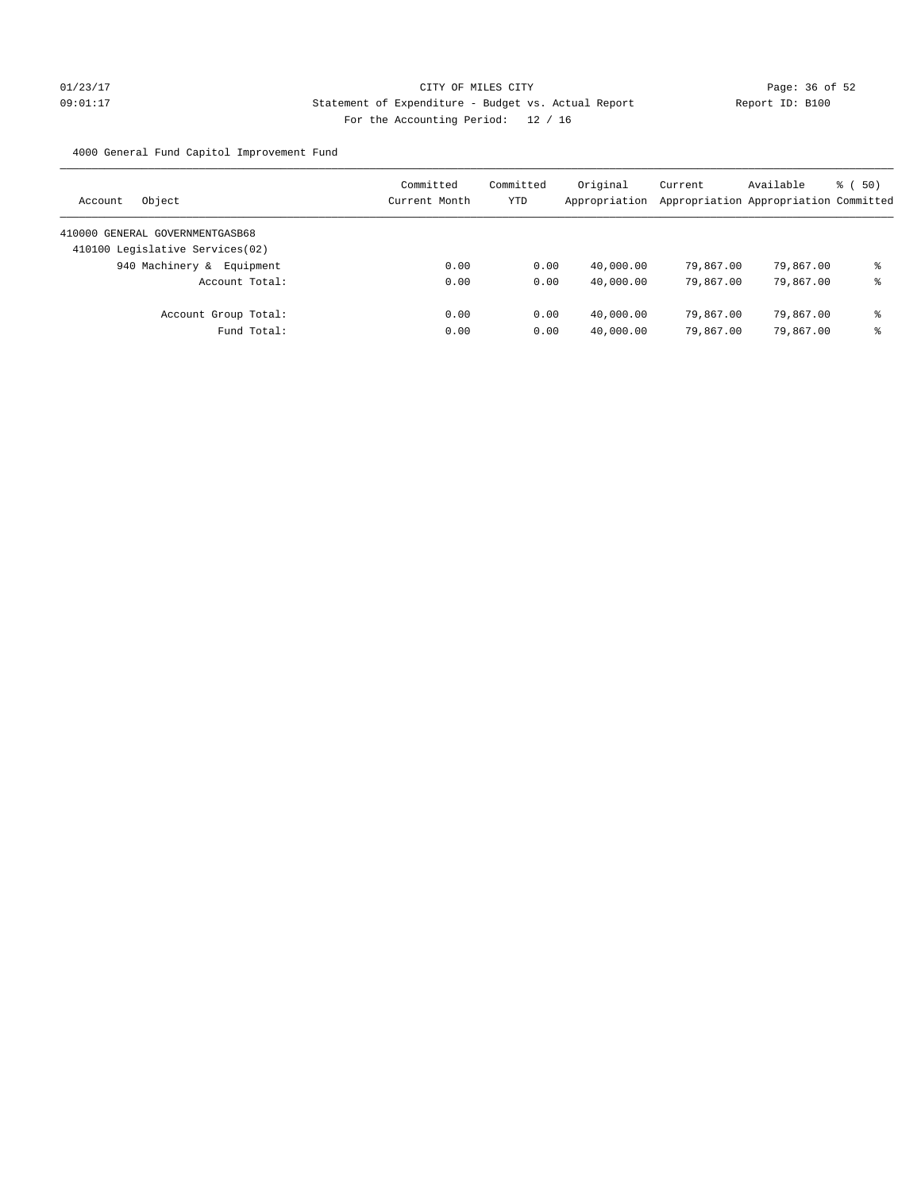# $01/23/17$  Page: 36 of 52 09:01:17 Statement of Expenditure - Budget vs. Actual Report Report ID: B100 For the Accounting Period: 12 / 16

4000 General Fund Capitol Improvement Fund

| Object<br>Account                | Committed<br>Current Month | Committed<br><b>YTD</b> | Original<br>Appropriation | Current<br>Appropriation Appropriation Committed | Available | 8 ( 50) |
|----------------------------------|----------------------------|-------------------------|---------------------------|--------------------------------------------------|-----------|---------|
| 410000 GENERAL GOVERNMENTGASB68  |                            |                         |                           |                                                  |           |         |
| 410100 Legislative Services (02) |                            |                         |                           |                                                  |           |         |
| 940 Machinery & Equipment        | 0.00                       | 0.00                    | 40,000.00                 | 79,867,00                                        | 79,867.00 | နွ      |
| Account Total:                   | 0.00                       | 0.00                    | 40,000.00                 | 79,867,00                                        | 79,867.00 | နွ      |
| Account Group Total:             | 0.00                       | 0.00                    | 40,000.00                 | 79,867,00                                        | 79,867.00 | နွ      |
| Fund Total:                      | 0.00                       | 0.00                    | 40,000.00                 | 79,867,00                                        | 79,867.00 | ⊱       |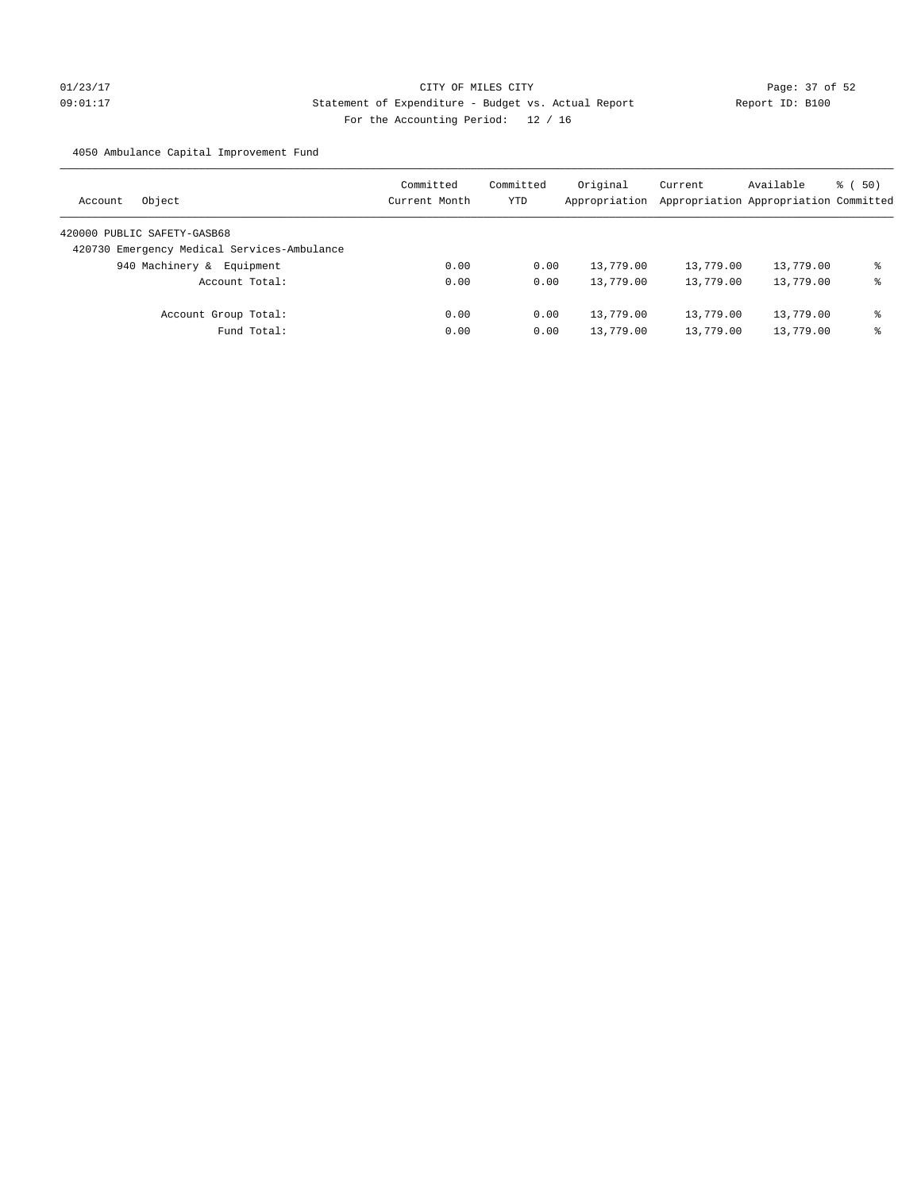# 01/23/17 Page: 37 of 52 09:01:17 Statement of Expenditure - Budget vs. Actual Report Report ID: B100 For the Accounting Period: 12 / 16

4050 Ambulance Capital Improvement Fund

| Object<br>Account                           | Committed<br>Current Month | Committed<br>YTD | Original<br>Appropriation | Current<br>Appropriation Appropriation Committed | Available | 8 ( 50) |
|---------------------------------------------|----------------------------|------------------|---------------------------|--------------------------------------------------|-----------|---------|
| 420000 PUBLIC SAFETY-GASB68                 |                            |                  |                           |                                                  |           |         |
| 420730 Emergency Medical Services-Ambulance |                            |                  |                           |                                                  |           |         |
| 940 Machinery &<br>Equipment                | 0.00                       | 0.00             | 13,779.00                 | 13,779.00                                        | 13,779.00 | ⊱       |
| Account Total:                              | 0.00                       | 0.00             | 13,779.00                 | 13,779.00                                        | 13,779.00 | နွ      |
| Account Group Total:                        | 0.00                       | 0.00             | 13,779.00                 | 13,779.00                                        | 13,779.00 | နွ      |
| Fund Total:                                 | 0.00                       | 0.00             | 13,779.00                 | 13,779.00                                        | 13,779.00 | ⊱       |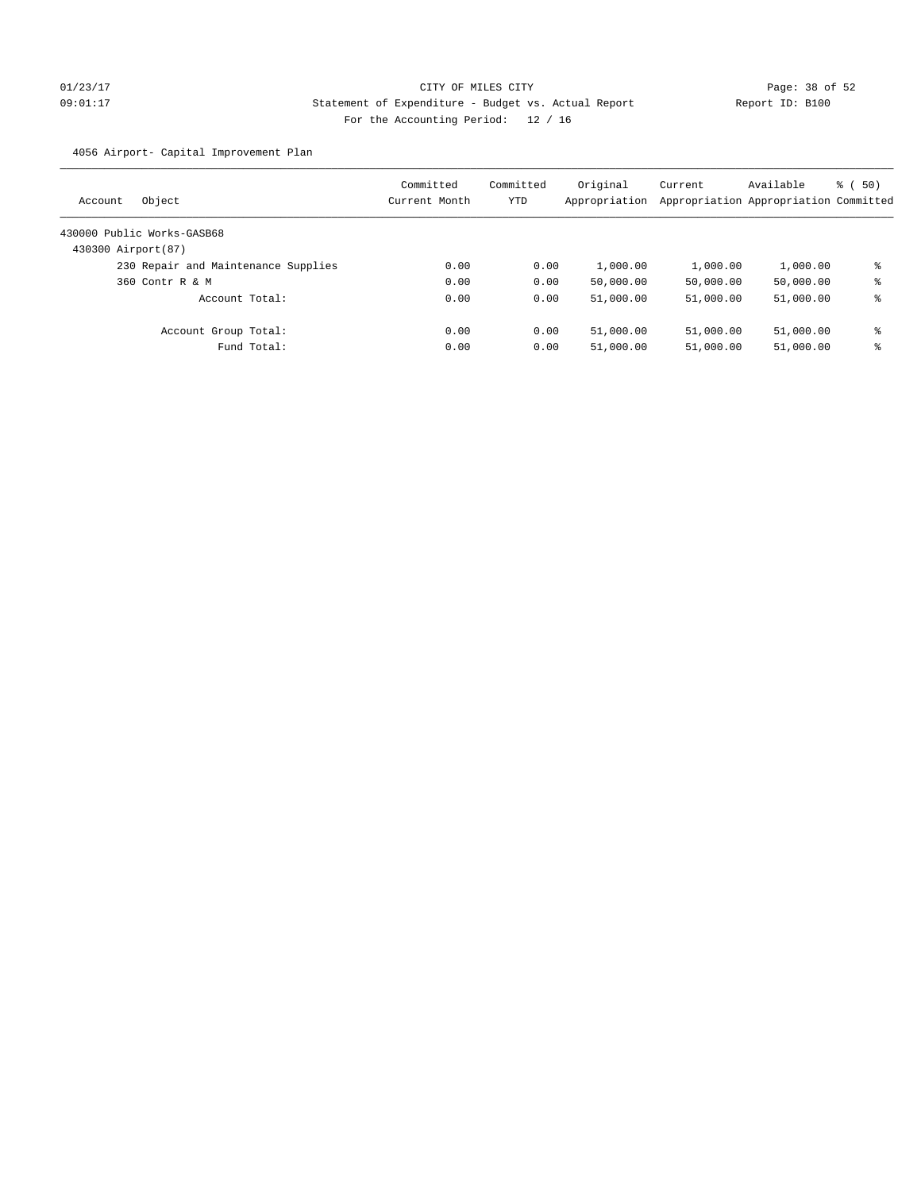# 01/23/17 Page: 38 of 52 09:01:17 Statement of Expenditure - Budget vs. Actual Report Report ID: B100 For the Accounting Period: 12 / 16

4056 Airport- Capital Improvement Plan

| Object<br>Account                   | Committed<br>Current Month | Committed<br>YTD | Original<br>Appropriation | Current<br>Appropriation Appropriation Committed | Available | 8 ( 50) |
|-------------------------------------|----------------------------|------------------|---------------------------|--------------------------------------------------|-----------|---------|
| 430000 Public Works-GASB68          |                            |                  |                           |                                                  |           |         |
| 430300 Airport (87)                 |                            |                  |                           |                                                  |           |         |
| 230 Repair and Maintenance Supplies | 0.00                       | 0.00             | 1,000.00                  | 1,000.00                                         | 1,000.00  | နွ      |
| 360 Contr R & M                     | 0.00                       | 0.00             | 50,000.00                 | 50,000.00                                        | 50,000.00 | ి       |
| Account Total:                      | 0.00                       | 0.00             | 51,000.00                 | 51,000.00                                        | 51,000.00 | နွ      |
| Account Group Total:                | 0.00                       | 0.00             | 51,000.00                 | 51,000.00                                        | 51,000.00 | ៖       |
| Fund Total:                         | 0.00                       | 0.00             | 51,000.00                 | 51,000.00                                        | 51,000.00 | နွ      |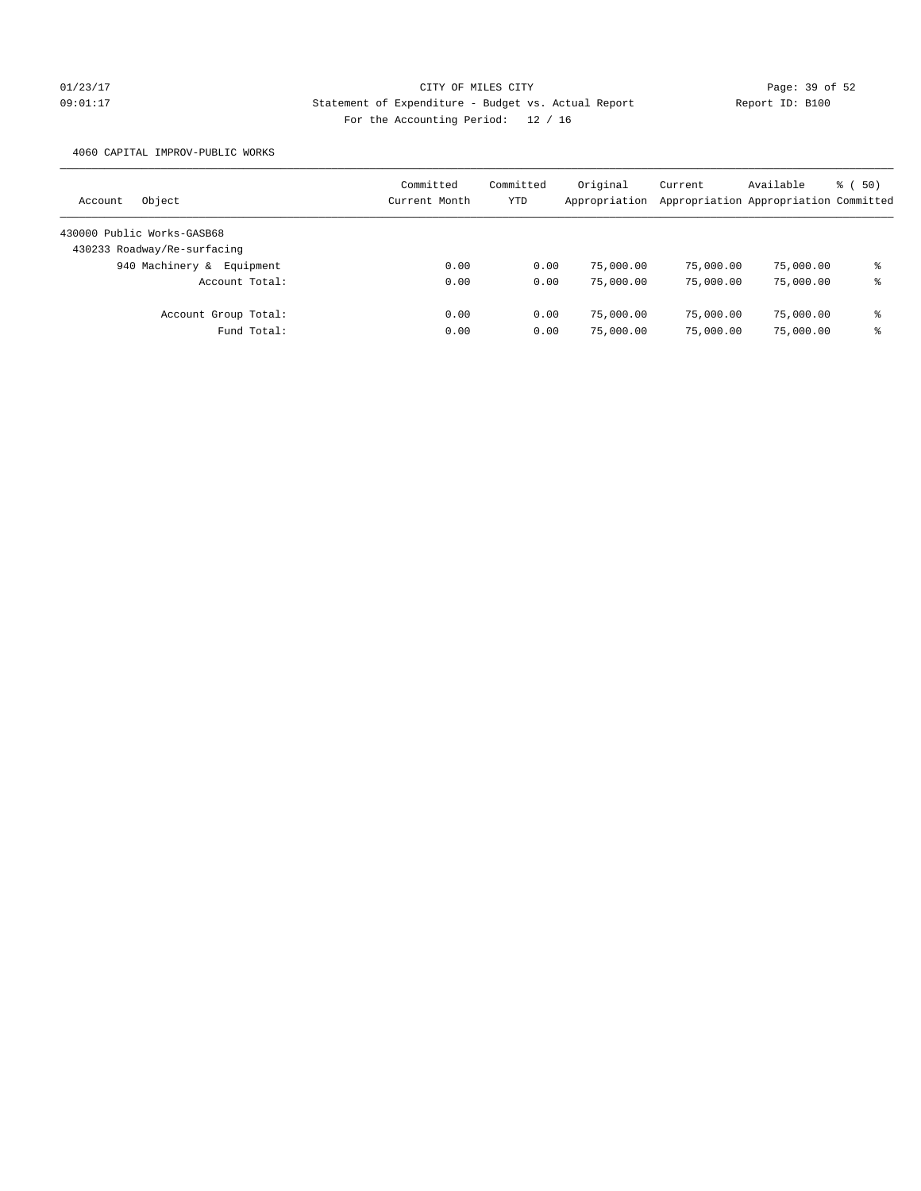# 01/23/17 Page: 39 of 52 Page: 39 of 52 09:01:17 Statement of Expenditure - Budget vs. Actual Report Report ID: B100 For the Accounting Period: 12 / 16

4060 CAPITAL IMPROV-PUBLIC WORKS

| Object<br>Account            | Committed<br>Current Month | Committed<br>YTD | Original<br>Appropriation | Current   | Available<br>Appropriation Appropriation Committed | 8 ( 50) |
|------------------------------|----------------------------|------------------|---------------------------|-----------|----------------------------------------------------|---------|
| 430000 Public Works-GASB68   |                            |                  |                           |           |                                                    |         |
| 430233 Roadway/Re-surfacing  |                            |                  |                           |           |                                                    |         |
| 940 Machinery &<br>Equipment | 0.00                       | 0.00             | 75,000.00                 | 75,000.00 | 75,000.00                                          | နွ      |
| Account Total:               | 0.00                       | 0.00             | 75,000.00                 | 75,000.00 | 75,000.00                                          | နွ      |
| Account Group Total:         | 0.00                       | 0.00             | 75,000.00                 | 75,000.00 | 75,000.00                                          | နွ      |
| Fund Total:                  | 0.00                       | 0.00             | 75,000.00                 | 75,000.00 | 75,000.00                                          | နွ      |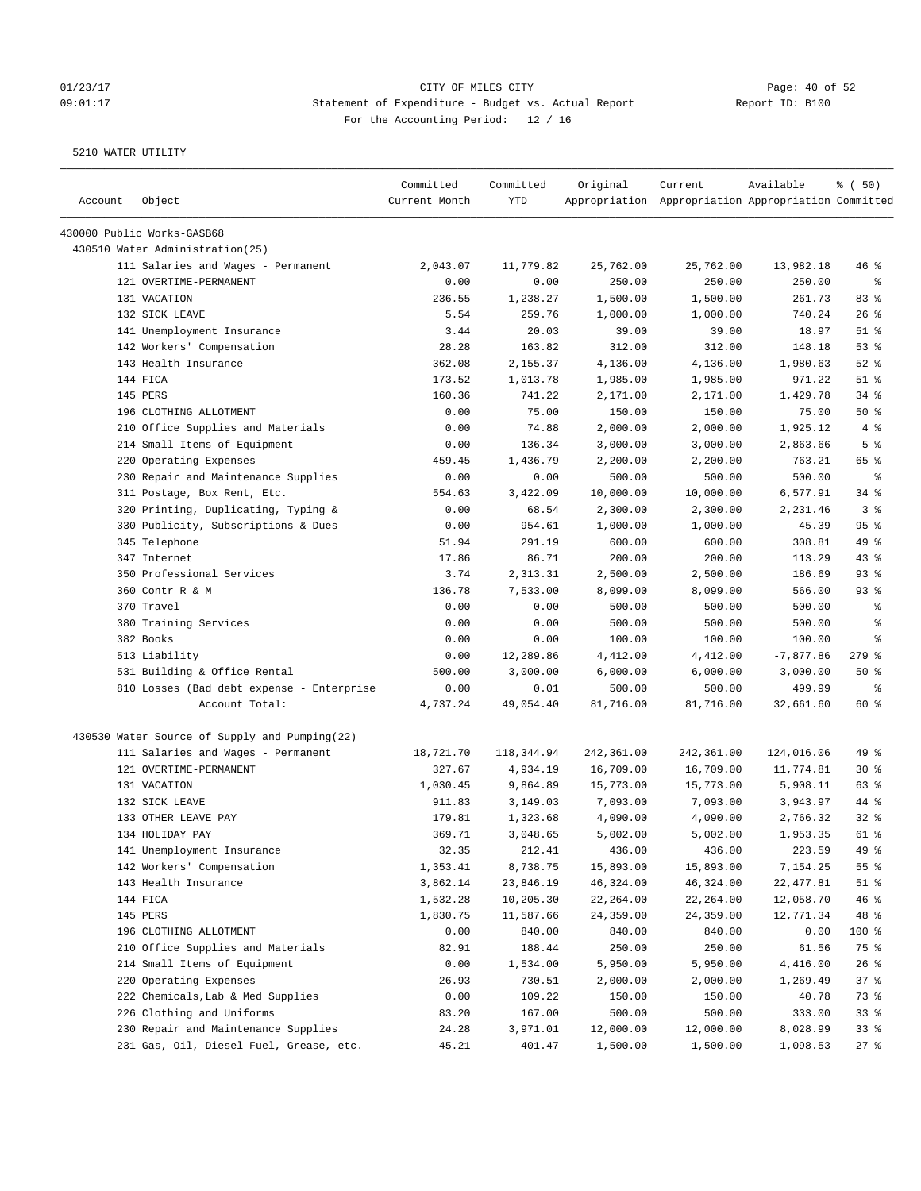# $O1/23/17$  Page: 40 of 52 09:01:17 Statement of Expenditure - Budget vs. Actual Report Report ID: B100 For the Accounting Period: 12 / 16

————————————————————————————————————————————————————————————————————————————————————————————————————————————————————————————————————

|         |                                               | Committed     | Committed  | Original   | Current                                             | Available   | 8 ( 50)        |
|---------|-----------------------------------------------|---------------|------------|------------|-----------------------------------------------------|-------------|----------------|
| Account | Object                                        | Current Month | YTD        |            | Appropriation Appropriation Appropriation Committed |             |                |
|         | 430000 Public Works-GASB68                    |               |            |            |                                                     |             |                |
|         | 430510 Water Administration(25)               |               |            |            |                                                     |             |                |
|         | 111 Salaries and Wages - Permanent            | 2,043.07      | 11,779.82  | 25,762.00  | 25,762.00                                           | 13,982.18   | $46$ %         |
|         | 121 OVERTIME-PERMANENT                        | 0.00          | 0.00       | 250.00     | 250.00                                              | 250.00      | ిం             |
|         | 131 VACATION                                  | 236.55        | 1,238.27   | 1,500.00   | 1,500.00                                            | 261.73      | 83%            |
|         | 132 SICK LEAVE                                | 5.54          | 259.76     | 1,000.00   | 1,000.00                                            | 740.24      | 26%            |
|         | 141 Unemployment Insurance                    | 3.44          | 20.03      | 39.00      | 39.00                                               | 18.97       | $51$ %         |
|         | 142 Workers' Compensation                     | 28.28         | 163.82     | 312.00     | 312.00                                              | 148.18      | 53%            |
|         | 143 Health Insurance                          | 362.08        | 2,155.37   | 4,136.00   | 4,136.00                                            | 1,980.63    | $52$ $%$       |
|         | 144 FICA                                      | 173.52        | 1,013.78   | 1,985.00   | 1,985.00                                            | 971.22      | $51$ %         |
|         | 145 PERS                                      | 160.36        | 741.22     | 2,171.00   | 2,171.00                                            | 1,429.78    | $34$ $%$       |
|         | 196 CLOTHING ALLOTMENT                        | 0.00          | 75.00      | 150.00     | 150.00                                              | 75.00       | 50%            |
|         | 210 Office Supplies and Materials             | 0.00          | 74.88      | 2,000.00   | 2,000.00                                            | 1,925.12    | 4%             |
|         | 214 Small Items of Equipment                  | 0.00          | 136.34     | 3,000.00   | 3,000.00                                            | 2,863.66    | 5 <sup>°</sup> |
|         | 220 Operating Expenses                        | 459.45        | 1,436.79   | 2,200.00   | 2,200.00                                            | 763.21      | 65 %           |
|         | 230 Repair and Maintenance Supplies           | 0.00          | 0.00       | 500.00     | 500.00                                              | 500.00      | ಿ              |
|         | 311 Postage, Box Rent, Etc.                   | 554.63        | 3,422.09   | 10,000.00  | 10,000.00                                           | 6,577.91    | $34$ $%$       |
|         | 320 Printing, Duplicating, Typing &           | 0.00          | 68.54      | 2,300.00   | 2,300.00                                            | 2,231.46    | 3%             |
|         | 330 Publicity, Subscriptions & Dues           | 0.00          | 954.61     | 1,000.00   | 1,000.00                                            | 45.39       | 95%            |
|         | 345 Telephone                                 | 51.94         | 291.19     | 600.00     | 600.00                                              | 308.81      | 49 %           |
|         | 347 Internet                                  | 17.86         | 86.71      | 200.00     | 200.00                                              | 113.29      | 43%            |
|         | 350 Professional Services                     | 3.74          | 2,313.31   | 2,500.00   | 2,500.00                                            | 186.69      | 93%            |
|         | 360 Contr R & M                               | 136.78        | 7,533.00   | 8,099.00   | 8,099.00                                            | 566.00      | $93$ %         |
|         | 370 Travel                                    | 0.00          | 0.00       | 500.00     | 500.00                                              | 500.00      | ႜ              |
|         | 380 Training Services                         | 0.00          | 0.00       | 500.00     | 500.00                                              | 500.00      | ႜ              |
|         | 382 Books                                     | 0.00          | 0.00       | 100.00     | 100.00                                              | 100.00      | ႜ              |
|         | 513 Liability                                 | 0.00          | 12,289.86  | 4,412.00   | 4,412.00                                            | $-7,877.86$ | $279$ $%$      |
|         | 531 Building & Office Rental                  | 500.00        | 3,000.00   | 6,000.00   | 6,000.00                                            | 3,000.00    | 50%            |
|         | 810 Losses (Bad debt expense - Enterprise     | 0.00          | 0.01       | 500.00     | 500.00                                              | 499.99      | ಿ              |
|         | Account Total:                                | 4,737.24      | 49,054.40  | 81,716.00  | 81,716.00                                           | 32,661.60   | 60 %           |
|         | 430530 Water Source of Supply and Pumping(22) |               |            |            |                                                     |             |                |
|         | 111 Salaries and Wages - Permanent            | 18,721.70     | 118,344.94 | 242,361.00 | 242,361.00                                          | 124,016.06  | 49 %           |
|         | 121 OVERTIME-PERMANENT                        | 327.67        | 4,934.19   | 16,709.00  | 16,709.00                                           | 11,774.81   | $30*$          |
|         | 131 VACATION                                  | 1,030.45      | 9,864.89   | 15,773.00  | 15,773.00                                           | 5,908.11    | 63 %           |
|         | 132 SICK LEAVE                                | 911.83        | 3,149.03   | 7,093.00   | 7,093.00                                            | 3,943.97    | 44 %           |
|         | 133 OTHER LEAVE PAY                           | 179.81        | 1,323.68   | 4,090.00   | 4,090.00                                            | 2,766.32    | $32$ $%$       |
|         | 134 HOLIDAY PAY                               | 369.71        | 3,048.65   | 5,002.00   | 5,002.00                                            | 1,953.35    | 61 %           |
|         | 141 Unemployment Insurance                    | 32.35         | 212.41     | 436.00     | 436.00                                              | 223.59      | 49 %           |
|         | 142 Workers' Compensation                     | 1,353.41      | 8,738.75   | 15,893.00  | 15,893.00                                           | 7,154.25    | 55 %           |
|         | 143 Health Insurance                          | 3,862.14      | 23,846.19  | 46,324.00  | 46,324.00                                           | 22,477.81   | $51$ %         |
|         | 144 FICA                                      | 1,532.28      | 10,205.30  | 22,264.00  | 22,264.00                                           | 12,058.70   | 46%            |
|         | 145 PERS                                      | 1,830.75      | 11,587.66  | 24,359.00  | 24,359.00                                           | 12,771.34   | 48 %           |
|         | 196 CLOTHING ALLOTMENT                        | 0.00          | 840.00     | 840.00     | 840.00                                              | 0.00        | 100 %          |
|         | 210 Office Supplies and Materials             | 82.91         | 188.44     | 250.00     | 250.00                                              | 61.56       | 75 %           |
|         | 214 Small Items of Equipment                  | 0.00          | 1,534.00   | 5,950.00   | 5,950.00                                            | 4,416.00    | 26%            |
|         | 220 Operating Expenses                        | 26.93         | 730.51     | 2,000.00   | 2,000.00                                            | 1,269.49    | 37%            |
|         | 222 Chemicals, Lab & Med Supplies             | 0.00          | 109.22     | 150.00     | 150.00                                              | 40.78       | 73 %           |
|         | 226 Clothing and Uniforms                     | 83.20         | 167.00     | 500.00     | 500.00                                              | 333.00      | 33%            |
|         | 230 Repair and Maintenance Supplies           | 24.28         | 3,971.01   | 12,000.00  | 12,000.00                                           | 8,028.99    | 33%            |
|         | 231 Gas, Oil, Diesel Fuel, Grease, etc.       | 45.21         | 401.47     | 1,500.00   | 1,500.00                                            | 1,098.53    | 27%            |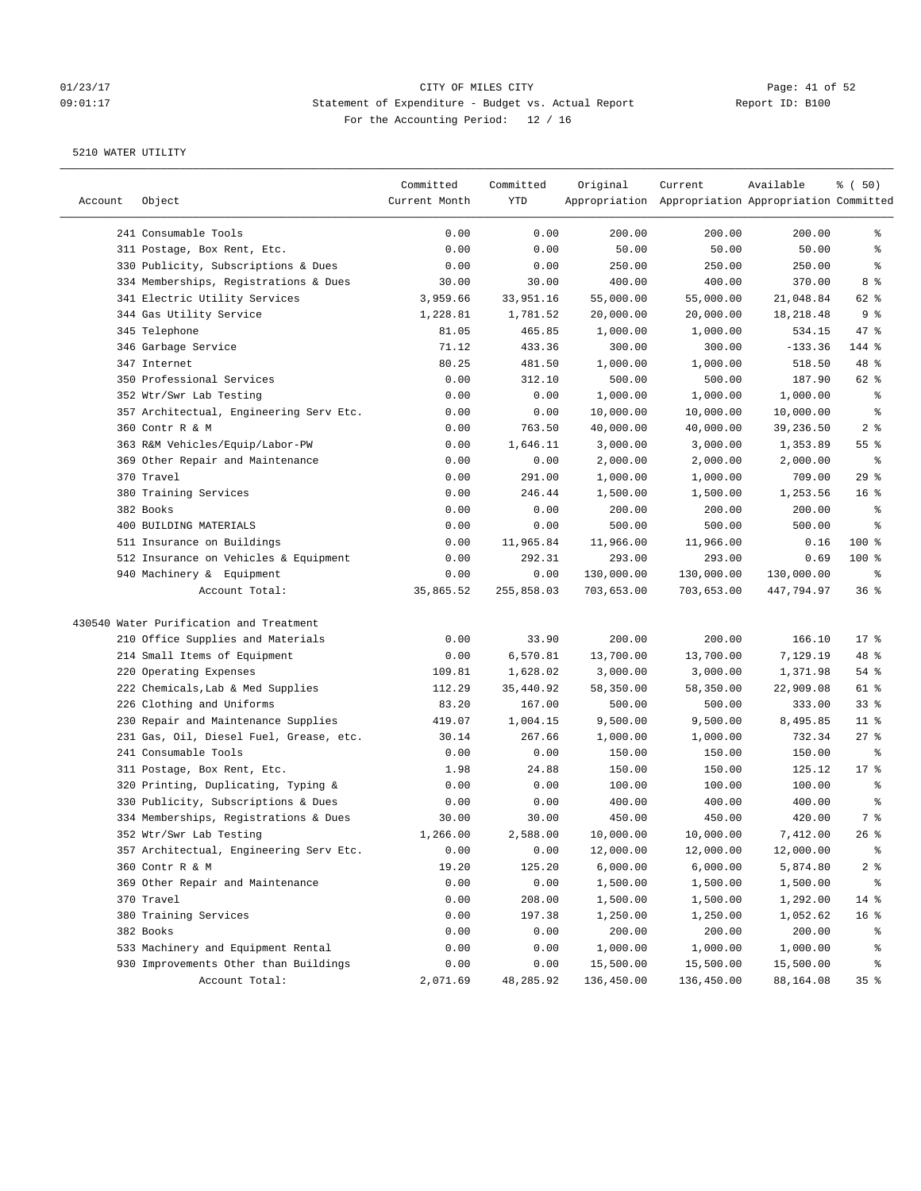# 01/23/17 Page: 41 of 52 09:01:17 Statement of Expenditure - Budget vs. Actual Report Report ID: B100 For the Accounting Period: 12 / 16

| Account | Object                                  | Committed<br>Current Month | Committed<br>YTD | Original   | Current<br>Appropriation Appropriation Appropriation Committed | Available  | % ( 50)         |
|---------|-----------------------------------------|----------------------------|------------------|------------|----------------------------------------------------------------|------------|-----------------|
|         | 241 Consumable Tools                    | 0.00                       | 0.00             | 200.00     | 200.00                                                         | 200.00     | နွ              |
|         | 311 Postage, Box Rent, Etc.             | 0.00                       | 0.00             | 50.00      | 50.00                                                          | 50.00      | ್ಠಿ             |
|         | 330 Publicity, Subscriptions & Dues     | 0.00                       | 0.00             | 250.00     | 250.00                                                         | 250.00     | နွ              |
|         | 334 Memberships, Registrations & Dues   | 30.00                      | 30.00            | 400.00     | 400.00                                                         | 370.00     | 8 %             |
|         | 341 Electric Utility Services           | 3,959.66                   | 33,951.16        | 55,000.00  | 55,000.00                                                      | 21,048.84  | 62 %            |
|         | 344 Gas Utility Service                 | 1,228.81                   | 1,781.52         | 20,000.00  | 20,000.00                                                      | 18,218.48  | 9%              |
|         | 345 Telephone                           | 81.05                      | 465.85           | 1,000.00   | 1,000.00                                                       | 534.15     | $47$ %          |
|         | 346 Garbage Service                     | 71.12                      | 433.36           | 300.00     | 300.00                                                         | $-133.36$  | 144 %           |
|         | 347 Internet                            | 80.25                      | 481.50           | 1,000.00   | 1,000.00                                                       | 518.50     | 48 %            |
|         | 350 Professional Services               | 0.00                       | 312.10           | 500.00     | 500.00                                                         | 187.90     | 62 %            |
|         | 352 Wtr/Swr Lab Testing                 | 0.00                       | 0.00             | 1,000.00   | 1,000.00                                                       | 1,000.00   | နွ              |
|         | 357 Architectual, Engineering Serv Etc. | 0.00                       | 0.00             | 10,000.00  | 10,000.00                                                      | 10,000.00  | နွ              |
|         | 360 Contr R & M                         | 0.00                       | 763.50           | 40,000.00  | 40,000.00                                                      | 39,236.50  | 2 <sup>8</sup>  |
|         | 363 R&M Vehicles/Equip/Labor-PW         | 0.00                       | 1,646.11         | 3,000.00   | 3,000.00                                                       | 1,353.89   | 55 %            |
|         | 369 Other Repair and Maintenance        | 0.00                       | 0.00             | 2,000.00   | 2,000.00                                                       | 2,000.00   | ್ಠಿ             |
|         | 370 Travel                              | 0.00                       | 291.00           | 1,000.00   | 1,000.00                                                       | 709.00     | 29%             |
|         | 380 Training Services                   | 0.00                       | 246.44           | 1,500.00   | 1,500.00                                                       | 1,253.56   | 16 <sup>°</sup> |
|         | 382 Books                               | 0.00                       | 0.00             | 200.00     | 200.00                                                         | 200.00     | နွ              |
|         | 400 BUILDING MATERIALS                  | 0.00                       | 0.00             | 500.00     | 500.00                                                         | 500.00     | ್ಠಿ             |
|         | 511 Insurance on Buildings              | 0.00                       | 11,965.84        | 11,966.00  | 11,966.00                                                      | 0.16       | 100 %           |
|         | 512 Insurance on Vehicles & Equipment   | 0.00                       | 292.31           | 293.00     | 293.00                                                         | 0.69       | $100$ %         |
|         | 940 Machinery & Equipment               | 0.00                       | 0.00             | 130,000.00 | 130,000.00                                                     | 130,000.00 | နွ              |
|         | Account Total:                          | 35,865.52                  | 255,858.03       | 703,653.00 | 703,653.00                                                     | 447,794.97 | 36%             |
|         | 430540 Water Purification and Treatment |                            |                  |            |                                                                |            |                 |
|         | 210 Office Supplies and Materials       | 0.00                       | 33.90            | 200.00     | 200.00                                                         | 166.10     | $17*$           |
|         | 214 Small Items of Equipment            | 0.00                       | 6,570.81         | 13,700.00  | 13,700.00                                                      | 7,129.19   | 48 %            |
|         | 220 Operating Expenses                  | 109.81                     | 1,628.02         | 3,000.00   | 3,000.00                                                       | 1,371.98   | 54%             |
|         | 222 Chemicals, Lab & Med Supplies       | 112.29                     | 35,440.92        | 58,350.00  | 58,350.00                                                      | 22,909.08  | 61 %            |
|         | 226 Clothing and Uniforms               | 83.20                      | 167.00           | 500.00     | 500.00                                                         | 333.00     | 33%             |
|         | 230 Repair and Maintenance Supplies     | 419.07                     | 1,004.15         | 9,500.00   | 9,500.00                                                       | 8,495.85   | $11$ %          |
|         | 231 Gas, Oil, Diesel Fuel, Grease, etc. | 30.14                      | 267.66           | 1,000.00   | 1,000.00                                                       | 732.34     | $27$ %          |
|         | 241 Consumable Tools                    | 0.00                       | 0.00             | 150.00     | 150.00                                                         | 150.00     | နွ              |
|         | 311 Postage, Box Rent, Etc.             | 1.98                       | 24.88            | 150.00     | 150.00                                                         | 125.12     | 17.8            |
|         | 320 Printing, Duplicating, Typing &     | 0.00                       | 0.00             | 100.00     | 100.00                                                         | 100.00     | ್ಠಿ             |
|         | 330 Publicity, Subscriptions & Dues     | 0.00                       | 0.00             | 400.00     | 400.00                                                         | 400.00     | ್ಠಿ             |
|         | 334 Memberships, Registrations & Dues   | 30.00                      | 30.00            | 450.00     | 450.00                                                         | 420.00     | 7 %             |
|         | 352 Wtr/Swr Lab Testing                 | 1,266.00                   | 2,588.00         | 10,000.00  | 10,000.00                                                      | 7,412.00   | $26$ %          |
|         | 357 Architectual, Engineering Serv Etc. | 0.00                       | 0.00             | 12,000.00  | 12,000.00                                                      | 12,000.00  | ್ಠಿ             |
|         | 360 Contr R & M                         | 19.20                      | 125.20           | 6,000.00   | 6,000.00                                                       | 5,874.80   | $2$ $\approx$   |
|         | 369 Other Repair and Maintenance        | 0.00                       | 0.00             | 1,500.00   | 1,500.00                                                       | 1,500.00   | ိင              |
|         | 370 Travel                              | 0.00                       | 208.00           | 1,500.00   | 1,500.00                                                       | 1,292.00   | 14 %            |
|         | 380 Training Services                   | 0.00                       | 197.38           | 1,250.00   | 1,250.00                                                       | 1,052.62   | 16 <sup>°</sup> |
|         | 382 Books                               | 0.00                       | 0.00             | 200.00     | 200.00                                                         | 200.00     | ိစ              |
|         | 533 Machinery and Equipment Rental      | 0.00                       | 0.00             | 1,000.00   | 1,000.00                                                       | 1,000.00   | ိစ              |
|         | 930 Improvements Other than Buildings   | 0.00                       | 0.00             | 15,500.00  | 15,500.00                                                      | 15,500.00  | ိစ              |
|         | Account Total:                          | 2,071.69                   | 48,285.92        | 136,450.00 | 136,450.00                                                     | 88,164.08  | 35 <sub>8</sub> |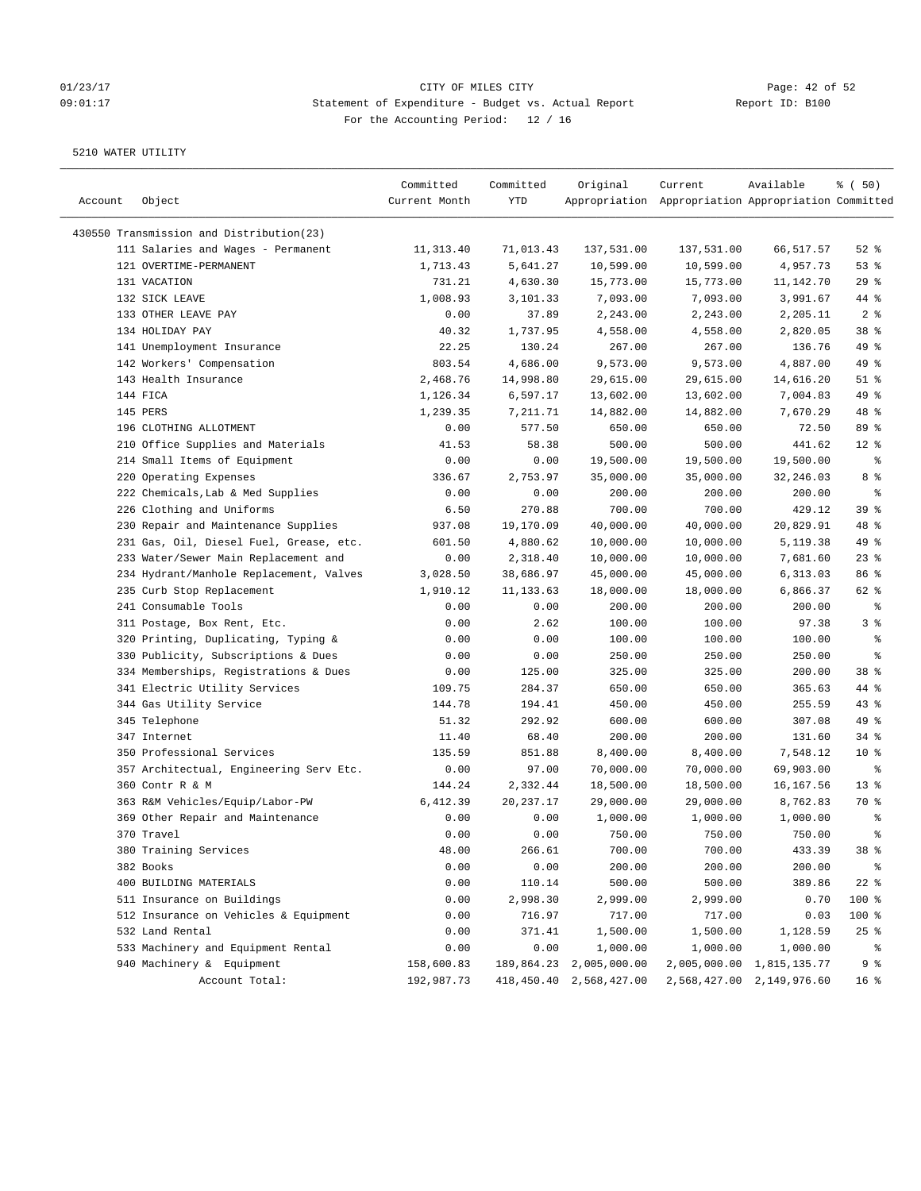# 01/23/17 Page: 42 of 52 09:01:17 Statement of Expenditure - Budget vs. Actual Report Report ID: B100 For the Accounting Period: 12 / 16

| Account | Object                                                     | Committed<br>Current Month | Committed<br>YTD    | Original                   | Current<br>Appropriation Appropriation Appropriation Committed | Available                 | % ( 50)              |
|---------|------------------------------------------------------------|----------------------------|---------------------|----------------------------|----------------------------------------------------------------|---------------------------|----------------------|
|         | 430550 Transmission and Distribution(23)                   |                            |                     |                            |                                                                |                           |                      |
|         | 111 Salaries and Wages - Permanent                         | 11,313.40                  | 71,013.43           | 137,531.00                 | 137,531.00                                                     | 66,517.57                 | $52$ $%$             |
|         | 121 OVERTIME-PERMANENT                                     | 1,713.43                   | 5,641.27            | 10,599.00                  | 10,599.00                                                      | 4,957.73                  | 53%                  |
|         | 131 VACATION                                               | 731.21                     | 4,630.30            | 15,773.00                  | 15,773.00                                                      | 11,142.70                 | 29%                  |
|         | 132 SICK LEAVE                                             | 1,008.93                   | 3,101.33            | 7,093.00                   | 7,093.00                                                       | 3,991.67                  | 44 %                 |
|         | 133 OTHER LEAVE PAY                                        | 0.00                       | 37.89               | 2,243.00                   | 2,243.00                                                       | 2,205.11                  | 2 <sup>8</sup>       |
|         | 134 HOLIDAY PAY                                            | 40.32                      | 1,737.95            | 4,558.00                   | 4,558.00                                                       | 2,820.05                  | 38 %                 |
|         | 141 Unemployment Insurance                                 | 22.25                      | 130.24              | 267.00                     | 267.00                                                         | 136.76                    | 49 %                 |
|         | 142 Workers' Compensation                                  | 803.54                     | 4,686.00            | 9,573.00                   | 9,573.00                                                       | 4,887.00                  | 49 %                 |
|         | 143 Health Insurance                                       | 2,468.76                   | 14,998.80           | 29,615.00                  | 29,615.00                                                      | 14,616.20                 | $51$ %               |
|         | 144 FICA                                                   | 1,126.34                   | 6,597.17            | 13,602.00                  | 13,602.00                                                      | 7,004.83                  | 49 %                 |
|         | 145 PERS                                                   | 1,239.35                   | 7,211.71            | 14,882.00                  | 14,882.00                                                      | 7,670.29                  | 48 %                 |
|         | 196 CLOTHING ALLOTMENT                                     | 0.00                       | 577.50              | 650.00                     | 650.00                                                         | 72.50                     | 89 %                 |
|         | 210 Office Supplies and Materials                          | 41.53                      | 58.38               | 500.00                     | 500.00                                                         | 441.62                    | $12*$                |
|         | 214 Small Items of Equipment                               | 0.00                       | 0.00                | 19,500.00                  | 19,500.00                                                      | 19,500.00                 | ್ಠಿ                  |
|         | 220 Operating Expenses                                     | 336.67                     | 2,753.97            | 35,000.00                  | 35,000.00                                                      | 32,246.03                 | 8 %                  |
|         | 222 Chemicals, Lab & Med Supplies                          | 0.00                       | 0.00                | 200.00                     | 200.00                                                         | 200.00                    | ್ಠಿ                  |
|         | 226 Clothing and Uniforms                                  | 6.50                       | 270.88              | 700.00                     | 700.00                                                         | 429.12                    | 39 <sup>8</sup>      |
|         | 230 Repair and Maintenance Supplies                        | 937.08                     | 19,170.09           | 40,000.00                  | 40,000.00                                                      | 20,829.91                 | 48 %                 |
|         | 231 Gas, Oil, Diesel Fuel, Grease, etc.                    | 601.50                     | 4,880.62            | 10,000.00                  | 10,000.00                                                      | 5,119.38                  | 49 %                 |
|         | 233 Water/Sewer Main Replacement and                       | 0.00                       | 2,318.40            | 10,000.00                  | 10,000.00                                                      | 7,681.60                  | $23$ $%$             |
|         | 234 Hydrant/Manhole Replacement, Valves                    | 3,028.50                   | 38,686.97           | 45,000.00                  | 45,000.00                                                      | 6,313.03                  | 86 %                 |
|         | 235 Curb Stop Replacement                                  | 1,910.12                   | 11, 133.63          | 18,000.00                  | 18,000.00                                                      | 6,866.37                  | 62 %                 |
|         | 241 Consumable Tools                                       | 0.00                       | 0.00                | 200.00                     | 200.00                                                         | 200.00                    | နွ                   |
|         | 311 Postage, Box Rent, Etc.                                | 0.00                       | 2.62                | 100.00                     | 100.00                                                         | 97.38                     | 3%                   |
|         | 320 Printing, Duplicating, Typing &                        | 0.00                       | 0.00                | 100.00                     | 100.00                                                         | 100.00                    | ್ಠಿ                  |
|         | 330 Publicity, Subscriptions & Dues                        | 0.00                       | 0.00                | 250.00                     | 250.00                                                         | 250.00                    | る                    |
|         | 334 Memberships, Registrations & Dues                      | 0.00                       | 125.00              | 325.00                     | 325.00                                                         | 200.00                    | 38 <sup>8</sup>      |
|         | 341 Electric Utility Services                              | 109.75                     | 284.37              | 650.00                     | 650.00                                                         | 365.63                    | 44 %                 |
|         | 344 Gas Utility Service                                    | 144.78                     | 194.41              | 450.00                     | 450.00                                                         | 255.59                    | $43$ %               |
|         | 345 Telephone                                              | 51.32                      | 292.92              | 600.00                     | 600.00                                                         | 307.08                    | 49 %                 |
|         | 347 Internet                                               |                            | 68.40               |                            |                                                                |                           | $34$ $%$             |
|         |                                                            | 11.40                      |                     | 200.00<br>8,400.00         | 200.00                                                         | 131.60<br>7,548.12        |                      |
|         | 350 Professional Services                                  | 135.59                     | 851.88              |                            | 8,400.00                                                       |                           | $10*$                |
|         | 357 Architectual, Engineering Serv Etc.<br>360 Contr R & M | 0.00<br>144.24             | 97.00<br>2,332.44   | 70,000.00                  | 70,000.00                                                      | 69,903.00                 | $\epsilon$<br>$13$ % |
|         |                                                            | 6,412.39                   |                     | 18,500.00                  | 18,500.00                                                      | 16,167.56                 | 70 %                 |
|         | 363 R&M Vehicles/Equip/Labor-PW                            | 0.00                       | 20, 237. 17<br>0.00 | 29,000.00                  | 29,000.00                                                      | 8,762.83                  | ್ಠಿ                  |
|         | 369 Other Repair and Maintenance                           |                            |                     | 1,000.00                   | 1,000.00                                                       | 1,000.00                  | ి                    |
|         | 370 Travel                                                 | 0.00                       | 0.00                | 750.00                     | 750.00                                                         | 750.00                    |                      |
|         | 380 Training Services                                      | 48.00                      | 266.61              | 700.00                     | 700.00                                                         | 433.39                    | 38 <sup>8</sup>      |
|         | 382 Books                                                  | 0.00                       | 0.00                | 200.00                     | 200.00                                                         | 200.00                    | ್ಠಿ                  |
|         | 400 BUILDING MATERIALS                                     | 0.00                       | 110.14              | 500.00                     | 500.00                                                         | 389.86                    | $22$ %               |
|         | 511 Insurance on Buildings                                 | 0.00                       | 2,998.30            | 2,999.00                   | 2,999.00                                                       | 0.70                      | 100 %                |
|         | 512 Insurance on Vehicles & Equipment                      | 0.00                       | 716.97              | 717.00                     | 717.00                                                         | 0.03                      | 100 %                |
|         | 532 Land Rental                                            | 0.00                       | 371.41              | 1,500.00                   | 1,500.00                                                       | 1,128.59                  | $25$ %               |
|         | 533 Machinery and Equipment Rental                         | 0.00                       | 0.00                | 1,000.00                   | 1,000.00                                                       | 1,000.00                  | ್ಠಿ                  |
|         | 940 Machinery & Equipment                                  | 158,600.83                 | 189,864.23          | 2,005,000.00               | 2,005,000.00                                                   | 1,815,135.77              | 9%                   |
|         | Account Total:                                             | 192,987.73                 |                     | 418, 450.40 2, 568, 427.00 |                                                                | 2,568,427.00 2,149,976.60 | 16 <sup>°</sup>      |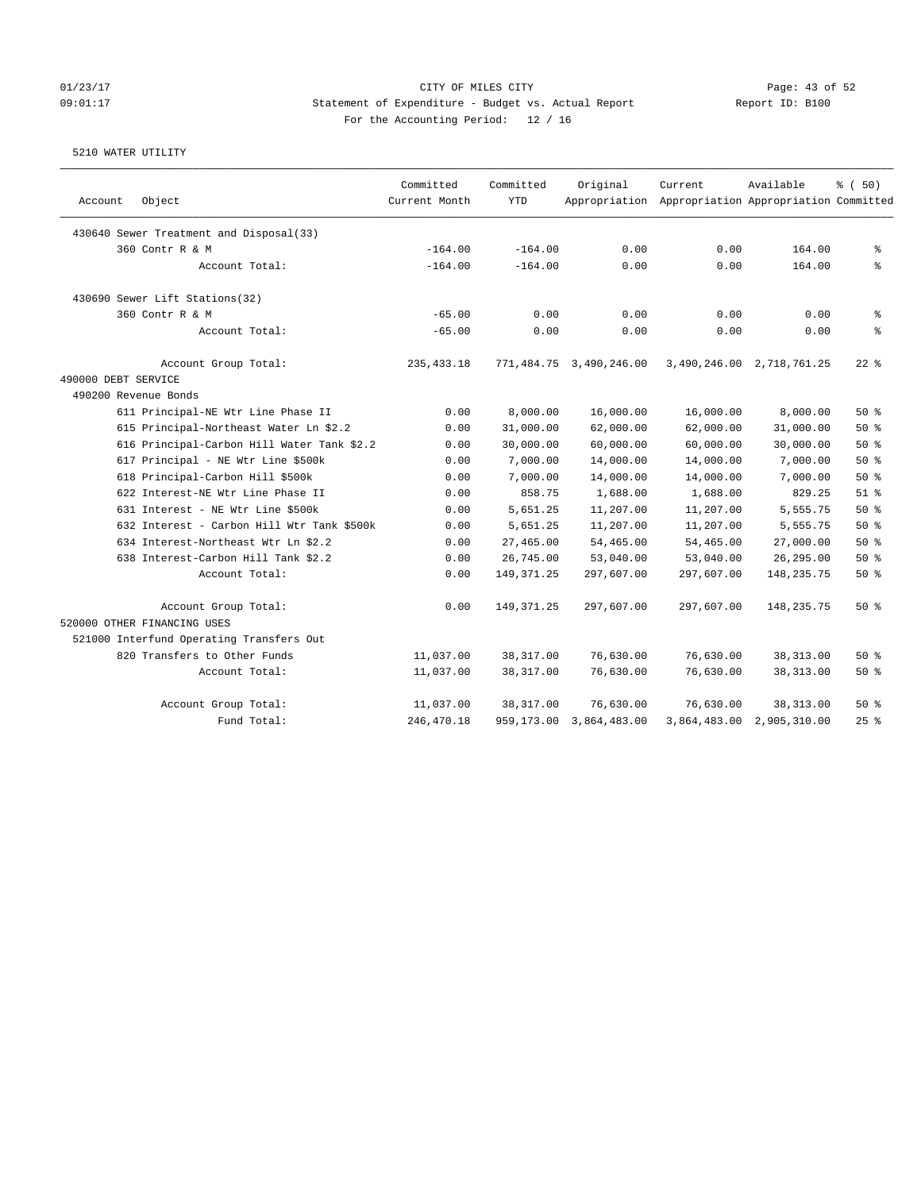# 01/23/17 Page: 43 of 52 09:01:17 Statement of Expenditure - Budget vs. Actual Report Report ID: B100 For the Accounting Period: 12 / 16

|                                            | Committed     | Committed    | Original                | Current                                             | Available                 | % (50)             |
|--------------------------------------------|---------------|--------------|-------------------------|-----------------------------------------------------|---------------------------|--------------------|
| Object<br>Account                          | Current Month | <b>YTD</b>   |                         | Appropriation Appropriation Appropriation Committed |                           |                    |
| 430640 Sewer Treatment and Disposal(33)    |               |              |                         |                                                     |                           |                    |
| 360 Contr R & M                            | $-164.00$     | $-164.00$    | 0.00                    | 0.00                                                | 164.00                    | န့                 |
| Account Total:                             | $-164.00$     | $-164.00$    | 0.00                    | 0.00                                                | 164.00                    | $\,$ $\,$ $\,$     |
| 430690 Sewer Lift Stations(32)             |               |              |                         |                                                     |                           |                    |
| 360 Contr R & M                            | $-65.00$      | 0.00         | 0.00                    | 0.00                                                | 0.00                      | န္                 |
| Account Total:                             | $-65.00$      | 0.00         | 0.00                    | 0.00                                                | 0.00                      | $\rm _{o}^{\circ}$ |
| Account Group Total:                       | 235, 433.18   |              | 771,484.75 3,490,246.00 |                                                     | 3,490,246.00 2,718,761.25 | $22$ %             |
| 490000 DEBT SERVICE                        |               |              |                         |                                                     |                           |                    |
| 490200 Revenue Bonds                       |               |              |                         |                                                     |                           |                    |
| 611 Principal-NE Wtr Line Phase II         | 0.00          | 8,000.00     | 16,000.00               | 16,000.00                                           | 8,000.00                  | 50%                |
| 615 Principal-Northeast Water Ln \$2.2     | 0.00          | 31,000.00    | 62,000.00               | 62,000.00                                           | 31,000.00                 | 50%                |
| 616 Principal-Carbon Hill Water Tank \$2.2 | 0.00          | 30,000.00    | 60,000.00               | 60,000.00                                           | 30,000.00                 | 50%                |
| 617 Principal - NE Wtr Line \$500k         | 0.00          | 7,000.00     | 14,000.00               | 14,000.00                                           | 7,000.00                  | 50%                |
| 618 Principal-Carbon Hill \$500k           | 0.00          | 7,000.00     | 14,000.00               | 14,000.00                                           | 7,000.00                  | 50%                |
| 622 Interest-NE Wtr Line Phase II          | 0.00          | 858.75       | 1,688.00                | 1,688.00                                            | 829.25                    | $51$ %             |
| 631 Interest - NE Wtr Line \$500k          | 0.00          | 5,651.25     | 11,207.00               | 11,207.00                                           | 5,555.75                  | 50%                |
| 632 Interest - Carbon Hill Wtr Tank \$500k | 0.00          | 5,651.25     | 11,207.00               | 11,207.00                                           | 5,555.75                  | 50%                |
| 634 Interest-Northeast Wtr Ln \$2.2        | 0.00          | 27,465.00    | 54,465.00               | 54,465.00                                           | 27,000.00                 | 50%                |
| 638 Interest-Carbon Hill Tank \$2.2        | 0.00          | 26,745.00    | 53,040.00               | 53,040.00                                           | 26,295.00                 | 50%                |
| Account Total:                             | 0.00          | 149, 371.25  | 297,607.00              | 297,607.00                                          | 148, 235. 75              | 50%                |
| Account Group Total:                       | 0.00          | 149, 371. 25 | 297,607.00              | 297,607.00                                          | 148,235.75                | 50%                |
| 520000 OTHER FINANCING USES                |               |              |                         |                                                     |                           |                    |
| 521000 Interfund Operating Transfers Out   |               |              |                         |                                                     |                           |                    |
| 820 Transfers to Other Funds               | 11,037.00     | 38, 317.00   | 76,630.00               | 76,630.00                                           | 38, 313.00                | 50%                |
| Account Total:                             | 11,037.00     | 38, 317.00   | 76,630.00               | 76,630.00                                           | 38, 313.00                | 50%                |
| Account Group Total:                       | 11,037.00     | 38,317.00    | 76,630.00               | 76,630.00                                           | 38, 313.00                | 50%                |
| Fund Total:                                | 246, 470.18   | 959,173.00   | 3,864,483.00            |                                                     | 3,864,483.00 2,905,310.00 | 25%                |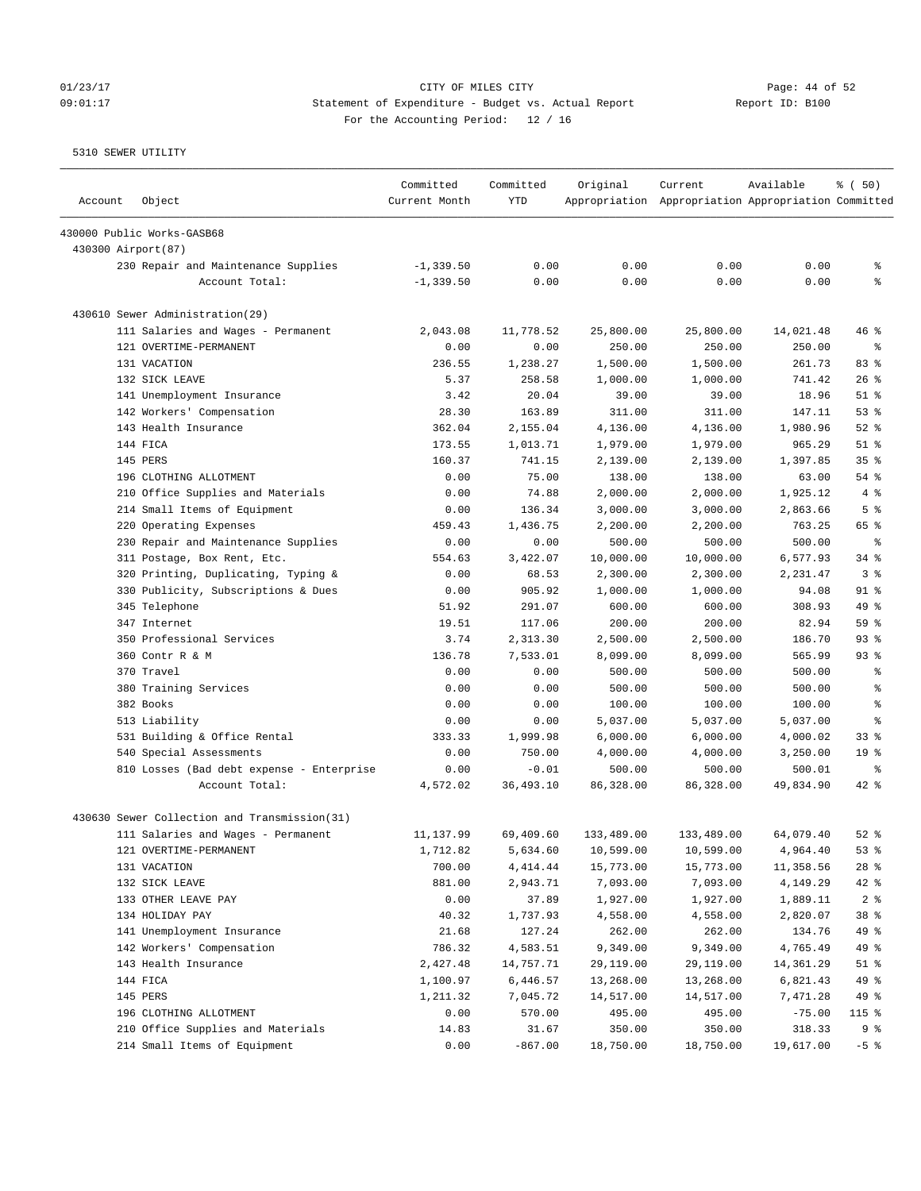# 01/23/17 Page: 44 of 52 09:01:17 Statement of Expenditure - Budget vs. Actual Report Report ID: B100 For the Accounting Period: 12 / 16

| Account             | Object                                       | Committed<br>Current Month | Committed<br>YTD | Original   | Current<br>Appropriation Appropriation Appropriation Committed | Available | % (50)                   |
|---------------------|----------------------------------------------|----------------------------|------------------|------------|----------------------------------------------------------------|-----------|--------------------------|
|                     | 430000 Public Works-GASB68                   |                            |                  |            |                                                                |           |                          |
| 430300 Airport (87) |                                              |                            |                  |            |                                                                |           |                          |
|                     | 230 Repair and Maintenance Supplies          | $-1, 339.50$               | 0.00             | 0.00       | 0.00                                                           | 0.00      | g,                       |
|                     | Account Total:                               | $-1, 339.50$               | 0.00             | 0.00       | 0.00                                                           | 0.00      | နွ                       |
|                     | 430610 Sewer Administration (29)             |                            |                  |            |                                                                |           |                          |
|                     | 111 Salaries and Wages - Permanent           | 2,043.08                   | 11,778.52        | 25,800.00  | 25,800.00                                                      | 14,021.48 | $46$ %                   |
|                     | 121 OVERTIME-PERMANENT                       | 0.00                       | 0.00             | 250.00     | 250.00                                                         | 250.00    | ႜ                        |
|                     | 131 VACATION                                 | 236.55                     | 1,238.27         | 1,500.00   | 1,500.00                                                       | 261.73    | 83%                      |
|                     | 132 SICK LEAVE                               | 5.37                       | 258.58           | 1,000.00   | 1,000.00                                                       | 741.42    | $26$ %                   |
|                     | 141 Unemployment Insurance                   | 3.42                       | 20.04            | 39.00      | 39.00                                                          | 18.96     | $51$ %                   |
|                     | 142 Workers' Compensation                    | 28.30                      | 163.89           | 311.00     | 311.00                                                         | 147.11    | 53%                      |
|                     | 143 Health Insurance                         | 362.04                     | 2,155.04         | 4,136.00   | 4,136.00                                                       | 1,980.96  | $52$ $%$                 |
|                     | 144 FICA                                     | 173.55                     | 1,013.71         | 1,979.00   | 1,979.00                                                       | 965.29    | $51$ %                   |
|                     | 145 PERS                                     | 160.37                     | 741.15           | 2,139.00   | 2,139.00                                                       | 1,397.85  | 35%                      |
|                     | 196 CLOTHING ALLOTMENT                       | 0.00                       | 75.00            | 138.00     | 138.00                                                         | 63.00     | $54$ $%$                 |
|                     | 210 Office Supplies and Materials            | 0.00                       | 74.88            | 2,000.00   | 2,000.00                                                       | 1,925.12  | 4%                       |
|                     | 214 Small Items of Equipment                 | 0.00                       | 136.34           | 3,000.00   | 3,000.00                                                       | 2,863.66  | 5 <sup>8</sup>           |
|                     | 220 Operating Expenses                       | 459.43                     | 1,436.75         | 2,200.00   | 2,200.00                                                       | 763.25    | 65 %                     |
|                     | 230 Repair and Maintenance Supplies          | 0.00                       | 0.00             | 500.00     | 500.00                                                         | 500.00    | $\,{}^{\circ}\!\!\delta$ |
|                     | 311 Postage, Box Rent, Etc.                  | 554.63                     | 3,422.07         | 10,000.00  | 10,000.00                                                      | 6,577.93  | $34$ $%$                 |
|                     | 320 Printing, Duplicating, Typing &          | 0.00                       | 68.53            | 2,300.00   | 2,300.00                                                       | 2,231.47  | 3%                       |
|                     | 330 Publicity, Subscriptions & Dues          | 0.00                       | 905.92           | 1,000.00   | 1,000.00                                                       | 94.08     | $91$ %                   |
|                     | 345 Telephone                                | 51.92                      | 291.07           | 600.00     | 600.00                                                         | 308.93    | 49 %                     |
|                     | 347 Internet                                 | 19.51                      | 117.06           | 200.00     | 200.00                                                         | 82.94     | 59 %                     |
|                     | 350 Professional Services                    | 3.74                       | 2,313.30         | 2,500.00   | 2,500.00                                                       | 186.70    | $93$ $%$                 |
|                     | 360 Contr R & M                              | 136.78                     | 7,533.01         | 8,099.00   | 8,099.00                                                       | 565.99    | 93%                      |
|                     | 370 Travel                                   | 0.00                       | 0.00             | 500.00     | 500.00                                                         | 500.00    | g,                       |
|                     | 380 Training Services                        | 0.00                       | 0.00             | 500.00     | 500.00                                                         | 500.00    | $\epsilon$               |
|                     | 382 Books                                    | 0.00                       | 0.00             | 100.00     | 100.00                                                         | 100.00    | $\epsilon$               |
|                     | 513 Liability                                | 0.00                       | 0.00             | 5,037.00   | 5,037.00                                                       | 5,037.00  | နွ                       |
|                     | 531 Building & Office Rental                 | 333.33                     | 1,999.98         | 6,000.00   | 6,000.00                                                       | 4,000.02  | 338                      |
|                     | 540 Special Assessments                      | 0.00                       | 750.00           | 4,000.00   | 4,000.00                                                       | 3,250.00  | 19 <sup>°</sup>          |
|                     | 810 Losses (Bad debt expense - Enterprise    | 0.00                       | $-0.01$          | 500.00     | 500.00                                                         | 500.01    | ႜ                        |
|                     | Account Total:                               | 4,572.02                   | 36,493.10        | 86,328.00  | 86,328.00                                                      | 49,834.90 | $42$ %                   |
|                     | 430630 Sewer Collection and Transmission(31) |                            |                  |            |                                                                |           |                          |
|                     | 111 Salaries and Wages - Permanent           | 11,137.99                  | 69,409.60        | 133,489.00 | 133,489.00                                                     | 64,079.40 | $52$ $%$                 |
|                     | 121 OVERTIME-PERMANENT                       | 1,712.82                   | 5,634.60         | 10,599.00  | 10,599.00                                                      | 4,964.40  | 53%                      |
|                     | 131 VACATION                                 | 700.00                     | 4,414.44         | 15,773.00  | 15,773.00                                                      | 11,358.56 | $28$ %                   |
|                     | 132 SICK LEAVE                               | 881.00                     | 2,943.71         | 7,093.00   | 7,093.00                                                       | 4,149.29  | $42$ %                   |
|                     | 133 OTHER LEAVE PAY                          | 0.00                       | 37.89            | 1,927.00   | 1,927.00                                                       | 1,889.11  | 2 <sup>°</sup>           |
|                     | 134 HOLIDAY PAY                              | 40.32                      | 1,737.93         | 4,558.00   | 4,558.00                                                       | 2,820.07  | 38 %                     |
|                     | 141 Unemployment Insurance                   | 21.68                      | 127.24           | 262.00     | 262.00                                                         | 134.76    | 49 %                     |
|                     | 142 Workers' Compensation                    | 786.32                     | 4,583.51         | 9,349.00   | 9,349.00                                                       | 4,765.49  | 49 %                     |
|                     | 143 Health Insurance                         | 2,427.48                   | 14,757.71        | 29,119.00  | 29,119.00                                                      | 14,361.29 | $51$ %                   |
|                     | 144 FICA                                     | 1,100.97                   | 6,446.57         | 13,268.00  | 13,268.00                                                      | 6,821.43  | 49 %                     |
|                     | 145 PERS                                     | 1,211.32                   | 7,045.72         | 14,517.00  | 14,517.00                                                      | 7,471.28  | 49 %                     |
|                     | 196 CLOTHING ALLOTMENT                       | 0.00                       | 570.00           | 495.00     | 495.00                                                         | $-75.00$  | 115 %                    |
|                     | 210 Office Supplies and Materials            | 14.83                      | 31.67            | 350.00     | 350.00                                                         | 318.33    | 9%                       |
|                     | 214 Small Items of Equipment                 | 0.00                       | $-867.00$        | 18,750.00  | 18,750.00                                                      | 19,617.00 | $-5$ $%$                 |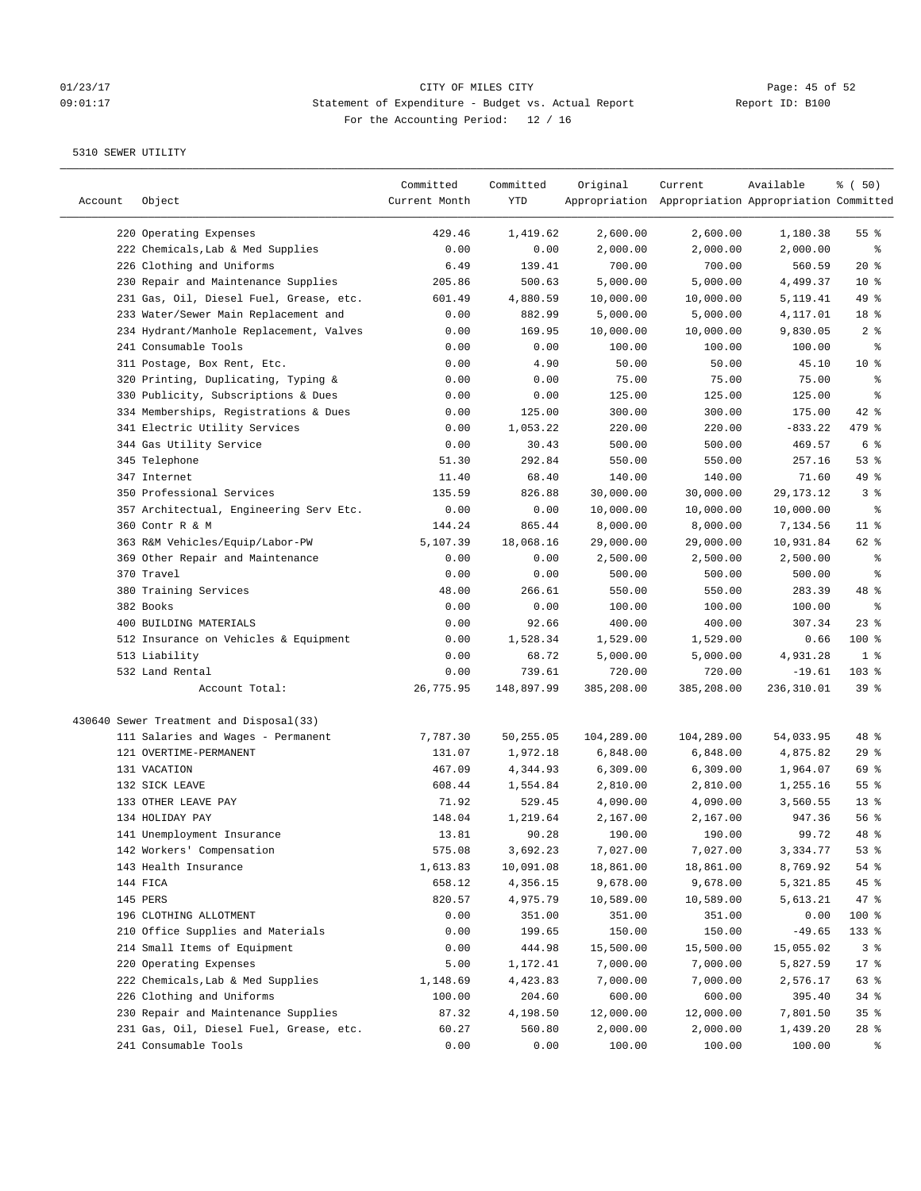# 01/23/17 CITY OF MILES CITY<br>
CITY OF MILES CITY CITY CHERENIS CONSULTER THE PAGE OF 52<br>
O9:01:17 CHERENIS CONSULTER Bullet vs. Actual Report CHERENIC Report ID: B100 09:01:17 Statement of Expenditure - Budget vs. Actual Report Report ID: B100 For the Accounting Period: 12 / 16

| Account | Object                                  | Committed<br>Current Month | Committed<br>YTD | Original   | Current<br>Appropriation Appropriation Appropriation Committed | Available  | % ( 50)         |
|---------|-----------------------------------------|----------------------------|------------------|------------|----------------------------------------------------------------|------------|-----------------|
|         | 220 Operating Expenses                  | 429.46                     | 1,419.62         | 2,600.00   | 2,600.00                                                       | 1,180.38   | 55%             |
|         | 222 Chemicals, Lab & Med Supplies       | 0.00                       | 0.00             | 2,000.00   | 2,000.00                                                       | 2,000.00   | နွ              |
|         | 226 Clothing and Uniforms               | 6.49                       | 139.41           | 700.00     | 700.00                                                         | 560.59     | $20*$           |
|         | 230 Repair and Maintenance Supplies     | 205.86                     | 500.63           | 5,000.00   | 5,000.00                                                       | 4,499.37   | 10 <sup>°</sup> |
|         | 231 Gas, Oil, Diesel Fuel, Grease, etc. | 601.49                     | 4,880.59         | 10,000.00  | 10,000.00                                                      | 5,119.41   | 49 %            |
|         | 233 Water/Sewer Main Replacement and    | 0.00                       | 882.99           | 5,000.00   | 5,000.00                                                       | 4,117.01   | 18 %            |
|         | 234 Hydrant/Manhole Replacement, Valves | 0.00                       | 169.95           | 10,000.00  | 10,000.00                                                      | 9,830.05   | 2%              |
|         | 241 Consumable Tools                    | 0.00                       | 0.00             | 100.00     | 100.00                                                         | 100.00     | နွ              |
|         | 311 Postage, Box Rent, Etc.             | 0.00                       | 4.90             | 50.00      | 50.00                                                          | 45.10      | $10*$           |
|         | 320 Printing, Duplicating, Typing &     | 0.00                       | 0.00             | 75.00      | 75.00                                                          | 75.00      | ್ಠಿ             |
|         | 330 Publicity, Subscriptions & Dues     | 0.00                       | 0.00             | 125.00     | 125.00                                                         | 125.00     | ి               |
|         | 334 Memberships, Registrations & Dues   | 0.00                       | 125.00           | 300.00     | 300.00                                                         | 175.00     | $42$ %          |
|         | 341 Electric Utility Services           | 0.00                       | 1,053.22         | 220.00     | 220.00                                                         | $-833.22$  | 479 %           |
|         | 344 Gas Utility Service                 | 0.00                       | 30.43            | 500.00     | 500.00                                                         | 469.57     | 6 %             |
|         | 345 Telephone                           | 51.30                      | 292.84           | 550.00     | 550.00                                                         | 257.16     | 53%             |
|         | 347 Internet                            | 11.40                      | 68.40            | 140.00     | 140.00                                                         | 71.60      | 49 %            |
|         | 350 Professional Services               | 135.59                     | 826.88           | 30,000.00  | 30,000.00                                                      | 29,173.12  | 3%              |
|         | 357 Architectual, Engineering Serv Etc. | 0.00                       | 0.00             | 10,000.00  | 10,000.00                                                      | 10,000.00  | နွ              |
|         | 360 Contr R & M                         | 144.24                     | 865.44           | 8,000.00   | 8,000.00                                                       | 7,134.56   | $11$ %          |
|         | 363 R&M Vehicles/Equip/Labor-PW         | 5,107.39                   | 18,068.16        | 29,000.00  | 29,000.00                                                      | 10,931.84  | 62 %            |
|         | 369 Other Repair and Maintenance        | 0.00                       | 0.00             | 2,500.00   | 2,500.00                                                       | 2,500.00   | နွ              |
|         | 370 Travel                              | 0.00                       | 0.00             | 500.00     | 500.00                                                         | 500.00     | နွ              |
|         | 380 Training Services                   | 48.00                      | 266.61           | 550.00     | 550.00                                                         | 283.39     | 48 %            |
|         | 382 Books                               | 0.00                       | 0.00             | 100.00     | 100.00                                                         | 100.00     | နွ              |
|         | 400 BUILDING MATERIALS                  | 0.00                       | 92.66            | 400.00     | 400.00                                                         | 307.34     | $23$ %          |
|         | 512 Insurance on Vehicles & Equipment   | 0.00                       | 1,528.34         | 1,529.00   | 1,529.00                                                       | 0.66       | 100 %           |
|         | 513 Liability                           | 0.00                       | 68.72            | 5,000.00   | 5,000.00                                                       | 4,931.28   | 1 <sup>8</sup>  |
|         | 532 Land Rental                         | 0.00                       | 739.61           | 720.00     | 720.00                                                         | $-19.61$   | $103$ %         |
|         | Account Total:                          | 26,775.95                  | 148,897.99       | 385,208.00 | 385,208.00                                                     | 236,310.01 | 39%             |
|         |                                         |                            |                  |            |                                                                |            |                 |
|         | 430640 Sewer Treatment and Disposal(33) |                            |                  |            |                                                                |            |                 |
|         | 111 Salaries and Wages - Permanent      | 7,787.30                   | 50,255.05        | 104,289.00 | 104,289.00                                                     | 54,033.95  | 48 %            |
|         | 121 OVERTIME-PERMANENT                  | 131.07                     | 1,972.18         | 6,848.00   | 6,848.00                                                       | 4,875.82   | 29%             |
|         | 131 VACATION                            | 467.09                     | 4,344.93         | 6,309.00   | 6,309.00                                                       | 1,964.07   | 69 %            |
|         | 132 SICK LEAVE                          | 608.44                     | 1,554.84         | 2,810.00   | 2,810.00                                                       | 1,255.16   | 55%             |
|         | 133 OTHER LEAVE PAY                     | 71.92                      | 529.45           | 4,090.00   | 4,090.00                                                       | 3,560.55   | $13*$           |
|         | 134 HOLIDAY PAY                         | 148.04                     | 1,219.64         | 2,167.00   | 2,167.00                                                       | 947.36     | 56 %            |
|         | 141 Unemployment Insurance              | 13.81                      | 90.28            | 190.00     | 190.00                                                         | 99.72      | $48*$           |
|         | 142 Workers' Compensation               | 575.08                     | 3,692.23         | 7,027.00   | 7,027.00                                                       | 3,334.77   | 53%             |
|         | 143 Health Insurance                    | 1,613.83                   | 10,091.08        | 18,861.00  | 18,861.00                                                      | 8,769.92   | 54 %            |
|         | 144 FICA                                | 658.12                     | 4,356.15         | 9,678.00   | 9,678.00                                                       | 5,321.85   | 45 %            |
|         | 145 PERS                                | 820.57                     | 4,975.79         | 10,589.00  | 10,589.00                                                      | 5,613.21   | 47.8            |
|         | 196 CLOTHING ALLOTMENT                  | 0.00                       | 351.00           | 351.00     | 351.00                                                         | 0.00       | 100 %           |
|         | 210 Office Supplies and Materials       | 0.00                       | 199.65           | 150.00     | 150.00                                                         | $-49.65$   | 133 %           |
|         | 214 Small Items of Equipment            | 0.00                       | 444.98           | 15,500.00  | 15,500.00                                                      | 15,055.02  | 3%              |
|         | 220 Operating Expenses                  | 5.00                       | 1,172.41         | 7,000.00   | 7,000.00                                                       | 5,827.59   | $17$ %          |
|         | 222 Chemicals, Lab & Med Supplies       | 1,148.69                   | 4,423.83         | 7,000.00   | 7,000.00                                                       | 2,576.17   | 63 %            |
|         | 226 Clothing and Uniforms               | 100.00                     | 204.60           | 600.00     | 600.00                                                         | 395.40     | $34$ $%$        |
|         | 230 Repair and Maintenance Supplies     | 87.32                      | 4,198.50         | 12,000.00  | 12,000.00                                                      | 7,801.50   | 35%             |
|         | 231 Gas, Oil, Diesel Fuel, Grease, etc. | 60.27                      | 560.80           | 2,000.00   | 2,000.00                                                       | 1,439.20   | $28$ %          |
|         | 241 Consumable Tools                    | 0.00                       | 0.00             | 100.00     | 100.00                                                         | 100.00     | ႜ               |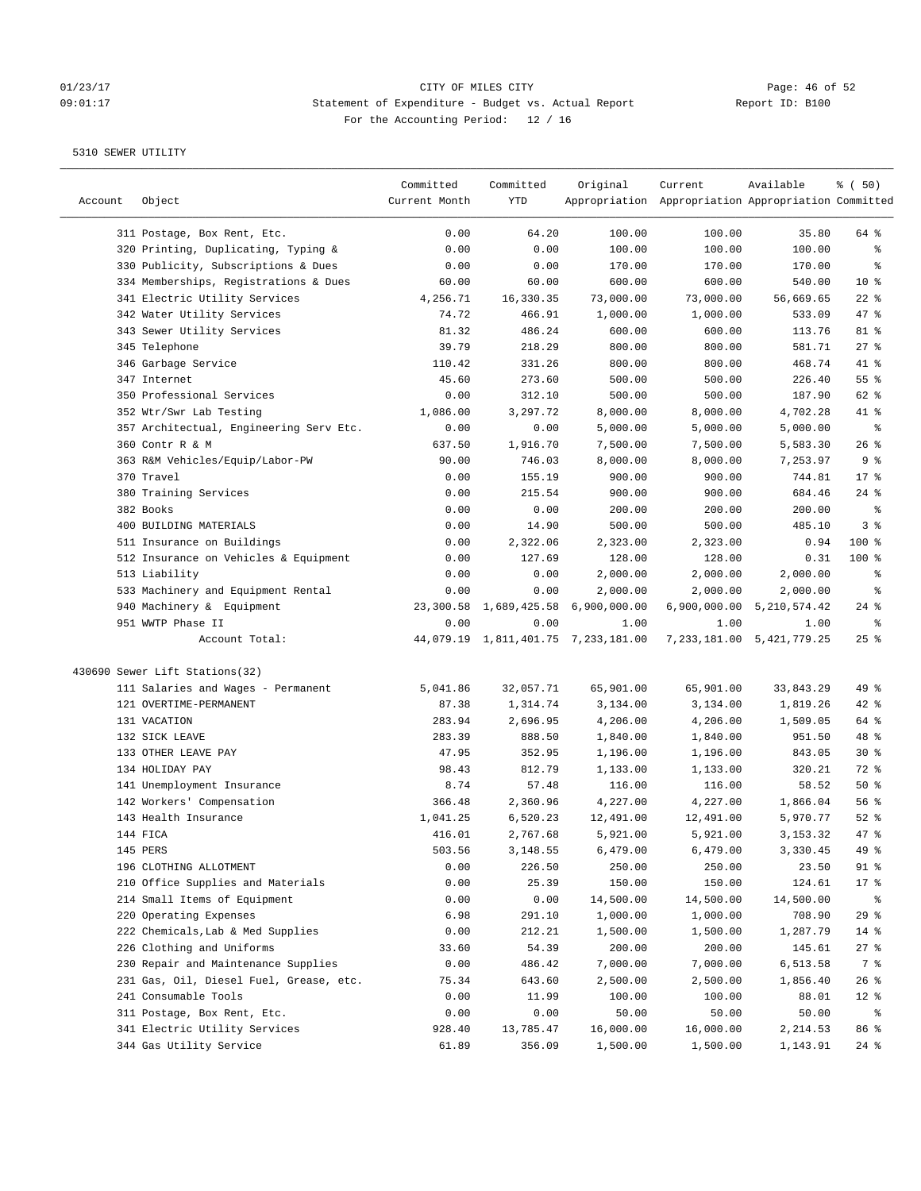# 01/23/17 CITY OF MILES CITY<br>
CITY OF MILES CITY CITY CHERENIS CONSULTER PAGE: 46 of 52<br>
O9:01:17 CHERENIS CONSULTER PAGE PROPORTION REPORT TO: B100 09:01:17 Statement of Expenditure - Budget vs. Actual Report Report ID: B100 For the Accounting Period: 12 / 16

| Account | Object                                  | Committed<br>Current Month | Committed<br>YTD | Original                            | Current<br>Appropriation Appropriation Appropriation Committed | Available                     | % (50)          |
|---------|-----------------------------------------|----------------------------|------------------|-------------------------------------|----------------------------------------------------------------|-------------------------------|-----------------|
|         | 311 Postage, Box Rent, Etc.             | 0.00                       | 64.20            | 100.00                              | 100.00                                                         | 35.80                         | 64 %            |
|         | 320 Printing, Duplicating, Typing &     | 0.00                       | 0.00             | 100.00                              | 100.00                                                         | 100.00                        | နွ              |
|         | 330 Publicity, Subscriptions & Dues     | 0.00                       | 0.00             | 170.00                              | 170.00                                                         | 170.00                        | နွ              |
|         | 334 Memberships, Registrations & Dues   | 60.00                      | 60.00            | 600.00                              | 600.00                                                         | 540.00                        | 10 <sup>°</sup> |
|         | 341 Electric Utility Services           | 4,256.71                   | 16,330.35        | 73,000.00                           | 73,000.00                                                      | 56,669.65                     | $22$ %          |
|         | 342 Water Utility Services              | 74.72                      | 466.91           | 1,000.00                            | 1,000.00                                                       | 533.09                        | 47 %            |
|         | 343 Sewer Utility Services              | 81.32                      | 486.24           | 600.00                              | 600.00                                                         | 113.76                        | 81 %            |
|         | 345 Telephone                           | 39.79                      | 218.29           | 800.00                              | 800.00                                                         | 581.71                        | $27$ %          |
|         | 346 Garbage Service                     | 110.42                     | 331.26           | 800.00                              | 800.00                                                         | 468.74                        | 41 %            |
|         | 347 Internet                            | 45.60                      | 273.60           | 500.00                              | 500.00                                                         | 226.40                        | 55%             |
|         | 350 Professional Services               | 0.00                       | 312.10           | 500.00                              | 500.00                                                         | 187.90                        | 62 %            |
|         | 352 Wtr/Swr Lab Testing                 | 1,086.00                   | 3,297.72         | 8,000.00                            | 8,000.00                                                       | 4,702.28                      | 41 %            |
|         | 357 Architectual, Engineering Serv Etc. | 0.00                       | 0.00             | 5,000.00                            | 5,000.00                                                       | 5,000.00                      | ႜ               |
|         | 360 Contr R & M                         | 637.50                     | 1,916.70         | 7,500.00                            | 7,500.00                                                       | 5,583.30                      | $26$ %          |
|         | 363 R&M Vehicles/Equip/Labor-PW         | 90.00                      | 746.03           | 8,000.00                            | 8,000.00                                                       | 7,253.97                      | 9%              |
|         | 370 Travel                              | 0.00                       | 155.19           | 900.00                              | 900.00                                                         | 744.81                        | $17*$           |
|         | 380 Training Services                   | 0.00                       | 215.54           | 900.00                              | 900.00                                                         | 684.46                        | $24$ %          |
|         | 382 Books                               | 0.00                       | 0.00             | 200.00                              | 200.00                                                         | 200.00                        | နွ              |
|         | 400 BUILDING MATERIALS                  | 0.00                       | 14.90            | 500.00                              | 500.00                                                         | 485.10                        | 3%              |
|         | 511 Insurance on Buildings              | 0.00                       | 2,322.06         | 2,323.00                            | 2,323.00                                                       | 0.94                          | 100 %           |
|         | 512 Insurance on Vehicles & Equipment   | 0.00                       | 127.69           | 128.00                              | 128.00                                                         | 0.31                          | $100$ %         |
|         | 513 Liability                           | 0.00                       | 0.00             | 2,000.00                            | 2,000.00                                                       | 2,000.00                      | နွ              |
|         | 533 Machinery and Equipment Rental      | 0.00                       | 0.00             | 2,000.00                            | 2,000.00                                                       | 2,000.00                      | နွ              |
|         | 940 Machinery & Equipment               | 23,300.58                  | 1,689,425.58     | 6,900,000.00                        |                                                                | 6,900,000.00 5,210,574.42     | $24$ %          |
|         | 951 WWTP Phase II                       | 0.00                       | 0.00             | 1.00                                | 1.00                                                           | 1.00                          | ್ಠಿ             |
|         | Account Total:                          |                            |                  | 44,079.19 1,811,401.75 7,233,181.00 |                                                                | 7, 233, 181.00 5, 421, 779.25 | $25$ %          |
|         | 430690 Sewer Lift Stations(32)          |                            |                  |                                     |                                                                |                               |                 |
|         | 111 Salaries and Wages - Permanent      | 5,041.86                   | 32,057.71        | 65,901.00                           | 65,901.00                                                      | 33,843.29                     | 49 %            |
|         | 121 OVERTIME-PERMANENT                  | 87.38                      | 1,314.74         | 3,134.00                            | 3,134.00                                                       | 1,819.26                      | $42$ %          |
|         | 131 VACATION                            | 283.94                     | 2,696.95         | 4,206.00                            | 4,206.00                                                       | 1,509.05                      | 64 %            |
|         | 132 SICK LEAVE                          | 283.39                     | 888.50           | 1,840.00                            | 1,840.00                                                       | 951.50                        | 48 %            |
|         | 133 OTHER LEAVE PAY                     | 47.95                      | 352.95           | 1,196.00                            | 1,196.00                                                       | 843.05                        | $30*$           |
|         | 134 HOLIDAY PAY                         | 98.43                      | 812.79           | 1,133.00                            | 1,133.00                                                       | 320.21                        | 72 %            |
|         | 141 Unemployment Insurance              | 8.74                       | 57.48            | 116.00                              | 116.00                                                         | 58.52                         | 50%             |
|         | 142 Workers' Compensation               | 366.48                     | 2,360.96         | 4,227.00                            | 4,227.00                                                       | 1,866.04                      | 56%             |
|         | 143 Health Insurance                    | 1,041.25                   | 6,520.23         | 12,491.00                           | 12,491.00                                                      | 5,970.77                      | $52$ $%$        |
|         | 144 FICA                                | 416.01                     | 2,767.68         | 5,921.00                            | 5,921.00                                                       | 3,153.32                      | 47.8            |
|         | 145 PERS                                | 503.56                     | 3,148.55         | 6,479.00                            | 6,479.00                                                       | 3,330.45                      | 49 %            |
|         | 196 CLOTHING ALLOTMENT                  | 0.00                       | 226.50           | 250.00                              | 250.00                                                         | 23.50                         | 91 %            |
|         | 210 Office Supplies and Materials       | 0.00                       | 25.39            | 150.00                              | 150.00                                                         | 124.61                        | 17 <sub>8</sub> |
|         | 214 Small Items of Equipment            | 0.00                       | 0.00             | 14,500.00                           | 14,500.00                                                      | 14,500.00                     | ိစ              |
|         | 220 Operating Expenses                  | 6.98                       | 291.10           | 1,000.00                            | 1,000.00                                                       | 708.90                        | 29%             |
|         | 222 Chemicals, Lab & Med Supplies       | 0.00                       | 212.21           | 1,500.00                            | 1,500.00                                                       | 1,287.79                      | $14$ %          |
|         | 226 Clothing and Uniforms               | 33.60                      | 54.39            | 200.00                              | 200.00                                                         | 145.61                        | 27%             |
|         | 230 Repair and Maintenance Supplies     | 0.00                       | 486.42           | 7,000.00                            | 7,000.00                                                       | 6,513.58                      | 7 %             |
|         | 231 Gas, Oil, Diesel Fuel, Grease, etc. | 75.34                      | 643.60           | 2,500.00                            | 2,500.00                                                       | 1,856.40                      | 26%             |
|         | 241 Consumable Tools                    | 0.00                       | 11.99            | 100.00                              | 100.00                                                         | 88.01                         | $12$ %          |
|         | 311 Postage, Box Rent, Etc.             | 0.00                       | 0.00             | 50.00                               | 50.00                                                          | 50.00                         | ಿ               |
|         | 341 Electric Utility Services           | 928.40                     | 13,785.47        | 16,000.00                           | 16,000.00                                                      | 2,214.53                      | 86 %            |
|         | 344 Gas Utility Service                 | 61.89                      | 356.09           | 1,500.00                            | 1,500.00                                                       | 1,143.91                      | $24$ %          |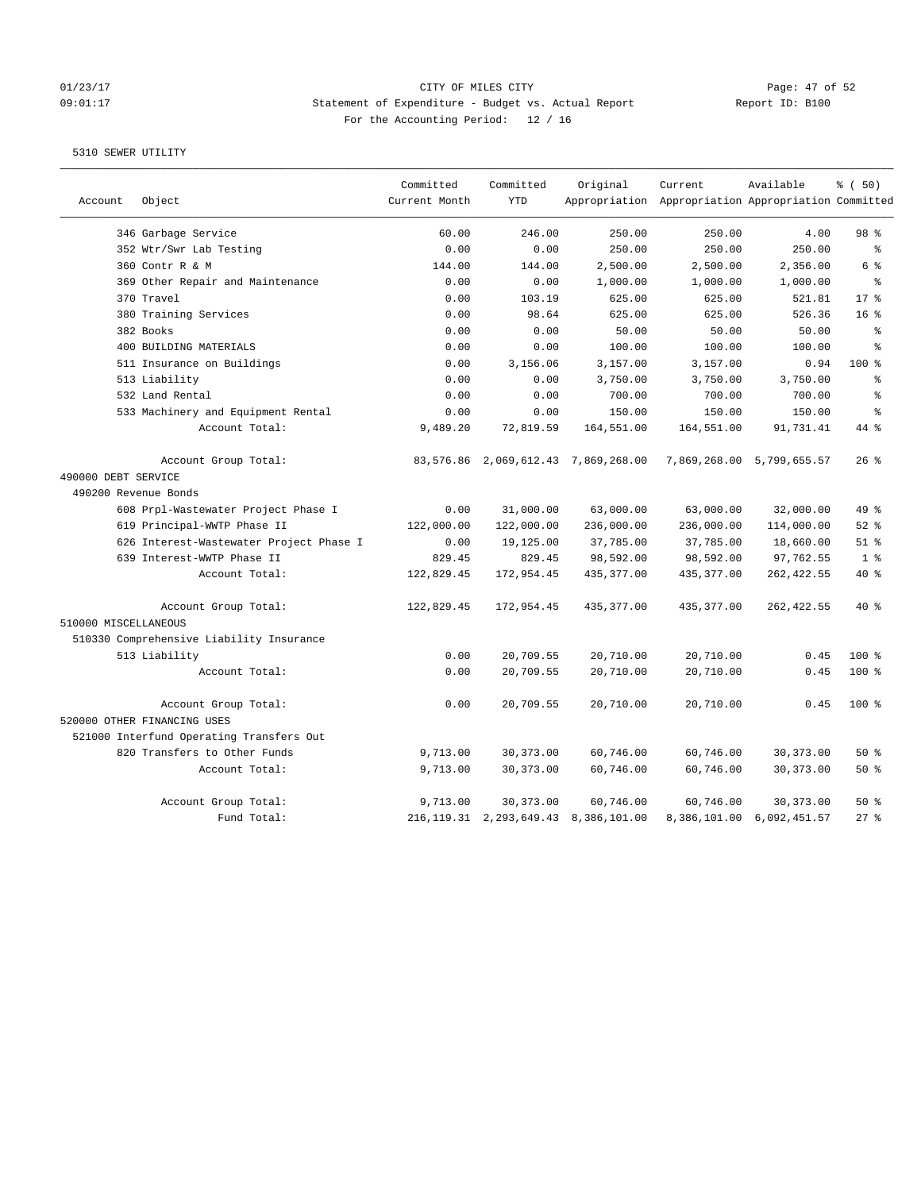# 01/23/17 CITY OF MILES CITY<br>
26 O9:01:17 CITY OF MILES CITY CITY OF MILES CITY Page: 47 of 52<br>
26:01:17 CITY OF MILES CITY CITY Actual Report CHEROPORT TO: B100 09:01:17 Statement of Expenditure - Budget vs. Actual Report Report ID: B100 For the Accounting Period: 12 / 16

|                      |                                          | Committed     | Committed  | Original                                  | Current                                             | Available                 | % (50)          |
|----------------------|------------------------------------------|---------------|------------|-------------------------------------------|-----------------------------------------------------|---------------------------|-----------------|
| Account              | Object                                   | Current Month | <b>YTD</b> |                                           | Appropriation Appropriation Appropriation Committed |                           |                 |
|                      | 346 Garbage Service                      | 60.00         | 246.00     | 250.00                                    | 250.00                                              | 4.00                      | 98 <sup>8</sup> |
|                      | 352 Wtr/Swr Lab Testing                  | 0.00          | 0.00       | 250.00                                    | 250.00                                              | 250.00                    | နွ              |
|                      | 360 Contr R & M                          | 144.00        | 144.00     | 2,500.00                                  | 2,500.00                                            | 2,356.00                  | 6 %             |
|                      | 369 Other Repair and Maintenance         | 0.00          | 0.00       | 1,000.00                                  | 1,000.00                                            | 1,000.00                  | $\approx$       |
|                      | 370 Travel                               | 0.00          | 103.19     | 625.00                                    | 625.00                                              | 521.81                    | $17*$           |
|                      | 380 Training Services                    | 0.00          | 98.64      | 625.00                                    | 625.00                                              | 526.36                    | 16 <sup>8</sup> |
|                      | 382 Books                                | 0.00          | 0.00       | 50.00                                     | 50.00                                               | 50.00                     | $\epsilon$      |
|                      | 400 BUILDING MATERIALS                   | 0.00          | 0.00       | 100.00                                    | 100.00                                              | 100.00                    | $\approx$       |
|                      | 511 Insurance on Buildings               | 0.00          | 3,156.06   | 3,157.00                                  | 3,157.00                                            | 0.94                      | $100*$          |
|                      | 513 Liability                            | 0.00          | 0.00       | 3,750.00                                  | 3,750.00                                            | 3,750.00                  | န္              |
|                      | 532 Land Rental                          | 0.00          | 0.00       | 700.00                                    | 700.00                                              | 700.00                    | ి               |
|                      | 533 Machinery and Equipment Rental       | 0.00          | 0.00       | 150.00                                    | 150.00                                              | 150.00                    | ٥Ŗ              |
|                      | Account Total:                           | 9,489.20      | 72,819.59  | 164,551.00                                | 164,551.00                                          | 91,731.41                 | $44*$           |
|                      | Account Group Total:                     |               |            | 83,576.86 2,069,612.43 7,869,268.00       |                                                     | 7,869,268.00 5,799,655.57 | $26$ %          |
| 490000 DEBT SERVICE  |                                          |               |            |                                           |                                                     |                           |                 |
|                      | 490200 Revenue Bonds                     |               |            |                                           |                                                     |                           |                 |
|                      | 608 Prpl-Wastewater Project Phase I      | 0.00          | 31,000.00  | 63,000.00                                 | 63,000.00                                           | 32,000.00                 | 49 %            |
|                      | 619 Principal-WWTP Phase II              | 122,000.00    | 122,000.00 | 236,000.00                                | 236,000.00                                          | 114,000.00                | $52$ $%$        |
|                      | 626 Interest-Wastewater Project Phase I  | 0.00          | 19,125.00  | 37,785.00                                 | 37,785.00                                           | 18,660.00                 | $51$ $%$        |
|                      | 639 Interest-WWTP Phase II               | 829.45        | 829.45     | 98,592.00                                 | 98,592.00                                           | 97,762.55                 | 1 <sup>8</sup>  |
|                      | Account Total:                           | 122,829.45    | 172,954.45 | 435, 377.00                               | 435, 377.00                                         | 262, 422.55               | 40 %            |
| 510000 MISCELLANEOUS | Account Group Total:                     | 122,829.45    | 172,954.45 | 435, 377.00                               | 435,377.00                                          | 262, 422.55               | $40*$           |
|                      | 510330 Comprehensive Liability Insurance |               |            |                                           |                                                     |                           |                 |
|                      | 513 Liability                            | 0.00          | 20,709.55  | 20,710.00                                 | 20,710.00                                           | 0.45                      | $100$ %         |
|                      | Account Total:                           | 0.00          | 20,709.55  | 20,710.00                                 | 20,710.00                                           | 0.45                      | $100*$          |
|                      | Account Group Total:                     | 0.00          | 20,709.55  | 20,710.00                                 | 20,710.00                                           | 0.45                      | 100 %           |
|                      | 520000 OTHER FINANCING USES              |               |            |                                           |                                                     |                           |                 |
|                      | 521000 Interfund Operating Transfers Out |               |            |                                           |                                                     |                           |                 |
|                      | 820 Transfers to Other Funds             | 9,713.00      | 30, 373.00 | 60,746.00                                 | 60,746.00                                           | 30, 373.00                | 50%             |
|                      | Account Total:                           | 9,713.00      | 30, 373.00 | 60,746.00                                 | 60,746.00                                           | 30, 373.00                | 50%             |
|                      | Account Group Total:                     | 9,713.00      | 30, 373.00 | 60,746.00                                 | 60,746.00                                           | 30, 373.00                | $50*$           |
|                      | Fund Total:                              |               |            | 216, 119.31 2, 293, 649.43 8, 386, 101.00 |                                                     | 8,386,101.00 6,092,451.57 | $27$ %          |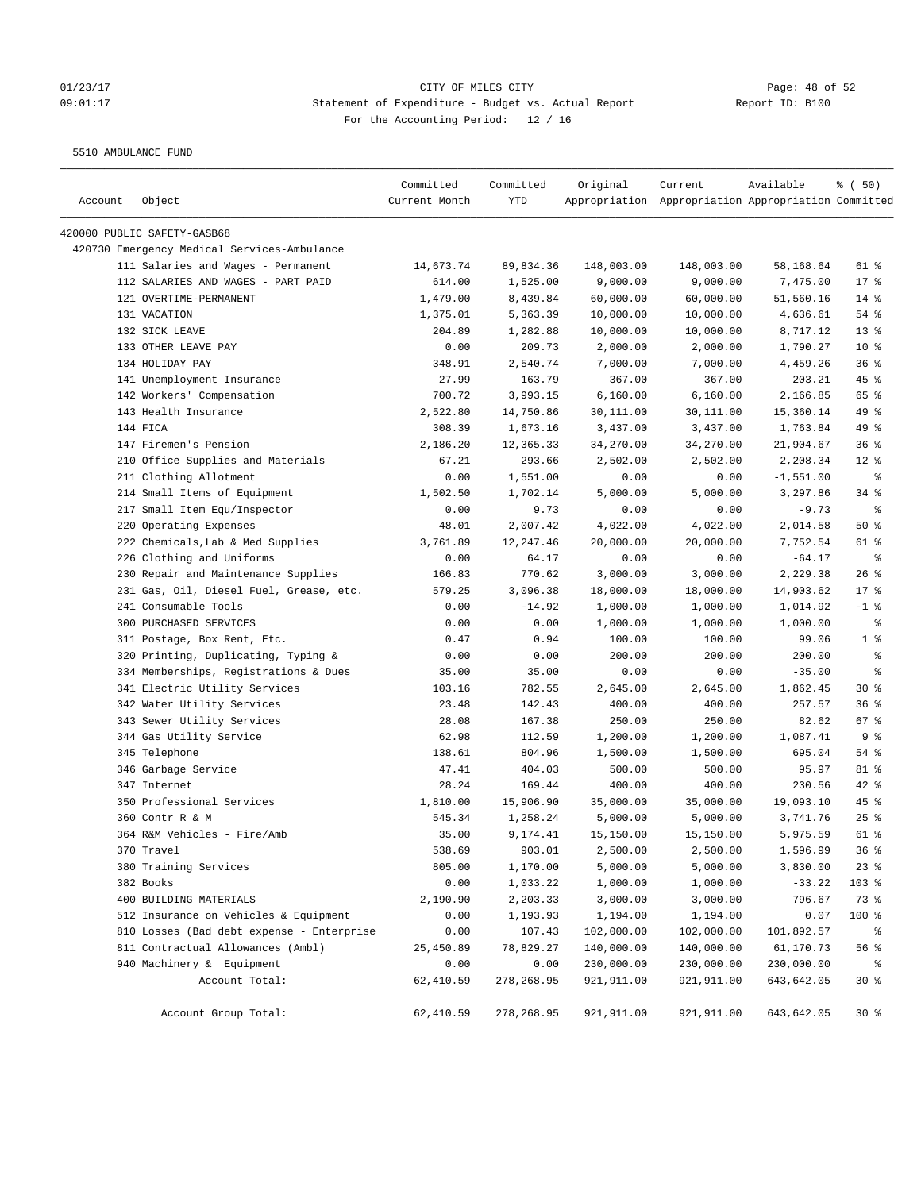# 01/23/17 CITY OF MILES CITY<br>
09:01:17 Dage: 48 of 52<br>
20:01:17 Statement of Expenditure - Budget vs. Actual Report (Report ID: B100 09:01:17 Statement of Expenditure - Budget vs. Actual Report Report ID: B100 For the Accounting Period: 12 / 16

5510 AMBULANCE FUND

| Account | Object                                      | Committed<br>Current Month | Committed<br>YTD | Original    | Current<br>Appropriation Appropriation Appropriation Committed | Available   | % ( 50)         |
|---------|---------------------------------------------|----------------------------|------------------|-------------|----------------------------------------------------------------|-------------|-----------------|
|         |                                             |                            |                  |             |                                                                |             |                 |
|         | 420000 PUBLIC SAFETY-GASB68                 |                            |                  |             |                                                                |             |                 |
|         | 420730 Emergency Medical Services-Ambulance |                            |                  |             |                                                                |             |                 |
|         | 111 Salaries and Wages - Permanent          | 14,673.74                  | 89,834.36        | 148,003.00  | 148,003.00                                                     | 58,168.64   | 61 %            |
|         | 112 SALARIES AND WAGES - PART PAID          | 614.00                     | 1,525.00         | 9,000.00    | 9,000.00                                                       | 7,475.00    | 17 <sup>°</sup> |
|         | 121 OVERTIME-PERMANENT                      | 1,479.00                   | 8,439.84         | 60,000.00   | 60,000.00                                                      | 51,560.16   | $14$ %          |
|         | 131 VACATION                                | 1,375.01                   | 5,363.39         | 10,000.00   | 10,000.00                                                      | 4,636.61    | 54 %            |
|         | 132 SICK LEAVE                              | 204.89                     | 1,282.88         | 10,000.00   | 10,000.00                                                      | 8,717.12    | $13*$           |
|         | 133 OTHER LEAVE PAY                         | 0.00                       | 209.73           | 2,000.00    | 2,000.00                                                       | 1,790.27    | 10 <sup>°</sup> |
|         | 134 HOLIDAY PAY                             | 348.91                     | 2,540.74         | 7,000.00    | 7,000.00                                                       | 4,459.26    | 36%             |
|         | 141 Unemployment Insurance                  | 27.99                      | 163.79           | 367.00      | 367.00                                                         | 203.21      | $45$ %          |
|         | 142 Workers' Compensation                   | 700.72                     | 3,993.15         | 6,160.00    | 6,160.00                                                       | 2,166.85    | 65 %            |
|         | 143 Health Insurance                        | 2,522.80                   | 14,750.86        | 30,111.00   | 30,111.00                                                      | 15,360.14   | 49 %            |
|         | 144 FICA                                    | 308.39                     | 1,673.16         | 3,437.00    | 3,437.00                                                       | 1,763.84    | 49 %            |
|         | 147 Firemen's Pension                       | 2,186.20                   | 12,365.33        | 34,270.00   | 34,270.00                                                      | 21,904.67   | 36%             |
|         | 210 Office Supplies and Materials           | 67.21                      | 293.66           | 2,502.00    | 2,502.00                                                       | 2,208.34    | $12*$           |
|         | 211 Clothing Allotment                      | 0.00                       | 1,551.00         | 0.00        | 0.00                                                           | $-1,551.00$ | နွ              |
|         | 214 Small Items of Equipment                | 1,502.50                   | 1,702.14         | 5,000.00    | 5,000.00                                                       | 3,297.86    | $34$ $%$        |
|         | 217 Small Item Equ/Inspector                | 0.00                       | 9.73             | 0.00        | 0.00                                                           | $-9.73$     | နွ              |
|         | 220 Operating Expenses                      | 48.01                      | 2,007.42         | 4,022.00    | 4,022.00                                                       | 2,014.58    | 50%             |
|         | 222 Chemicals, Lab & Med Supplies           | 3,761.89                   | 12,247.46        | 20,000.00   | 20,000.00                                                      | 7,752.54    | 61 %            |
|         | 226 Clothing and Uniforms                   | 0.00                       | 64.17            | 0.00        | 0.00                                                           | $-64.17$    | ႜ               |
|         | 230 Repair and Maintenance Supplies         | 166.83                     | 770.62           | 3,000.00    | 3,000.00                                                       | 2,229.38    | $26$ %          |
|         | 231 Gas, Oil, Diesel Fuel, Grease, etc.     | 579.25                     | 3,096.38         | 18,000.00   | 18,000.00                                                      | 14,903.62   | $17*$           |
|         | 241 Consumable Tools                        | 0.00                       | $-14.92$         | 1,000.00    | 1,000.00                                                       | 1,014.92    | $-1$ %          |
|         | 300 PURCHASED SERVICES                      | 0.00                       | 0.00             | 1,000.00    | 1,000.00                                                       | 1,000.00    | ್ಠಿ             |
|         | 311 Postage, Box Rent, Etc.                 | 0.47                       | 0.94             | 100.00      | 100.00                                                         | 99.06       | 1 <sup>8</sup>  |
|         | 320 Printing, Duplicating, Typing &         | 0.00                       | 0.00             | 200.00      | 200.00                                                         | 200.00      | နွ              |
|         | 334 Memberships, Registrations & Dues       | 35.00                      | 35.00            | 0.00        | 0.00                                                           | $-35.00$    | နွ              |
|         | 341 Electric Utility Services               | 103.16                     | 782.55           | 2,645.00    | 2,645.00                                                       | 1,862.45    | $30*$           |
|         | 342 Water Utility Services                  | 23.48                      | 142.43           | 400.00      | 400.00                                                         | 257.57      | 36%             |
|         | 343 Sewer Utility Services                  | 28.08                      | 167.38           | 250.00      | 250.00                                                         | 82.62       | 67%             |
|         | 344 Gas Utility Service                     | 62.98                      | 112.59           | 1,200.00    | 1,200.00                                                       | 1,087.41    | 9%              |
|         | 345 Telephone                               | 138.61                     | 804.96           | 1,500.00    | 1,500.00                                                       | 695.04      | $54$ %          |
|         | 346 Garbage Service                         | 47.41                      | 404.03           | 500.00      | 500.00                                                         | 95.97       | 81 %            |
|         | 347 Internet                                | 28.24                      | 169.44           | 400.00      | 400.00                                                         | 230.56      | $42$ %          |
|         | 350 Professional Services                   | 1,810.00                   | 15,906.90        | 35,000.00   | 35,000.00                                                      | 19,093.10   | 45 %            |
|         | 360 Contr R & M                             | 545.34                     | 1,258.24         | 5,000.00    | 5,000.00                                                       | 3,741.76    | $25$ %          |
|         | 364 R&M Vehicles - Fire/Amb                 | 35.00                      | 9,174.41         | 15,150.00   | 15,150.00                                                      | 5,975.59    | 61 %            |
|         | 370 Travel                                  | 538.69                     | 903.01           | 2,500.00    | 2,500.00                                                       | 1,596.99    | 36%             |
|         | 380 Training Services                       | 805.00                     | 1,170.00         | 5,000.00    | 5,000.00                                                       | 3,830.00    | $23$ $%$        |
|         | 382 Books                                   | 0.00                       | 1,033.22         | 1,000.00    | 1,000.00                                                       | $-33.22$    | 103 %           |
|         | 400 BUILDING MATERIALS                      | 2,190.90                   | 2,203.33         | 3,000.00    | 3,000.00                                                       | 796.67      | 73 %            |
|         | 512 Insurance on Vehicles & Equipment       | 0.00                       | 1,193.93         | 1,194.00    | 1,194.00                                                       | 0.07        | 100 %           |
|         | 810 Losses (Bad debt expense - Enterprise   | 0.00                       | 107.43           | 102,000.00  | 102,000.00                                                     | 101,892.57  | နွ              |
|         | 811 Contractual Allowances (Ambl)           | 25,450.89                  | 78,829.27        | 140,000.00  | 140,000.00                                                     | 61,170.73   | 56 %            |
|         | 940 Machinery & Equipment                   | 0.00                       | 0.00             | 230,000.00  | 230,000.00                                                     | 230,000.00  | နွ              |
|         | Account Total:                              | 62,410.59                  | 278,268.95       | 921,911.00  | 921, 911.00                                                    | 643,642.05  | $30*$           |
|         | Account Group Total:                        | 62,410.59                  | 278, 268.95      | 921, 911.00 | 921,911.00                                                     | 643,642.05  | 30%             |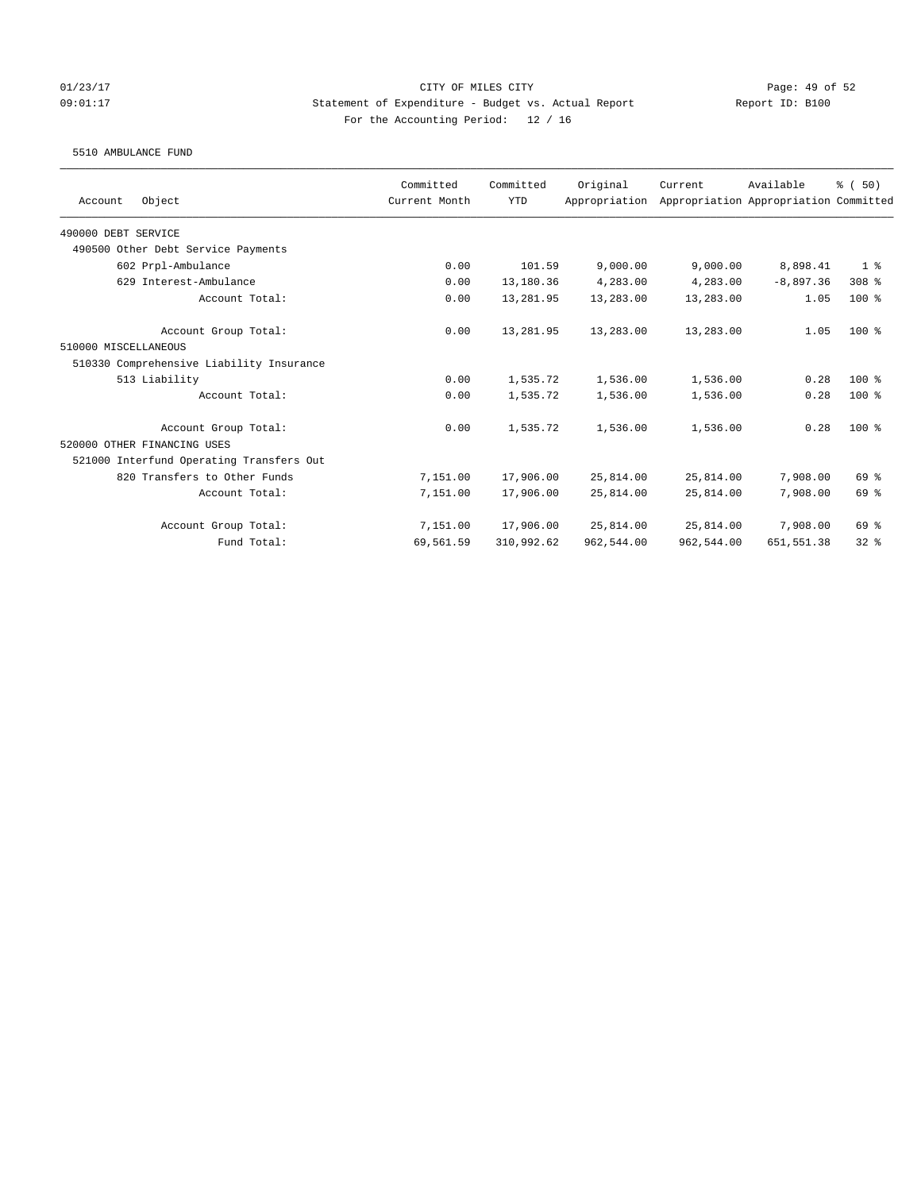# 01/23/17 Page: 49 of 52 09:01:17 Statement of Expenditure - Budget vs. Actual Report Report ID: B100 For the Accounting Period: 12 / 16

### 5510 AMBULANCE FUND

| Object<br>Account                        | Committed<br>Current Month | Committed<br><b>YTD</b> | Original<br>Appropriation | Current    | Available<br>Appropriation Appropriation Committed | % (50)         |
|------------------------------------------|----------------------------|-------------------------|---------------------------|------------|----------------------------------------------------|----------------|
|                                          |                            |                         |                           |            |                                                    |                |
| 490000 DEBT SERVICE                      |                            |                         |                           |            |                                                    |                |
| 490500 Other Debt Service Payments       |                            |                         |                           |            |                                                    |                |
| 602 Prpl-Ambulance                       | 0.00                       | 101.59                  | 9,000.00                  | 9,000.00   | 8,898.41                                           | 1 <sup>8</sup> |
| 629 Interest-Ambulance                   | 0.00                       | 13,180.36               | 4,283.00                  | 4,283.00   | $-8,897,36$                                        | $308$ %        |
| Account Total:                           | 0.00                       | 13,281.95               | 13,283.00                 | 13,283.00  | 1.05                                               | $100*$         |
| Account Group Total:                     | 0.00                       | 13,281.95               | 13,283.00                 | 13,283.00  | 1.05                                               | $100*$         |
| 510000 MISCELLANEOUS                     |                            |                         |                           |            |                                                    |                |
| 510330 Comprehensive Liability Insurance |                            |                         |                           |            |                                                    |                |
| 513 Liability                            | 0.00                       | 1,535.72                | 1,536.00                  | 1,536.00   | 0.28                                               | $100*$         |
| Account Total:                           | 0.00                       | 1,535.72                | 1,536.00                  | 1,536.00   | 0.28                                               | $100*$         |
| Account Group Total:                     | 0.00                       | 1,535.72                | 1,536.00                  | 1,536.00   | 0.28                                               | $100*$         |
| 520000 OTHER FINANCING USES              |                            |                         |                           |            |                                                    |                |
| 521000 Interfund Operating Transfers Out |                            |                         |                           |            |                                                    |                |
| 820 Transfers to Other Funds             | 7,151.00                   | 17,906.00               | 25,814.00                 | 25,814.00  | 7,908.00                                           | 69 %           |
| Account Total:                           | 7,151.00                   | 17,906.00               | 25,814.00                 | 25,814.00  | 7,908.00                                           | 69 %           |
| Account Group Total:                     | 7,151.00                   | 17,906.00               | 25,814.00                 | 25,814.00  | 7,908.00                                           | 69 %           |
| Fund Total:                              | 69,561.59                  | 310,992.62              | 962,544.00                | 962,544.00 | 651,551.38                                         | 328            |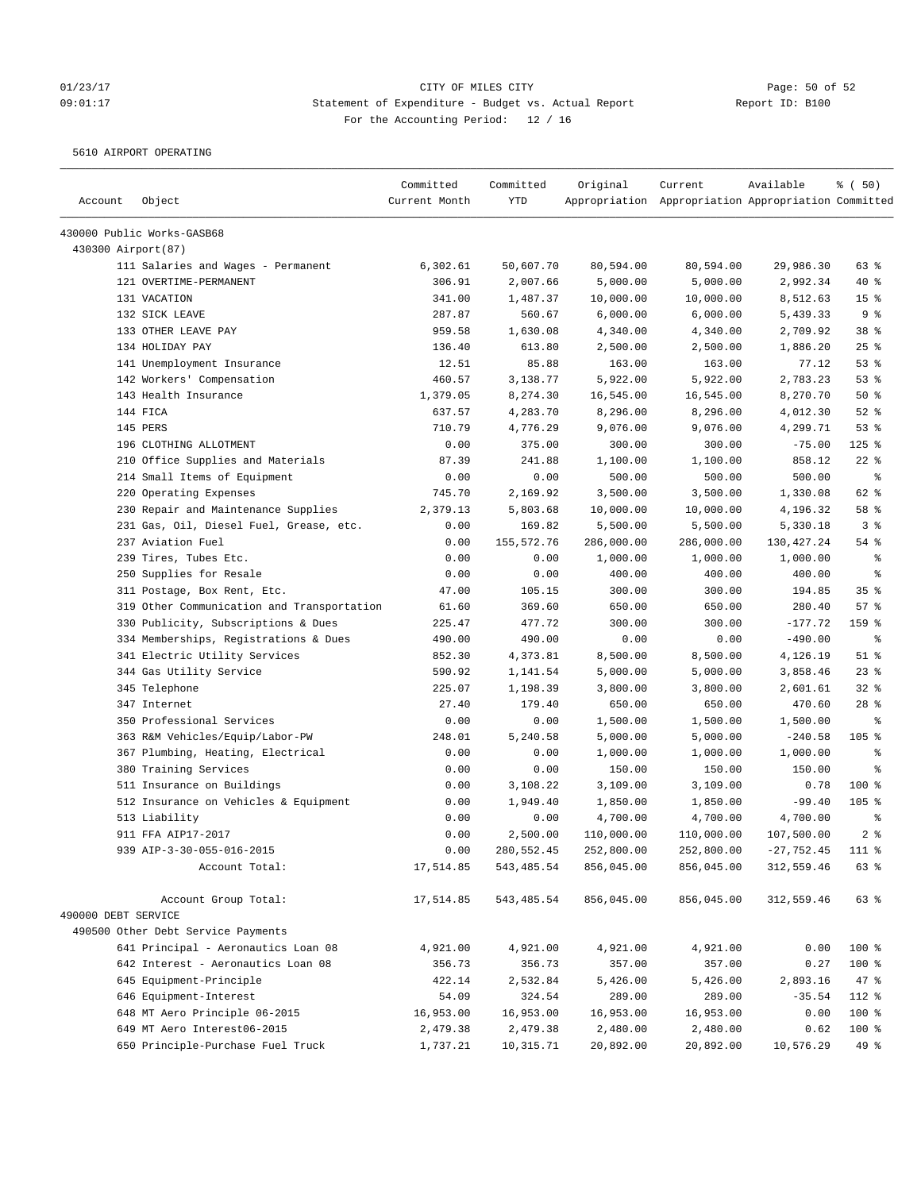# 01/23/17 Page: 50 of 52 09:01:17 Statement of Expenditure - Budget vs. Actual Report Report ID: B100 For the Accounting Period: 12 / 16

5610 AIRPORT OPERATING

| Account             | Object                                     | Committed<br>Current Month | Committed<br><b>YTD</b> | Original   | Current<br>Appropriation Appropriation Appropriation Committed | Available    | % (50)          |
|---------------------|--------------------------------------------|----------------------------|-------------------------|------------|----------------------------------------------------------------|--------------|-----------------|
|                     | 430000 Public Works-GASB68                 |                            |                         |            |                                                                |              |                 |
| 430300 Airport (87) |                                            |                            |                         |            |                                                                |              |                 |
|                     | 111 Salaries and Wages - Permanent         | 6,302.61                   | 50,607.70               | 80,594.00  | 80,594.00                                                      | 29,986.30    | 63%             |
|                     | 121 OVERTIME-PERMANENT                     | 306.91                     | 2,007.66                | 5,000.00   | 5,000.00                                                       | 2,992.34     | 40 %            |
|                     | 131 VACATION                               | 341.00                     | 1,487.37                | 10,000.00  | 10,000.00                                                      | 8,512.63     | 15 <sup>8</sup> |
|                     | 132 SICK LEAVE                             | 287.87                     | 560.67                  | 6,000.00   | 6,000.00                                                       | 5,439.33     | 9%              |
|                     | 133 OTHER LEAVE PAY                        | 959.58                     | 1,630.08                | 4,340.00   | 4,340.00                                                       | 2,709.92     | 38 <sup>8</sup> |
|                     | 134 HOLIDAY PAY                            | 136.40                     | 613.80                  | 2,500.00   | 2,500.00                                                       | 1,886.20     | 25%             |
|                     | 141 Unemployment Insurance                 | 12.51                      | 85.88                   | 163.00     | 163.00                                                         | 77.12        | 53%             |
|                     | 142 Workers' Compensation                  | 460.57                     | 3,138.77                | 5,922.00   | 5,922.00                                                       | 2,783.23     | 53%             |
|                     | 143 Health Insurance                       | 1,379.05                   | 8,274.30                | 16,545.00  | 16,545.00                                                      | 8,270.70     | 50%             |
|                     | 144 FICA                                   | 637.57                     | 4,283.70                | 8,296.00   | 8,296.00                                                       | 4,012.30     | $52$ $%$        |
|                     | 145 PERS                                   | 710.79                     | 4,776.29                | 9,076.00   | 9,076.00                                                       | 4,299.71     | 53%             |
|                     | 196 CLOTHING ALLOTMENT                     | 0.00                       | 375.00                  | 300.00     | 300.00                                                         | $-75.00$     | $125$ %         |
|                     | 210 Office Supplies and Materials          | 87.39                      | 241.88                  | 1,100.00   | 1,100.00                                                       | 858.12       | $22$ %          |
|                     | 214 Small Items of Equipment               | 0.00                       | 0.00                    | 500.00     | 500.00                                                         | 500.00       | $\epsilon$      |
|                     | 220 Operating Expenses                     | 745.70                     | 2,169.92                | 3,500.00   | 3,500.00                                                       | 1,330.08     | 62 %            |
|                     | 230 Repair and Maintenance Supplies        | 2,379.13                   | 5,803.68                | 10,000.00  | 10,000.00                                                      | 4,196.32     | 58 %            |
|                     | 231 Gas, Oil, Diesel Fuel, Grease, etc.    | 0.00                       | 169.82                  | 5,500.00   | 5,500.00                                                       | 5,330.18     | 3%              |
|                     | 237 Aviation Fuel                          | 0.00                       | 155,572.76              | 286,000.00 | 286,000.00                                                     | 130,427.24   | 54 %            |
|                     | 239 Tires, Tubes Etc.                      | 0.00                       | 0.00                    | 1,000.00   | 1,000.00                                                       | 1,000.00     | $\epsilon$      |
|                     | 250 Supplies for Resale                    | 0.00                       | 0.00                    | 400.00     | 400.00                                                         | 400.00       | နွ              |
|                     | 311 Postage, Box Rent, Etc.                | 47.00                      | 105.15                  | 300.00     | 300.00                                                         | 194.85       | 35%             |
|                     | 319 Other Communication and Transportation | 61.60                      | 369.60                  | 650.00     | 650.00                                                         | 280.40       | 57%             |
|                     | 330 Publicity, Subscriptions & Dues        | 225.47                     | 477.72                  | 300.00     | 300.00                                                         | $-177.72$    | 159 %           |
|                     | 334 Memberships, Registrations & Dues      | 490.00                     | 490.00                  | 0.00       | 0.00                                                           | $-490.00$    | $\epsilon$      |
|                     | 341 Electric Utility Services              | 852.30                     | 4,373.81                | 8,500.00   | 8,500.00                                                       | 4,126.19     | $51$ %          |
|                     | 344 Gas Utility Service                    | 590.92                     | 1,141.54                | 5,000.00   | 5,000.00                                                       | 3,858.46     | $23$ %          |
|                     | 345 Telephone                              | 225.07                     | 1,198.39                | 3,800.00   | 3,800.00                                                       | 2,601.61     | $32$ $%$        |
|                     | 347 Internet                               | 27.40                      | 179.40                  | 650.00     | 650.00                                                         | 470.60       | $28$ %          |
|                     | 350 Professional Services                  | 0.00                       | 0.00                    | 1,500.00   | 1,500.00                                                       | 1,500.00     | နွ              |
|                     | 363 R&M Vehicles/Equip/Labor-PW            | 248.01                     | 5,240.58                | 5,000.00   | 5,000.00                                                       | $-240.58$    | 105 %           |
|                     | 367 Plumbing, Heating, Electrical          | 0.00                       | 0.00                    | 1,000.00   | 1,000.00                                                       | 1,000.00     | နွ              |
|                     | 380 Training Services                      | 0.00                       | 0.00                    | 150.00     | 150.00                                                         | 150.00       | နွ              |
|                     | 511 Insurance on Buildings                 | 0.00                       | 3,108.22                | 3,109.00   | 3,109.00                                                       | 0.78         | $100$ %         |
|                     | 512 Insurance on Vehicles & Equipment      | 0.00                       | 1,949.40                | 1,850.00   | 1,850.00                                                       | $-99.40$     | $105$ %         |
|                     | 513 Liability                              | 0.00                       | 0.00                    | 4,700.00   | 4,700.00                                                       | 4,700.00     | နွ              |
|                     | 911 FFA AIP17-2017                         | 0.00                       | 2,500.00                | 110,000.00 | 110,000.00                                                     | 107,500.00   | 2 <sup>8</sup>  |
|                     | 939 AIP-3-30-055-016-2015                  | 0.00                       | 280,552.45              | 252,800.00 | 252,800.00                                                     | $-27,752.45$ | 111 %           |
|                     | Account Total:                             | 17,514.85                  | 543,485.54              | 856,045.00 | 856,045.00                                                     | 312,559.46   | 63 %            |
|                     | Account Group Total:                       | 17,514.85                  | 543,485.54              | 856,045.00 | 856,045.00                                                     | 312,559.46   | 63 %            |
| 490000 DEBT SERVICE |                                            |                            |                         |            |                                                                |              |                 |
|                     | 490500 Other Debt Service Payments         |                            |                         |            |                                                                |              |                 |
|                     | 641 Principal - Aeronautics Loan 08        | 4,921.00                   | 4,921.00                | 4,921.00   | 4,921.00                                                       | 0.00         | 100 %           |
|                     | 642 Interest - Aeronautics Loan 08         | 356.73                     | 356.73                  | 357.00     | 357.00                                                         | 0.27         | 100 %           |
|                     | 645 Equipment-Principle                    | 422.14                     | 2,532.84                | 5,426.00   | 5,426.00                                                       | 2,893.16     | 47 %            |
|                     | 646 Equipment-Interest                     | 54.09                      | 324.54                  | 289.00     | 289.00                                                         | $-35.54$     | 112 %           |
|                     | 648 MT Aero Principle 06-2015              | 16,953.00                  | 16,953.00               | 16,953.00  | 16,953.00                                                      | 0.00         | 100 %           |
|                     | 649 MT Aero Interest06-2015                | 2,479.38                   | 2,479.38                | 2,480.00   | 2,480.00                                                       | 0.62         | 100 %           |
|                     | 650 Principle-Purchase Fuel Truck          | 1,737.21                   | 10,315.71               | 20,892.00  | 20,892.00                                                      | 10,576.29    | 49 %            |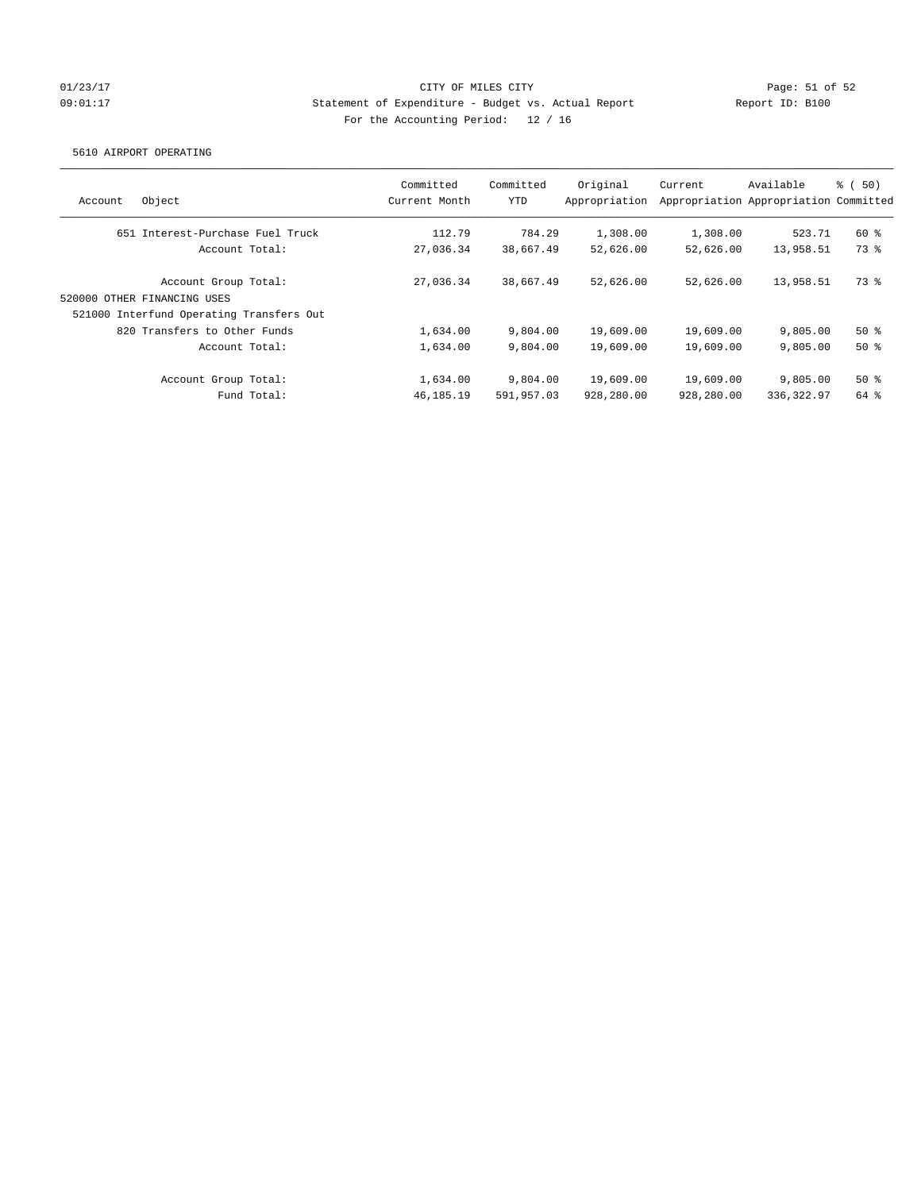# 01/23/17 Page: 51 of 52 09:01:17 Statement of Expenditure - Budget vs. Actual Report Report ID: B100 For the Accounting Period: 12 / 16

### 5610 AIRPORT OPERATING

| Account        | Object                                              | Committed<br>Current Month | Committed<br>YTD | Original<br>Appropriation | Current    | Available<br>Appropriation Appropriation Committed | <sub>ර</sub> ි (50) |
|----------------|-----------------------------------------------------|----------------------------|------------------|---------------------------|------------|----------------------------------------------------|---------------------|
|                | 651 Interest-Purchase Fuel Truck                    | 112.79                     | 784.29           | 1,308.00                  | 1,308.00   | 523.71                                             | 60 %                |
| Account Total: |                                                     | 27,036.34                  | 38,667.49        | 52,626.00                 | 52,626.00  | 13,958.51                                          | 73 %                |
|                | Account Group Total:<br>520000 OTHER FINANCING USES | 27,036.34                  | 38,667.49        | 52,626.00                 | 52,626.00  | 13,958.51                                          | 73 %                |
|                | 521000 Interfund Operating Transfers Out            |                            |                  |                           |            |                                                    |                     |
|                | 820 Transfers to Other Funds                        | 1,634.00                   | 9,804.00         | 19,609.00                 | 19,609.00  | 9,805.00                                           | 50%                 |
|                | Account Total:                                      | 1,634.00                   | 9,804.00         | 19,609.00                 | 19,609.00  | 9,805.00                                           | 50%                 |
|                | Account Group Total:                                | 1,634.00                   | 9,804.00         | 19,609.00                 | 19,609.00  | 9,805.00                                           | 50%                 |
|                | Fund Total:                                         | 46, 185. 19                | 591,957.03       | 928,280.00                | 928,280.00 | 336,322.97                                         | 64 %                |